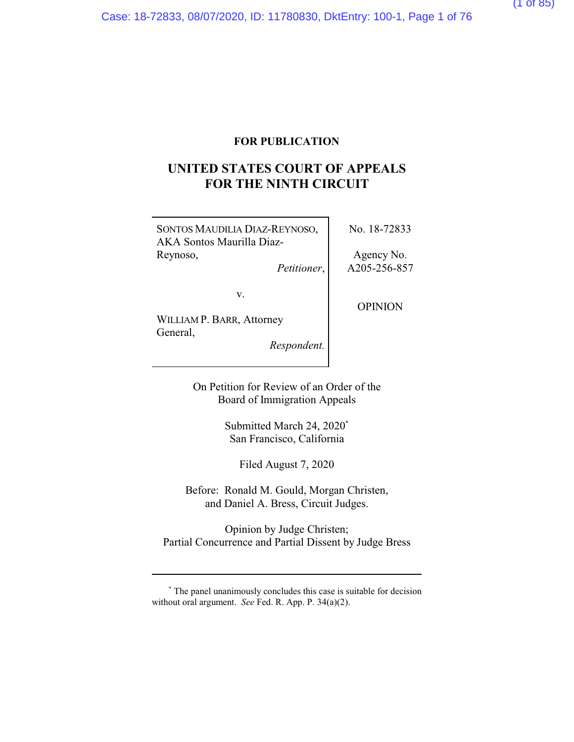# **UNITED STATES COURT OF APPEALS FOR THE NINTH CIRCUIT**

SONTOS MAUDILIA DIAZ-REYNOSO, AKA Sontos Maurilla Diaz-Reynoso, *Petitioner*, No. 18-72833

Agency No. A205-256-857

v.

OPINION

WILLIAM P. BARR, Attorney General,

*Respondent.*

On Petition for Review of an Order of the Board of Immigration Appeals

> Submitted March 24, 2020**\*** San Francisco, California

> > Filed August 7, 2020

Before: Ronald M. Gould, Morgan Christen, and Daniel A. Bress, Circuit Judges.

Opinion by Judge Christen; Partial Concurrence and Partial Dissent by Judge Bress

**<sup>\*</sup>** The panel unanimously concludes this case is suitable for decision without oral argument. *See* Fed. R. App. P. 34(a)(2).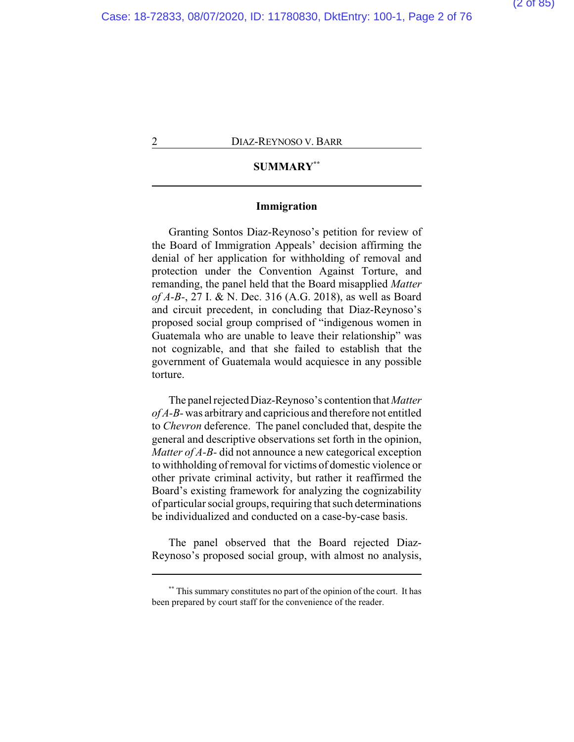# **SUMMARY\*\***

# **Immigration**

Granting Sontos Diaz-Reynoso's petition for review of the Board of Immigration Appeals' decision affirming the denial of her application for withholding of removal and protection under the Convention Against Torture, and remanding, the panel held that the Board misapplied *Matter of A-B-*, 27 I. & N. Dec. 316 (A.G. 2018), as well as Board and circuit precedent, in concluding that Diaz-Reynoso's proposed social group comprised of "indigenous women in Guatemala who are unable to leave their relationship" was not cognizable, and that she failed to establish that the government of Guatemala would acquiesce in any possible torture.

The panel rejectedDiaz-Reynoso's contention that *Matter of A-B-* was arbitrary and capricious and therefore not entitled to *Chevron* deference. The panel concluded that, despite the general and descriptive observations set forth in the opinion, *Matter of A-B-* did not announce a new categorical exception to withholding of removal for victims of domestic violence or other private criminal activity, but rather it reaffirmed the Board's existing framework for analyzing the cognizability of particular social groups, requiring that such determinations be individualized and conducted on a case-by-case basis.

The panel observed that the Board rejected Diaz-Reynoso's proposed social group, with almost no analysis,

**<sup>\*\*</sup>** This summary constitutes no part of the opinion of the court. It has been prepared by court staff for the convenience of the reader.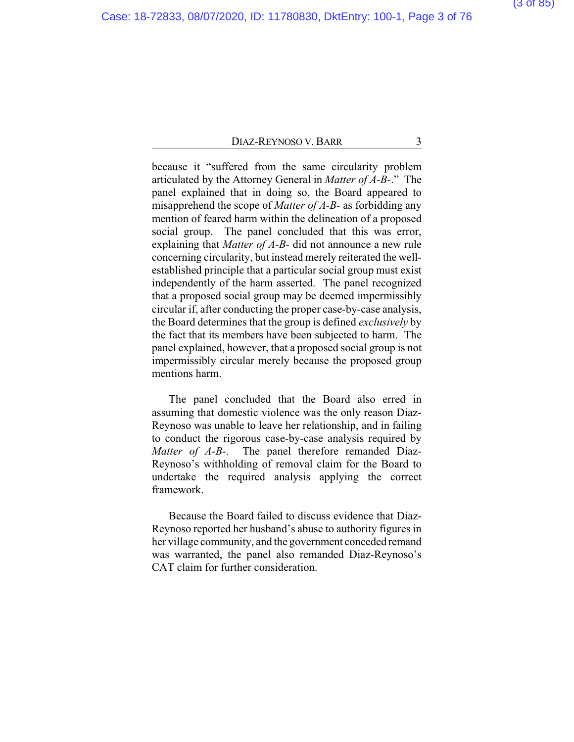because it "suffered from the same circularity problem articulated by the Attorney General in *Matter of A-B-*." The panel explained that in doing so, the Board appeared to misapprehend the scope of *Matter of A-B-* as forbidding any mention of feared harm within the delineation of a proposed social group. The panel concluded that this was error, explaining that *Matter of A-B-* did not announce a new rule concerning circularity, but instead merely reiterated the wellestablished principle that a particular social group must exist independently of the harm asserted. The panel recognized that a proposed social group may be deemed impermissibly circular if, after conducting the proper case-by-case analysis, the Board determines that the group is defined *exclusively* by the fact that its members have been subjected to harm. The panel explained, however, that a proposed social group is not impermissibly circular merely because the proposed group mentions harm.

The panel concluded that the Board also erred in assuming that domestic violence was the only reason Diaz-Reynoso was unable to leave her relationship, and in failing to conduct the rigorous case-by-case analysis required by *Matter of A-B-*. The panel therefore remanded Diaz-Reynoso's withholding of removal claim for the Board to undertake the required analysis applying the correct framework.

Because the Board failed to discuss evidence that Diaz-Reynoso reported her husband's abuse to authority figures in her village community, and the government conceded remand was warranted, the panel also remanded Diaz-Reynoso's CAT claim for further consideration.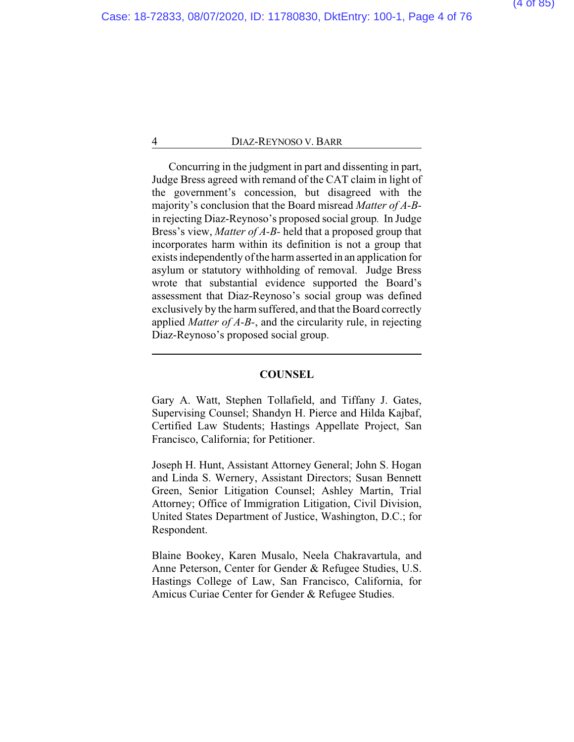Concurring in the judgment in part and dissenting in part, Judge Bress agreed with remand of the CAT claim in light of the government's concession, but disagreed with the majority's conclusion that the Board misread *Matter of A-B*in rejecting Diaz-Reynoso's proposed social group*.* In Judge Bress's view, *Matter of A-B-* held that a proposed group that incorporates harm within its definition is not a group that exists independently of the harmasserted in an application for asylum or statutory withholding of removal. Judge Bress wrote that substantial evidence supported the Board's assessment that Diaz-Reynoso's social group was defined exclusively by the harmsuffered, and that the Board correctly applied *Matter of A-B-*, and the circularity rule, in rejecting Diaz-Reynoso's proposed social group.

# **COUNSEL**

Gary A. Watt, Stephen Tollafield, and Tiffany J. Gates, Supervising Counsel; Shandyn H. Pierce and Hilda Kajbaf, Certified Law Students; Hastings Appellate Project, San Francisco, California; for Petitioner.

Joseph H. Hunt, Assistant Attorney General; John S. Hogan and Linda S. Wernery, Assistant Directors; Susan Bennett Green, Senior Litigation Counsel; Ashley Martin, Trial Attorney; Office of Immigration Litigation, Civil Division, United States Department of Justice, Washington, D.C.; for Respondent.

Blaine Bookey, Karen Musalo, Neela Chakravartula, and Anne Peterson, Center for Gender & Refugee Studies, U.S. Hastings College of Law, San Francisco, California, for Amicus Curiae Center for Gender & Refugee Studies.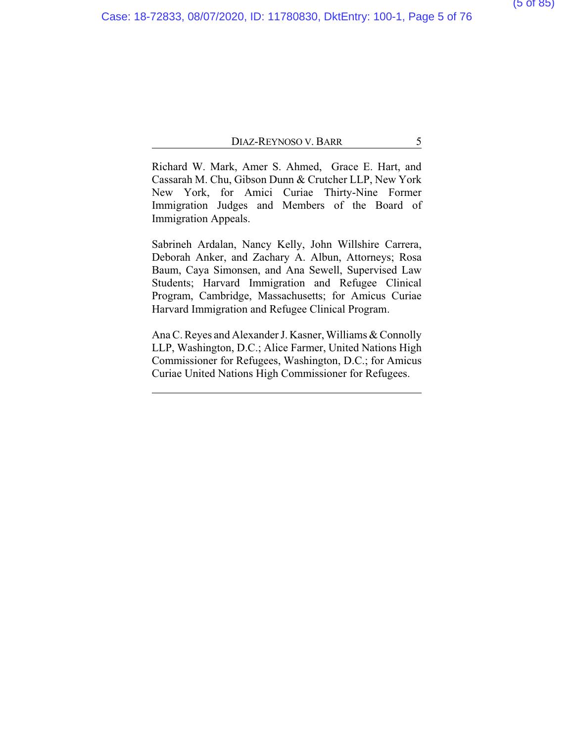Richard W. Mark, Amer S. Ahmed, Grace E. Hart, and Cassarah M. Chu, Gibson Dunn & Crutcher LLP, New York New York, for Amici Curiae Thirty-Nine Former Immigration Judges and Members of the Board of Immigration Appeals.

Sabrineh Ardalan, Nancy Kelly, John Willshire Carrera, Deborah Anker, and Zachary A. Albun, Attorneys; Rosa Baum, Caya Simonsen, and Ana Sewell, Supervised Law Students; Harvard Immigration and Refugee Clinical Program, Cambridge, Massachusetts; for Amicus Curiae Harvard Immigration and Refugee Clinical Program.

Ana C. Reyes and Alexander J. Kasner, Williams & Connolly LLP, Washington, D.C.; Alice Farmer, United Nations High Commissioner for Refugees, Washington, D.C.; for Amicus Curiae United Nations High Commissioner for Refugees.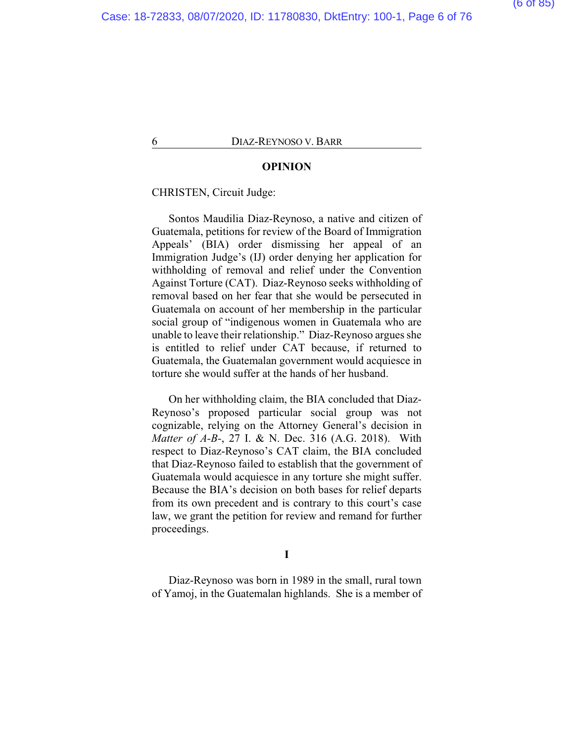### **OPINION**

# CHRISTEN, Circuit Judge:

Sontos Maudilia Diaz-Reynoso, a native and citizen of Guatemala, petitions for review of the Board of Immigration Appeals' (BIA) order dismissing her appeal of an Immigration Judge's (IJ) order denying her application for withholding of removal and relief under the Convention Against Torture (CAT). Diaz-Reynoso seeks withholding of removal based on her fear that she would be persecuted in Guatemala on account of her membership in the particular social group of "indigenous women in Guatemala who are unable to leave their relationship." Diaz-Reynoso argues she is entitled to relief under CAT because, if returned to Guatemala, the Guatemalan government would acquiesce in torture she would suffer at the hands of her husband.

On her withholding claim, the BIA concluded that Diaz-Reynoso's proposed particular social group was not cognizable, relying on the Attorney General's decision in *Matter of A-B-*, 27 I. & N. Dec. 316 (A.G. 2018). With respect to Diaz-Reynoso's CAT claim, the BIA concluded that Diaz-Reynoso failed to establish that the government of Guatemala would acquiesce in any torture she might suffer. Because the BIA's decision on both bases for relief departs from its own precedent and is contrary to this court's case law, we grant the petition for review and remand for further proceedings.

**I**

Diaz-Reynoso was born in 1989 in the small, rural town of Yamoj, in the Guatemalan highlands. She is a member of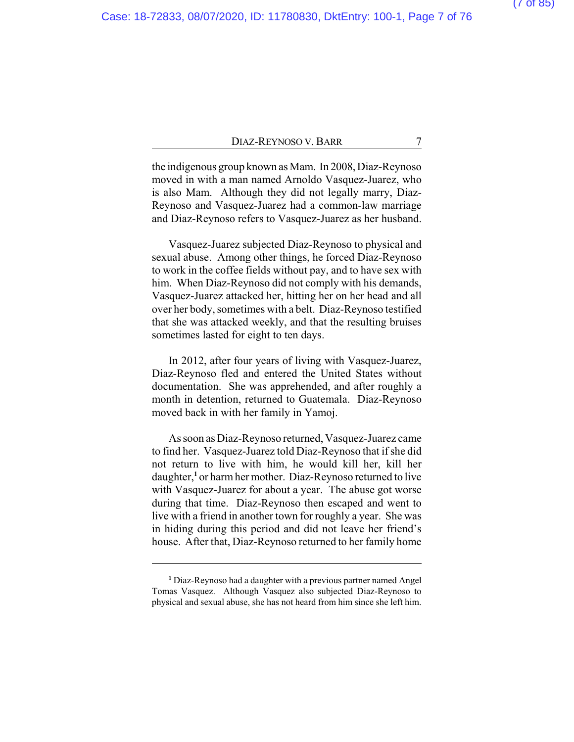the indigenous group known as Mam. In 2008, Diaz-Reynoso moved in with a man named Arnoldo Vasquez-Juarez, who is also Mam. Although they did not legally marry, Diaz-Reynoso and Vasquez-Juarez had a common-law marriage and Diaz-Reynoso refers to Vasquez-Juarez as her husband.

Vasquez-Juarez subjected Diaz-Reynoso to physical and sexual abuse. Among other things, he forced Diaz-Reynoso to work in the coffee fields without pay, and to have sex with him. When Diaz-Reynoso did not comply with his demands, Vasquez-Juarez attacked her, hitting her on her head and all over her body, sometimes with a belt. Diaz-Reynoso testified that she was attacked weekly, and that the resulting bruises sometimes lasted for eight to ten days.

In 2012, after four years of living with Vasquez-Juarez, Diaz-Reynoso fled and entered the United States without documentation. She was apprehended, and after roughly a month in detention, returned to Guatemala. Diaz-Reynoso moved back in with her family in Yamoj.

As soon as Diaz-Reynoso returned, Vasquez-Juarez came to find her. Vasquez-Juarez told Diaz-Reynoso that if she did not return to live with him, he would kill her, kill her daughter,**<sup>1</sup>** or harmher mother. Diaz-Reynoso returned to live with Vasquez-Juarez for about a year. The abuse got worse during that time. Diaz-Reynoso then escaped and went to live with a friend in another town for roughly a year. She was in hiding during this period and did not leave her friend's house. After that, Diaz-Reynoso returned to her family home

**<sup>1</sup>** Diaz-Reynoso had a daughter with a previous partner named Angel Tomas Vasquez. Although Vasquez also subjected Diaz-Reynoso to physical and sexual abuse, she has not heard from him since she left him.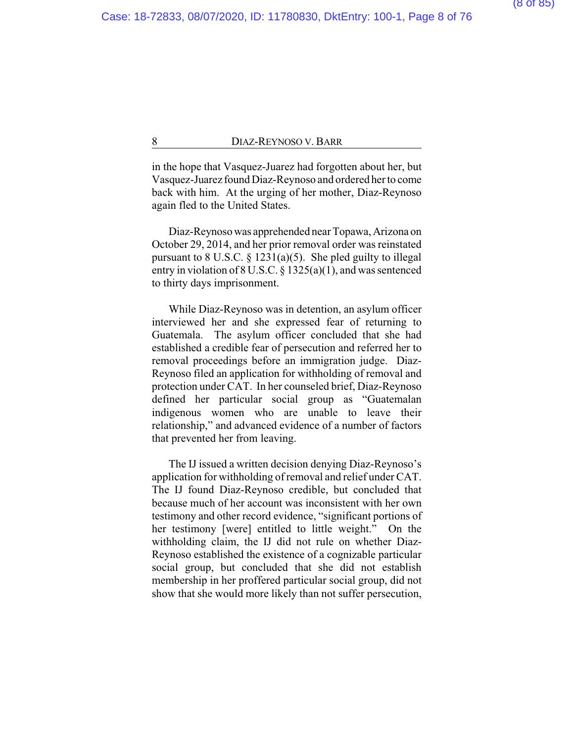in the hope that Vasquez-Juarez had forgotten about her, but Vasquez-Juarez found Diaz-Reynoso and ordered her to come back with him. At the urging of her mother, Diaz-Reynoso again fled to the United States.

Diaz-Reynosowas apprehended near Topawa,Arizona on October 29, 2014, and her prior removal order was reinstated pursuant to 8 U.S.C.  $\S$  1231(a)(5). She pled guilty to illegal entry in violation of 8 U.S.C. § 1325(a)(1), and was sentenced to thirty days imprisonment.

While Diaz-Reynoso was in detention, an asylum officer interviewed her and she expressed fear of returning to Guatemala. The asylum officer concluded that she had established a credible fear of persecution and referred her to removal proceedings before an immigration judge. Diaz-Reynoso filed an application for withholding of removal and protection under CAT. In her counseled brief, Diaz-Reynoso defined her particular social group as "Guatemalan indigenous women who are unable to leave their relationship," and advanced evidence of a number of factors that prevented her from leaving.

The IJ issued a written decision denying Diaz-Reynoso's application for withholding of removal and relief under CAT. The IJ found Diaz-Reynoso credible, but concluded that because much of her account was inconsistent with her own testimony and other record evidence, "significant portions of her testimony [were] entitled to little weight." On the withholding claim, the IJ did not rule on whether Diaz-Reynoso established the existence of a cognizable particular social group, but concluded that she did not establish membership in her proffered particular social group, did not show that she would more likely than not suffer persecution,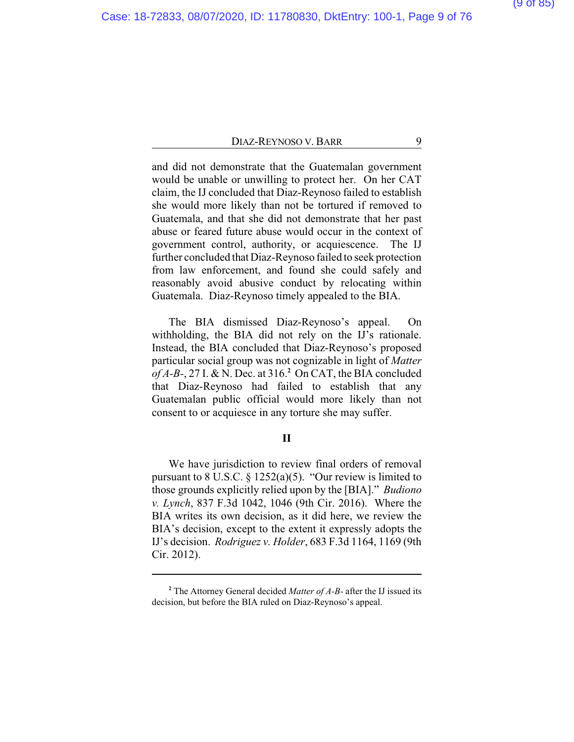and did not demonstrate that the Guatemalan government would be unable or unwilling to protect her. On her CAT claim, the IJ concluded that Diaz-Reynoso failed to establish she would more likely than not be tortured if removed to Guatemala, and that she did not demonstrate that her past abuse or feared future abuse would occur in the context of government control, authority, or acquiescence. The IJ further concluded that Diaz-Reynoso failed to seek protection from law enforcement, and found she could safely and reasonably avoid abusive conduct by relocating within Guatemala. Diaz-Reynoso timely appealed to the BIA.

The BIA dismissed Diaz-Reynoso's appeal. On withholding, the BIA did not rely on the IJ's rationale. Instead, the BIA concluded that Diaz-Reynoso's proposed particular social group was not cognizable in light of *Matter of A-B-*, 27 I. & N. Dec. at 316.**<sup>2</sup>** On CAT, the BIA concluded that Diaz-Reynoso had failed to establish that any Guatemalan public official would more likely than not consent to or acquiesce in any torture she may suffer.

# **II**

We have jurisdiction to review final orders of removal pursuant to  $8 \text{ U.S.C.} \$ § 1252(a)(5). "Our review is limited to those grounds explicitly relied upon by the [BIA]." *Budiono v. Lynch*, 837 F.3d 1042, 1046 (9th Cir. 2016). Where the BIA writes its own decision, as it did here, we review the BIA's decision, except to the extent it expressly adopts the IJ's decision. *Rodriguez v. Holder*, 683 F.3d 1164, 1169 (9th Cir. 2012).

**<sup>2</sup>** The Attorney General decided *Matter of A-B-* after the IJ issued its decision, but before the BIA ruled on Diaz-Reynoso's appeal.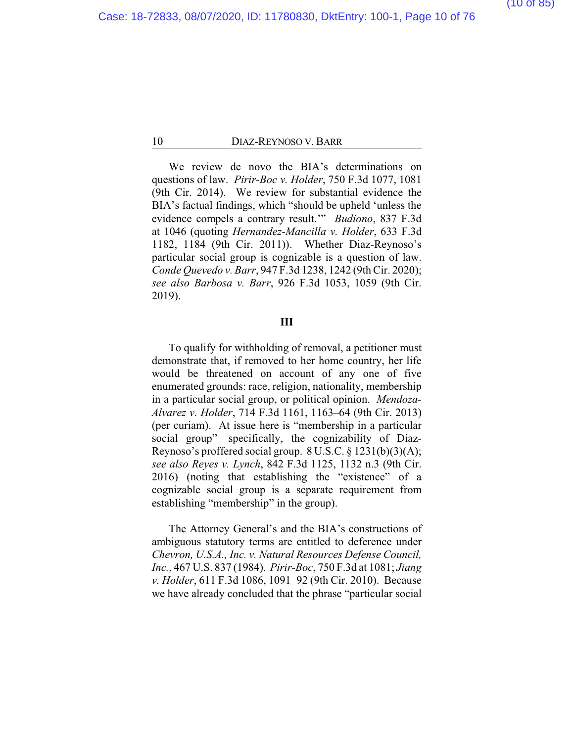We review de novo the BIA's determinations on questions of law. *Pirir-Boc v. Holder*, 750 F.3d 1077, 1081 (9th Cir. 2014). We review for substantial evidence the BIA's factual findings, which "should be upheld 'unless the evidence compels a contrary result.'" *Budiono*, 837 F.3d at 1046 (quoting *Hernandez-Mancilla v. Holder*, 633 F.3d 1182, 1184 (9th Cir. 2011)). Whether Diaz-Reynoso's particular social group is cognizable is a question of law. *Conde Quevedo v. Barr*, 947 F.3d 1238, 1242 (9th Cir. 2020); *see also Barbosa v. Barr*, 926 F.3d 1053, 1059 (9th Cir. 2019).

# **III**

To qualify for withholding of removal, a petitioner must demonstrate that, if removed to her home country, her life would be threatened on account of any one of five enumerated grounds: race, religion, nationality, membership in a particular social group, or political opinion. *Mendoza-Alvarez v. Holder*, 714 F.3d 1161, 1163–64 (9th Cir. 2013) (per curiam). At issue here is "membership in a particular social group"—specifically, the cognizability of Diaz-Reynoso's proffered social group. 8 U.S.C. § 1231(b)(3)(A); *see also Reyes v. Lynch*, 842 F.3d 1125, 1132 n.3 (9th Cir. 2016) (noting that establishing the "existence" of a cognizable social group is a separate requirement from establishing "membership" in the group).

The Attorney General's and the BIA's constructions of ambiguous statutory terms are entitled to deference under *Chevron, U.S.A., Inc. v. Natural Resources Defense Council, Inc.*, 467 U.S. 837 (1984). *Pirir-Boc*, 750 F.3d at 1081; *Jiang v. Holder*, 611 F.3d 1086, 1091–92 (9th Cir. 2010). Because we have already concluded that the phrase "particular social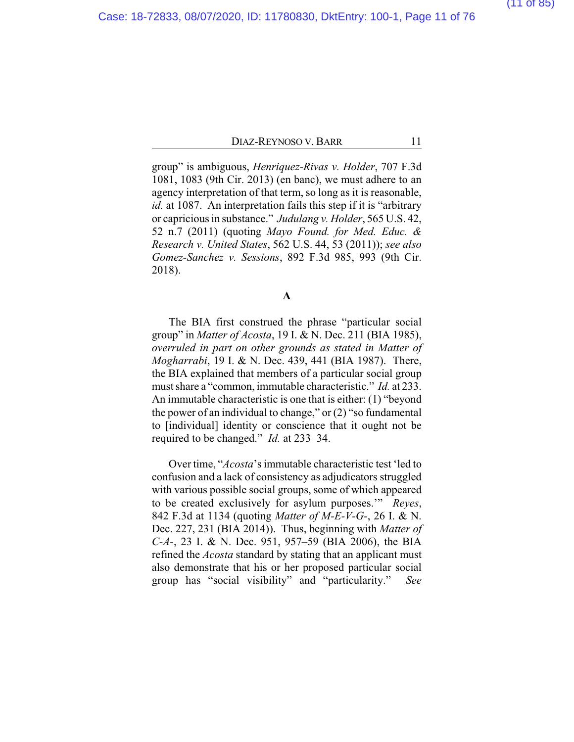group" is ambiguous, *Henriquez-Rivas v. Holder*, 707 F.3d 1081, 1083 (9th Cir. 2013) (en banc), we must adhere to an agency interpretation of that term, so long as it is reasonable, *id.* at 1087. An interpretation fails this step if it is "arbitrary or capricious in substance." *Judulang v. Holder*, 565 U.S. 42, 52 n.7 (2011) (quoting *Mayo Found. for Med. Educ. & Research v. United States*, 562 U.S. 44, 53 (2011)); *see also Gomez-Sanchez v. Sessions*, 892 F.3d 985, 993 (9th Cir. 2018).

# **A**

The BIA first construed the phrase "particular social group" in *Matter of Acosta*, 19 I. & N. Dec. 211 (BIA 1985), *overruled in part on other grounds as stated in Matter of Mogharrabi*, 19 I. & N. Dec. 439, 441 (BIA 1987). There, the BIA explained that members of a particular social group must share a "common, immutable characteristic." *Id.* at 233. An immutable characteristic is one that is either: (1) "beyond the power of an individual to change," or (2) "so fundamental to [individual] identity or conscience that it ought not be required to be changed." *Id.* at 233–34.

Over time, "*Acosta*'s immutable characteristic test 'led to confusion and a lack of consistency as adjudicators struggled with various possible social groups, some of which appeared to be created exclusively for asylum purposes.'" *Reyes*, 842 F.3d at 1134 (quoting *Matter of M-E-V-G-*, 26 I. & N. Dec. 227, 231 (BIA 2014)). Thus, beginning with *Matter of C-A-*, 23 I. & N. Dec. 951, 957–59 (BIA 2006), the BIA refined the *Acosta* standard by stating that an applicant must also demonstrate that his or her proposed particular social group has "social visibility" and "particularity." *See*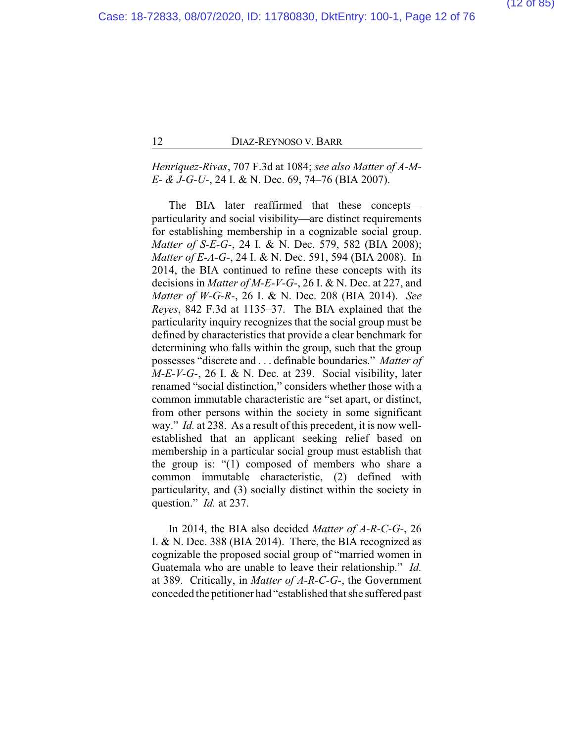# *Henriquez-Rivas*, 707 F.3d at 1084; *see also Matter of A-M-E- & J-G-U-*, 24 I. & N. Dec. 69, 74–76 (BIA 2007).

The BIA later reaffirmed that these concepts particularity and social visibility—are distinct requirements for establishing membership in a cognizable social group. *Matter of S-E-G-*, 24 I. & N. Dec. 579, 582 (BIA 2008); *Matter of E-A-G-*, 24 I. & N. Dec. 591, 594 (BIA 2008). In 2014, the BIA continued to refine these concepts with its decisions in *Matter of M-E-V-G-*, 26 I. & N. Dec. at 227, and *Matter of W-G-R-*, 26 I. & N. Dec. 208 (BIA 2014). *See Reyes*, 842 F.3d at 1135–37. The BIA explained that the particularity inquiry recognizes that the social group must be defined by characteristics that provide a clear benchmark for determining who falls within the group, such that the group possesses "discrete and . . . definable boundaries." *Matter of M-E-V-G-*, 26 I. & N. Dec. at 239. Social visibility, later renamed "social distinction," considers whether those with a common immutable characteristic are "set apart, or distinct, from other persons within the society in some significant way." *Id.* at 238. As a result of this precedent, it is now wellestablished that an applicant seeking relief based on membership in a particular social group must establish that the group is: "(1) composed of members who share a common immutable characteristic, (2) defined with particularity, and (3) socially distinct within the society in question." *Id.* at 237.

In 2014, the BIA also decided *Matter of A-R-C-G-*, 26 I. & N. Dec. 388 (BIA 2014). There, the BIA recognized as cognizable the proposed social group of "married women in Guatemala who are unable to leave their relationship." *Id.* at 389. Critically, in *Matter of A-R-C-G-*, the Government conceded the petitioner had "established that she suffered past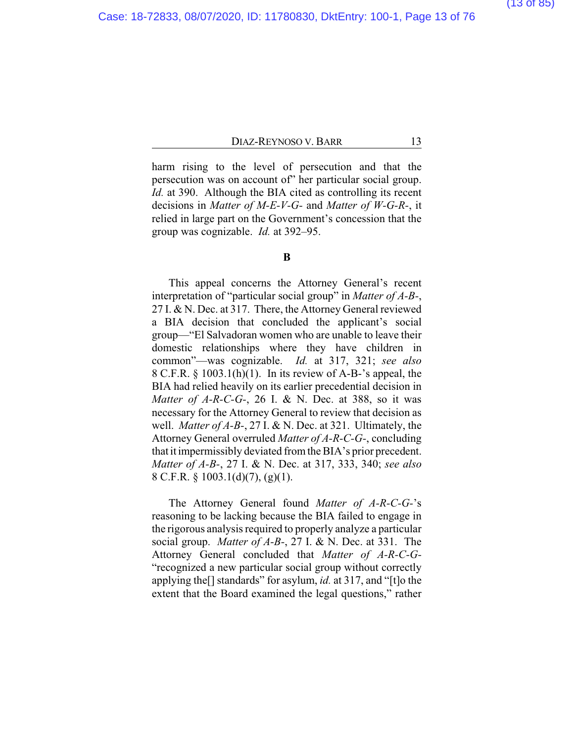harm rising to the level of persecution and that the persecution was on account of" her particular social group. *Id.* at 390. Although the BIA cited as controlling its recent decisions in *Matter of M-E-V-G-* and *Matter of W-G-R-*, it relied in large part on the Government's concession that the group was cognizable. *Id.* at 392–95.

# **B**

This appeal concerns the Attorney General's recent interpretation of "particular social group" in *Matter of A-B-*, 27 I. & N. Dec. at 317. There, the Attorney General reviewed a BIA decision that concluded the applicant's social group—"El Salvadoran women who are unable to leave their domestic relationships where they have children in common"—was cognizable. *Id.* at 317, 321; *see also* 8 C.F.R. § 1003.1(h)(1). In its review of A-B-'s appeal, the BIA had relied heavily on its earlier precedential decision in *Matter of A-R-C-G-*, 26 I. & N. Dec. at 388, so it was necessary for the Attorney General to review that decision as well. *Matter of A-B-*, 27 I. & N. Dec. at 321. Ultimately, the Attorney General overruled *Matter of A-R-C-G-*, concluding that it impermissibly deviated fromthe BIA's prior precedent. *Matter of A-B-*, 27 I. & N. Dec. at 317, 333, 340; *see also* 8 C.F.R. § 1003.1(d)(7), (g)(1).

The Attorney General found *Matter of A-R-C-G-*'s reasoning to be lacking because the BIA failed to engage in the rigorous analysis required to properly analyze a particular social group. *Matter of A-B-*, 27 I. & N. Dec. at 331. The Attorney General concluded that *Matter of A-R-C-G-* "recognized a new particular social group without correctly applying the[] standards" for asylum, *id.* at 317, and "[t]o the extent that the Board examined the legal questions," rather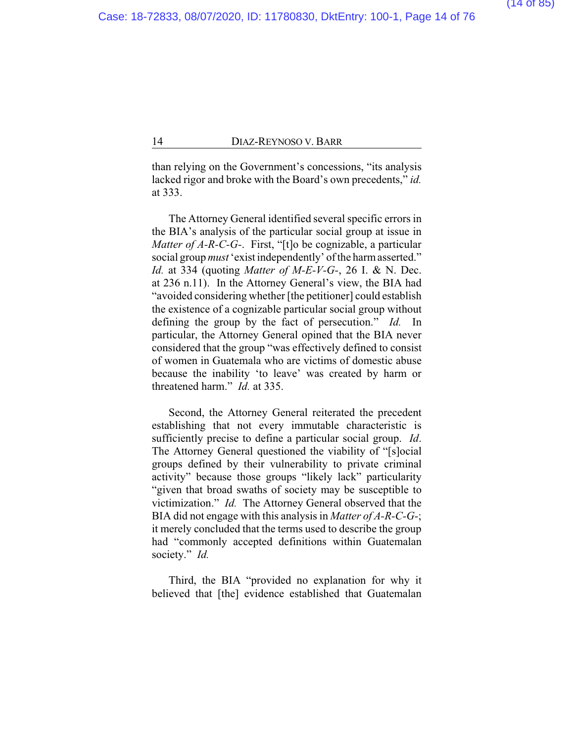than relying on the Government's concessions, "its analysis lacked rigor and broke with the Board's own precedents," *id.* at 333.

The Attorney General identified several specific errors in the BIA's analysis of the particular social group at issue in *Matter of A-R-C-G-*. First, "[t]o be cognizable, a particular social group *must* 'exist independently' of the harm asserted." *Id.* at 334 (quoting *Matter of M-E-V-G-*, 26 I. & N. Dec. at 236 n.11). In the Attorney General's view, the BIA had "avoided considering whether [the petitioner] could establish the existence of a cognizable particular social group without defining the group by the fact of persecution." *Id.* In particular, the Attorney General opined that the BIA never considered that the group "was effectively defined to consist of women in Guatemala who are victims of domestic abuse because the inability 'to leave' was created by harm or threatened harm." *Id.* at 335.

Second, the Attorney General reiterated the precedent establishing that not every immutable characteristic is sufficiently precise to define a particular social group. *Id*. The Attorney General questioned the viability of "[s]ocial groups defined by their vulnerability to private criminal activity" because those groups "likely lack" particularity "given that broad swaths of society may be susceptible to victimization." *Id.* The Attorney General observed that the BIA did not engage with this analysis in *Matter of A-R-C-G-*; it merely concluded that the terms used to describe the group had "commonly accepted definitions within Guatemalan society." *Id.*

Third, the BIA "provided no explanation for why it believed that [the] evidence established that Guatemalan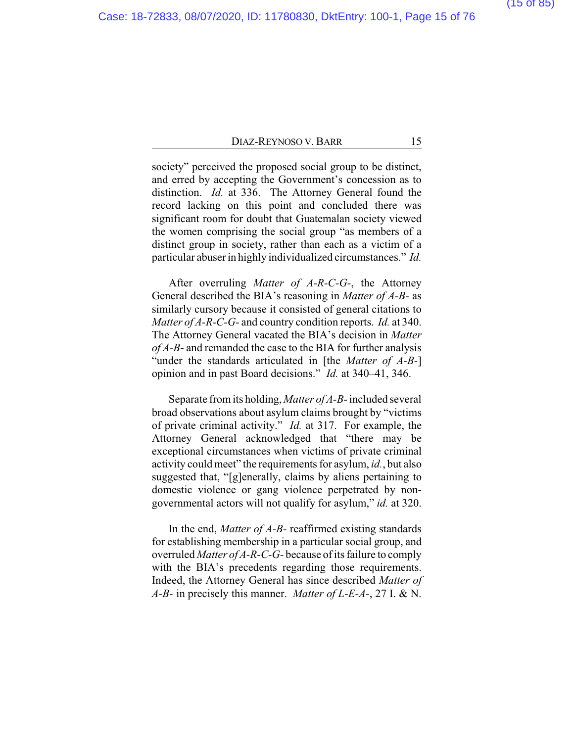society" perceived the proposed social group to be distinct, and erred by accepting the Government's concession as to distinction. *Id.* at 336. The Attorney General found the record lacking on this point and concluded there was significant room for doubt that Guatemalan society viewed the women comprising the social group "as members of a distinct group in society, rather than each as a victim of a particular abuser in highly individualized circumstances." *Id.*

After overruling *Matter of A-R-C-G-*, the Attorney General described the BIA's reasoning in *Matter of A-B-* as similarly cursory because it consisted of general citations to *Matter of A-R-C-G-* and country condition reports. *Id.* at 340. The Attorney General vacated the BIA's decision in *Matter of A-B*- and remanded the case to the BIA for further analysis "under the standards articulated in [the *Matter of A-B-*] opinion and in past Board decisions." *Id.* at 340–41, 346.

Separate fromits holding, *Matter of A-B-* included several broad observations about asylum claims brought by "victims of private criminal activity." *Id.* at 317. For example, the Attorney General acknowledged that "there may be exceptional circumstances when victims of private criminal activity could meet" the requirements for asylum, *id.*, but also suggested that, "[g]enerally, claims by aliens pertaining to domestic violence or gang violence perpetrated by nongovernmental actors will not qualify for asylum," *id.* at 320.

In the end, *Matter of A-B-* reaffirmed existing standards for establishing membership in a particular social group, and overruled *Matter of A-R-C-G-* because of its failure to comply with the BIA's precedents regarding those requirements. Indeed, the Attorney General has since described *Matter of A-B-* in precisely this manner. *Matter of L-E-A-*, 27 I. & N.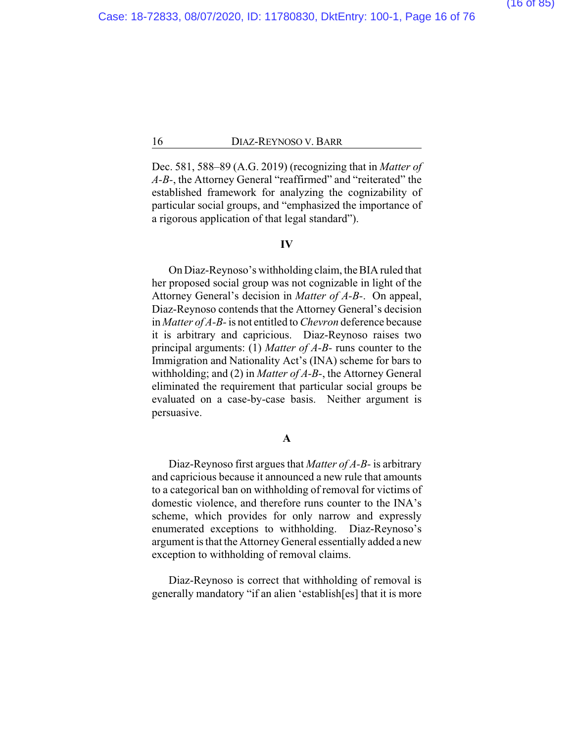Dec. 581, 588–89 (A.G. 2019) (recognizing that in *Matter of A-B-*, the Attorney General "reaffirmed" and "reiterated" the established framework for analyzing the cognizability of particular social groups, and "emphasized the importance of a rigorous application of that legal standard").

# **IV**

On Diaz-Reynoso's withholding claim, the BIAruled that her proposed social group was not cognizable in light of the Attorney General's decision in *Matter of A-B-*. On appeal, Diaz-Reynoso contends that the Attorney General's decision in *Matter of A-B-* is not entitled to *Chevron* deference because it is arbitrary and capricious. Diaz-Reynoso raises two principal arguments: (1) *Matter of A-B-* runs counter to the Immigration and Nationality Act's (INA) scheme for bars to withholding; and (2) in *Matter of A-B-*, the Attorney General eliminated the requirement that particular social groups be evaluated on a case-by-case basis. Neither argument is persuasive.

# **A**

Diaz-Reynoso first argues that *Matter of A-B-* is arbitrary and capricious because it announced a new rule that amounts to a categorical ban on withholding of removal for victims of domestic violence, and therefore runs counter to the INA's scheme, which provides for only narrow and expressly enumerated exceptions to withholding. Diaz-Reynoso's argument is that the Attorney General essentially added a new exception to withholding of removal claims.

Diaz-Reynoso is correct that withholding of removal is generally mandatory "if an alien 'establish[es] that it is more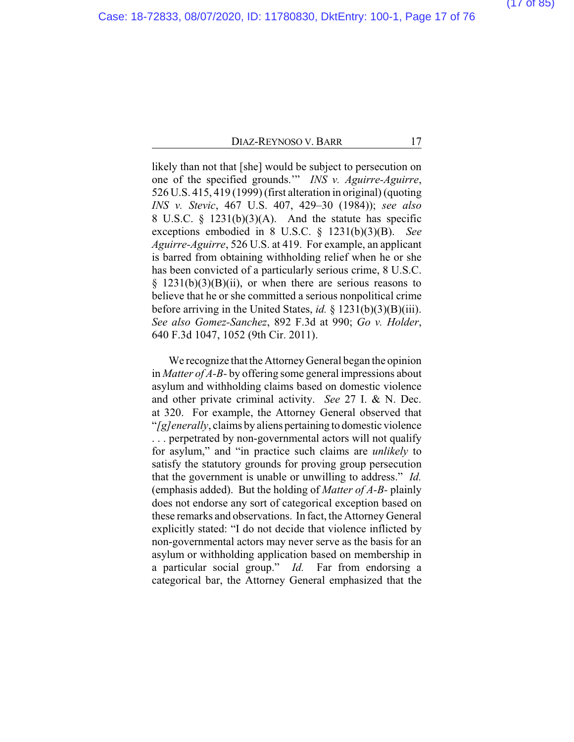likely than not that [she] would be subject to persecution on one of the specified grounds.'" *INS v. Aguirre-Aguirre*, 526 U.S. 415, 419 (1999) (first alteration in original) (quoting *INS v. Stevic*, 467 U.S. 407, 429–30 (1984)); *see also* 8 U.S.C.  $\S$  1231(b)(3)(A). And the statute has specific exceptions embodied in 8 U.S.C. § 1231(b)(3)(B). *See Aguirre-Aguirre*, 526 U.S. at 419. For example, an applicant is barred from obtaining withholding relief when he or she has been convicted of a particularly serious crime, 8 U.S.C.  $§$  1231(b)(3)(B)(ii), or when there are serious reasons to believe that he or she committed a serious nonpolitical crime before arriving in the United States, *id.* § 1231(b)(3)(B)(iii). *See also Gomez-Sanchez*, 892 F.3d at 990; *Go v. Holder*, 640 F.3d 1047, 1052 (9th Cir. 2011).

We recognize that the Attorney General began the opinion in *Matter of A-B-* by offering some general impressions about asylum and withholding claims based on domestic violence and other private criminal activity. *See* 27 I. & N. Dec. at 320. For example, the Attorney General observed that "*[g]enerally*, claims by aliens pertaining to domestic violence . . . perpetrated by non-governmental actors will not qualify for asylum," and "in practice such claims are *unlikely* to satisfy the statutory grounds for proving group persecution that the government is unable or unwilling to address." *Id.* (emphasis added). But the holding of *Matter of A-B-* plainly does not endorse any sort of categorical exception based on these remarks and observations. In fact, the Attorney General explicitly stated: "I do not decide that violence inflicted by non-governmental actors may never serve as the basis for an asylum or withholding application based on membership in a particular social group." *Id.* Far from endorsing a categorical bar, the Attorney General emphasized that the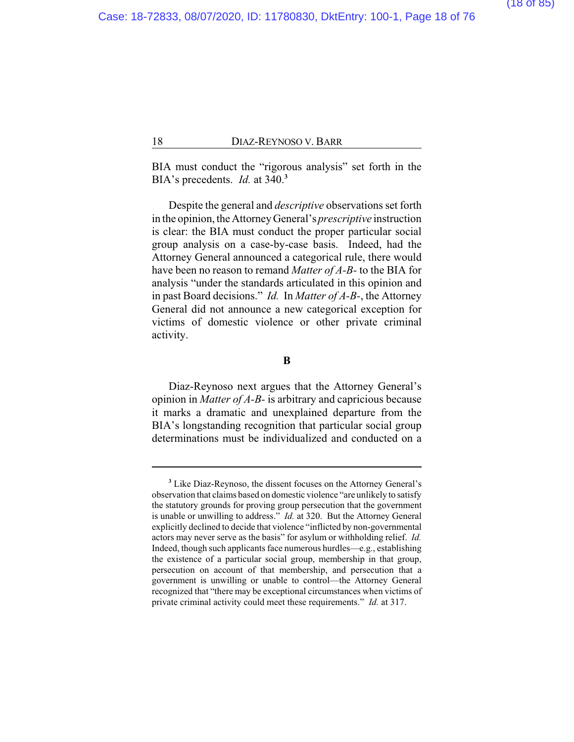BIA must conduct the "rigorous analysis" set forth in the BIA's precedents. *Id.* at 340.**<sup>3</sup>**

Despite the general and *descriptive* observations set forth in the opinion, the AttorneyGeneral's *prescriptive* instruction is clear: the BIA must conduct the proper particular social group analysis on a case-by-case basis. Indeed, had the Attorney General announced a categorical rule, there would have been no reason to remand *Matter of A-B-* to the BIA for analysis "under the standards articulated in this opinion and in past Board decisions." *Id.* In *Matter of A-B-*, the Attorney General did not announce a new categorical exception for victims of domestic violence or other private criminal activity.

# **B**

Diaz-Reynoso next argues that the Attorney General's opinion in *Matter of A-B-* is arbitrary and capricious because it marks a dramatic and unexplained departure from the BIA's longstanding recognition that particular social group determinations must be individualized and conducted on a

**<sup>3</sup>** Like Diaz-Reynoso, the dissent focuses on the Attorney General's observation that claims based on domestic violence "are unlikely to satisfy the statutory grounds for proving group persecution that the government is unable or unwilling to address." *Id.* at 320. But the Attorney General explicitly declined to decide that violence "inflicted by non-governmental actors may never serve as the basis" for asylum or withholding relief. *Id.* Indeed, though such applicants face numerous hurdles—e.g., establishing the existence of a particular social group, membership in that group, persecution on account of that membership, and persecution that a government is unwilling or unable to control—the Attorney General recognized that "there may be exceptional circumstances when victims of private criminal activity could meet these requirements." *Id.* at 317.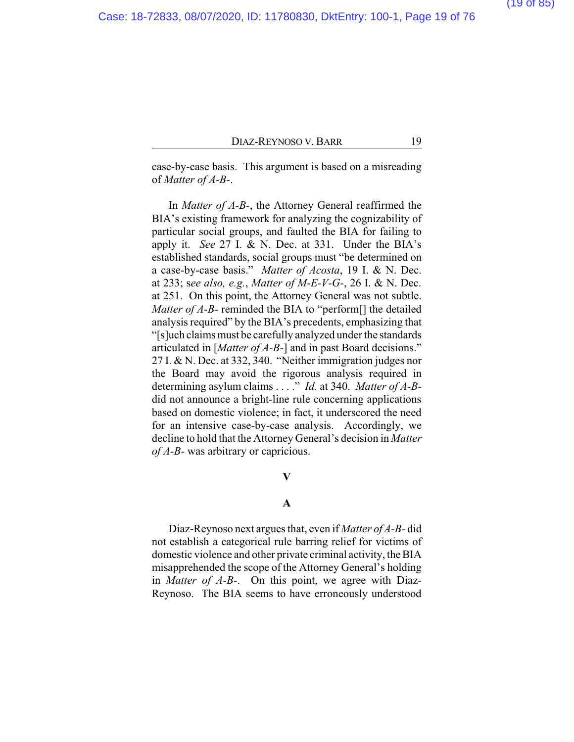case-by-case basis. This argument is based on a misreading of *Matter of A-B-*.

In *Matter of A-B-*, the Attorney General reaffirmed the BIA's existing framework for analyzing the cognizability of particular social groups, and faulted the BIA for failing to apply it. *See* 27 I. & N. Dec. at 331. Under the BIA's established standards, social groups must "be determined on a case-by-case basis." *Matter of Acosta*, 19 I. & N. Dec. at 233; s*ee also, e.g.*, *Matter of M-E-V-G-*, 26 I. & N. Dec. at 251. On this point, the Attorney General was not subtle. *Matter of A-B-* reminded the BIA to "perform<sup>[]</sup> the detailed analysis required" by the BIA's precedents, emphasizing that "[s]uch claims must be carefully analyzed under the standards articulated in [*Matter of A-B-*] and in past Board decisions." 27 I. & N. Dec. at 332, 340. "Neither immigration judges nor the Board may avoid the rigorous analysis required in determining asylum claims . . . ." *Id.* at 340. *Matter of A-B*did not announce a bright-line rule concerning applications based on domestic violence; in fact, it underscored the need for an intensive case-by-case analysis. Accordingly, we decline to hold that the Attorney General's decision in *Matter of A-B-* was arbitrary or capricious.

# **V**

## **A**

Diaz-Reynoso next argues that, even if *Matter of A-B-* did not establish a categorical rule barring relief for victims of domestic violence and other private criminal activity, the BIA misapprehended the scope of the Attorney General's holding in *Matter of A-B-*. On this point, we agree with Diaz-Reynoso. The BIA seems to have erroneously understood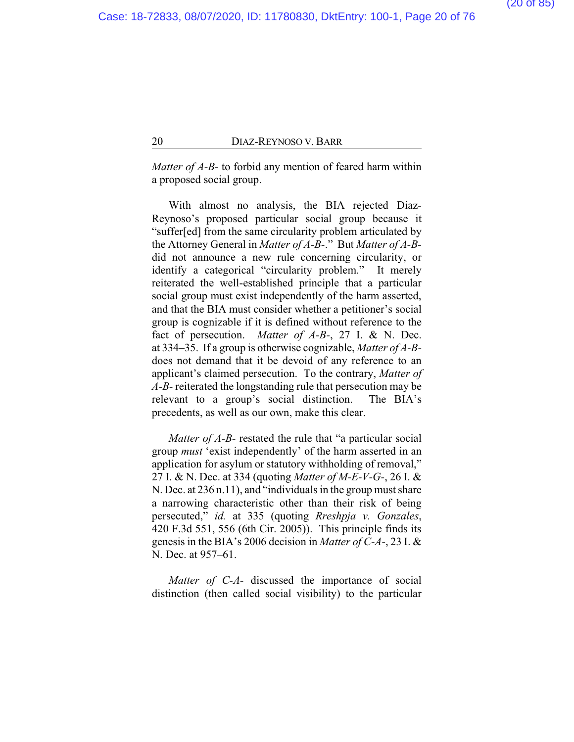*Matter of A-B-* to forbid any mention of feared harm within a proposed social group.

With almost no analysis, the BIA rejected Diaz-Reynoso's proposed particular social group because it "suffer[ed] from the same circularity problem articulated by the Attorney General in *Matter of A-B-*." But *Matter of A-B*did not announce a new rule concerning circularity, or identify a categorical "circularity problem." It merely reiterated the well-established principle that a particular social group must exist independently of the harm asserted, and that the BIA must consider whether a petitioner's social group is cognizable if it is defined without reference to the fact of persecution. *Matter of A-B-*, 27 I. & N. Dec. at 334–35. If a group is otherwise cognizable, *Matter of A-B*does not demand that it be devoid of any reference to an applicant's claimed persecution. To the contrary, *Matter of A-B-* reiterated the longstanding rule that persecution may be relevant to a group's social distinction. The BIA's precedents, as well as our own, make this clear.

*Matter of A-B-* restated the rule that "a particular social group *must* 'exist independently' of the harm asserted in an application for asylum or statutory withholding of removal," 27 I. & N. Dec. at 334 (quoting *Matter of M-E-V-G-*, 26 I. & N. Dec. at 236 n.11), and "individuals in the group must share a narrowing characteristic other than their risk of being persecuted," *id.* at 335 (quoting *Rreshpja v. Gonzales*, 420 F.3d 551, 556 (6th Cir. 2005)). This principle finds its genesis in the BIA's 2006 decision in *Matter of C-A-*, 23 I. & N. Dec. at 957–61.

*Matter of C-A-* discussed the importance of social distinction (then called social visibility) to the particular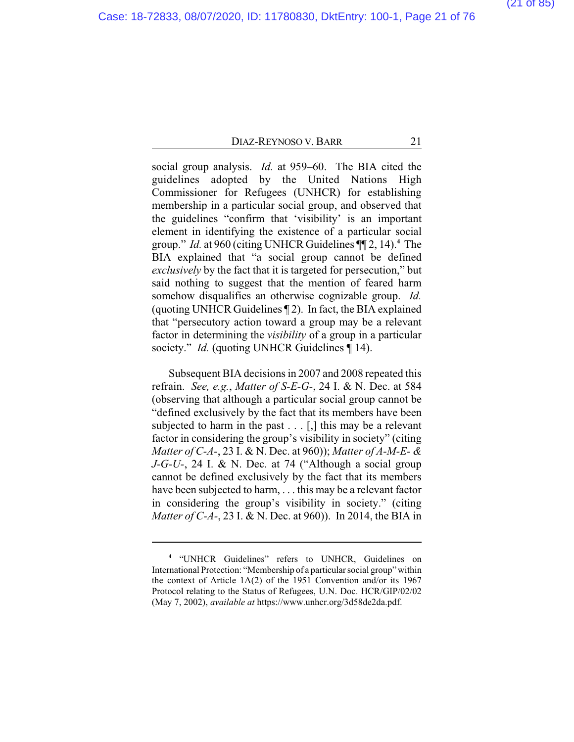social group analysis. *Id.* at 959–60. The BIA cited the guidelines adopted by the United Nations High Commissioner for Refugees (UNHCR) for establishing membership in a particular social group, and observed that the guidelines "confirm that 'visibility' is an important element in identifying the existence of a particular social group." *Id.* at 960 (citing UNHCR Guidelines ¶¶ 2, 14).**<sup>4</sup>** The BIA explained that "a social group cannot be defined *exclusively* by the fact that it is targeted for persecution," but said nothing to suggest that the mention of feared harm somehow disqualifies an otherwise cognizable group. *Id.* (quoting UNHCR Guidelines ¶ 2). In fact, the BIA explained that "persecutory action toward a group may be a relevant factor in determining the *visibility* of a group in a particular society." *Id.* (quoting UNHCR Guidelines ¶ 14).

Subsequent BIA decisions in 2007 and 2008 repeated this refrain. *See, e.g.*, *Matter of S-E-G-*, 24 I. & N. Dec. at 584 (observing that although a particular social group cannot be "defined exclusively by the fact that its members have been subjected to harm in the past . . . [,] this may be a relevant factor in considering the group's visibility in society" (citing *Matter of C-A-*, 23 I. & N. Dec. at 960)); *Matter of A-M-E- & J-G-U-*, 24 I. & N. Dec. at 74 ("Although a social group cannot be defined exclusively by the fact that its members have been subjected to harm, ... this may be a relevant factor in considering the group's visibility in society." (citing *Matter of C-A-*, 23 I. & N. Dec. at 960)). In 2014, the BIA in

**<sup>4</sup>** "UNHCR Guidelines" refers to UNHCR, Guidelines on International Protection: "Membership of a particularsocial group" within the context of Article 1A(2) of the 1951 Convention and/or its 1967 Protocol relating to the Status of Refugees, U.N. Doc. HCR/GIP/02/02 (May 7, 2002), *available at* https://www.unhcr.org/3d58de2da.pdf.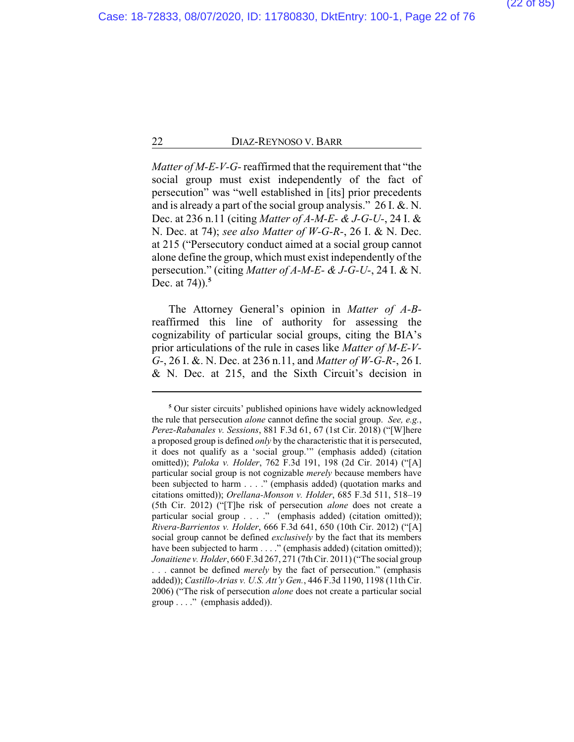*Matter of M-E-V-G-* reaffirmed that the requirement that "the social group must exist independently of the fact of persecution" was "well established in [its] prior precedents and is already a part of the social group analysis." 26 I. &. N. Dec. at 236 n.11 (citing *Matter of A-M-E- & J-G-U-*, 24 I. & N. Dec. at 74); *see also Matter of W-G-R-*, 26 I. & N. Dec. at 215 ("Persecutory conduct aimed at a social group cannot alone define the group, which must exist independently of the persecution." (citing *Matter of A-M-E- & J-G-U-*, 24 I. & N. Dec. at 74)).**<sup>5</sup>**

The Attorney General's opinion in *Matter of A-B*reaffirmed this line of authority for assessing the cognizability of particular social groups, citing the BIA's prior articulations of the rule in cases like *Matter of M-E-V-G-*, 26 I. &. N. Dec. at 236 n.11, and *Matter of W-G-R-*, 26 I. & N. Dec. at 215, and the Sixth Circuit's decision in

**<sup>5</sup>** Our sister circuits' published opinions have widely acknowledged the rule that persecution *alone* cannot define the social group. *See, e.g.*, *Perez-Rabanales v. Sessions*, 881 F.3d 61, 67 (1st Cir. 2018) ("[W]here a proposed group is defined *only* by the characteristic that it is persecuted, it does not qualify as a 'social group.'" (emphasis added) (citation omitted)); *Paloka v. Holder*, 762 F.3d 191, 198 (2d Cir. 2014) ("[A] particular social group is not cognizable *merely* because members have been subjected to harm . . . ." (emphasis added) (quotation marks and citations omitted)); *Orellana-Monson v. Holder*, 685 F.3d 511, 518–19 (5th Cir. 2012) ("[T]he risk of persecution *alone* does not create a particular social group . . . ." (emphasis added) (citation omitted)); *Rivera-Barrientos v. Holder*, 666 F.3d 641, 650 (10th Cir. 2012) ("[A] social group cannot be defined *exclusively* by the fact that its members have been subjected to harm . . . ." (emphasis added) (citation omitted)); *Jonaitiene v. Holder*, 660 F.3d 267, 271 (7th Cir. 2011) ("The social group . . . cannot be defined *merely* by the fact of persecution." (emphasis added)); *Castillo-Arias v. U.S. Att'y Gen.*, 446 F.3d 1190, 1198 (11th Cir. 2006) ("The risk of persecution *alone* does not create a particular social group . . . ." (emphasis added)).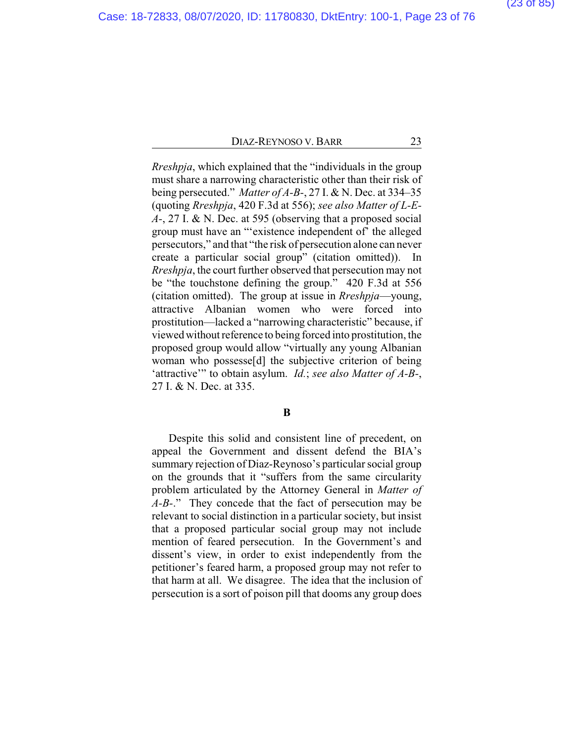*Rreshpja*, which explained that the "individuals in the group must share a narrowing characteristic other than their risk of being persecuted." *Matter of A-B-*, 27 I. & N. Dec. at 334–35 (quoting *Rreshpja*, 420 F.3d at 556); *see also Matter of L-E-A-*, 27 I. & N. Dec. at 595 (observing that a proposed social group must have an "'existence independent of' the alleged persecutors," and that "the risk of persecution alone can never create a particular social group" (citation omitted)). In *Rreshpja*, the court further observed that persecution may not be "the touchstone defining the group." 420 F.3d at 556 (citation omitted). The group at issue in *Rreshpja*—young, attractive Albanian women who were forced into prostitution—lacked a "narrowing characteristic" because, if viewedwithout reference to being forced into prostitution, the proposed group would allow "virtually any young Albanian woman who possesse[d] the subjective criterion of being 'attractive'" to obtain asylum. *Id.*; *see also Matter of A-B-*, 27 I. & N. Dec. at 335.

# **B**

Despite this solid and consistent line of precedent, on appeal the Government and dissent defend the BIA's summary rejection of Diaz-Reynoso's particular social group on the grounds that it "suffers from the same circularity problem articulated by the Attorney General in *Matter of A-B-*." They concede that the fact of persecution may be relevant to social distinction in a particular society, but insist that a proposed particular social group may not include mention of feared persecution. In the Government's and dissent's view, in order to exist independently from the petitioner's feared harm, a proposed group may not refer to that harm at all. We disagree. The idea that the inclusion of persecution is a sort of poison pill that dooms any group does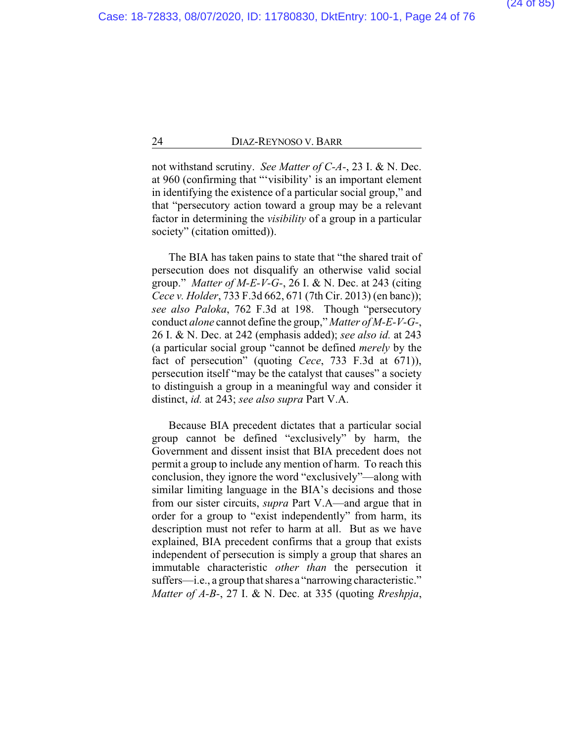not withstand scrutiny. *See Matter of C-A-*, 23 I. & N. Dec. at 960 (confirming that "'visibility' is an important element in identifying the existence of a particular social group," and that "persecutory action toward a group may be a relevant factor in determining the *visibility* of a group in a particular society" (citation omitted)).

The BIA has taken pains to state that "the shared trait of persecution does not disqualify an otherwise valid social group." *Matter of M-E-V-G-*, 26 I. & N. Dec. at 243 (citing *Cece v. Holder*, 733 F.3d 662, 671 (7th Cir. 2013) (en banc)); *see also Paloka*, 762 F.3d at 198. Though "persecutory conduct *alone* cannot define the group," *Matter of M-E-V-G-*, 26 I. & N. Dec. at 242 (emphasis added); *see also id.* at 243 (a particular social group "cannot be defined *merely* by the fact of persecution" (quoting *Cece*, 733 F.3d at 671)), persecution itself "may be the catalyst that causes" a society to distinguish a group in a meaningful way and consider it distinct, *id.* at 243; *see also supra* Part V.A.

Because BIA precedent dictates that a particular social group cannot be defined "exclusively" by harm, the Government and dissent insist that BIA precedent does not permit a group to include any mention of harm. To reach this conclusion, they ignore the word "exclusively"—along with similar limiting language in the BIA's decisions and those from our sister circuits, *supra* Part V.A—and argue that in order for a group to "exist independently" from harm, its description must not refer to harm at all. But as we have explained, BIA precedent confirms that a group that exists independent of persecution is simply a group that shares an immutable characteristic *other than* the persecution it suffers—i.e., a group that shares a "narrowing characteristic." *Matter of A-B-*, 27 I. & N. Dec. at 335 (quoting *Rreshpja*,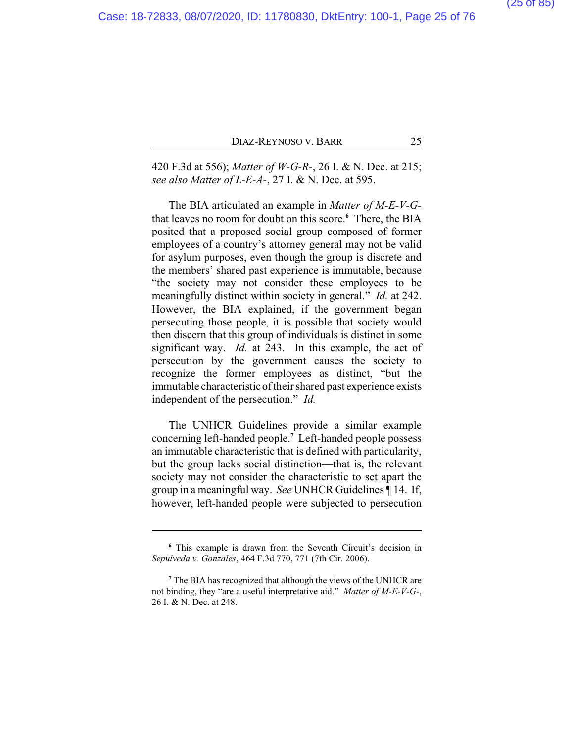420 F.3d at 556); *Matter of W-G-R-*, 26 I. & N. Dec. at 215; *see also Matter of L-E-A-*, 27 I. & N. Dec. at 595.

The BIA articulated an example in *Matter of M-E-V-G*that leaves no room for doubt on this score.**<sup>6</sup>** There, the BIA posited that a proposed social group composed of former employees of a country's attorney general may not be valid for asylum purposes, even though the group is discrete and the members' shared past experience is immutable, because "the society may not consider these employees to be meaningfully distinct within society in general." *Id.* at 242. However, the BIA explained, if the government began persecuting those people, it is possible that society would then discern that this group of individuals is distinct in some significant way. *Id.* at 243. In this example, the act of persecution by the government causes the society to recognize the former employees as distinct, "but the immutable characteristic of their shared past experience exists independent of the persecution." *Id.*

The UNHCR Guidelines provide a similar example concerning left-handed people.**<sup>7</sup>** Left-handed people possess an immutable characteristic that is defined with particularity, but the group lacks social distinction—that is, the relevant society may not consider the characteristic to set apart the group in a meaningful way. *See* UNHCR Guidelines ¶ 14. If, however, left-handed people were subjected to persecution

**<sup>6</sup>** This example is drawn from the Seventh Circuit's decision in *Sepulveda v. Gonzales*, 464 F.3d 770, 771 (7th Cir. 2006).

**<sup>7</sup>** The BIA has recognized that although the views of the UNHCR are not binding, they "are a useful interpretative aid." *Matter of M-E-V-G-*, 26 I. & N. Dec. at 248.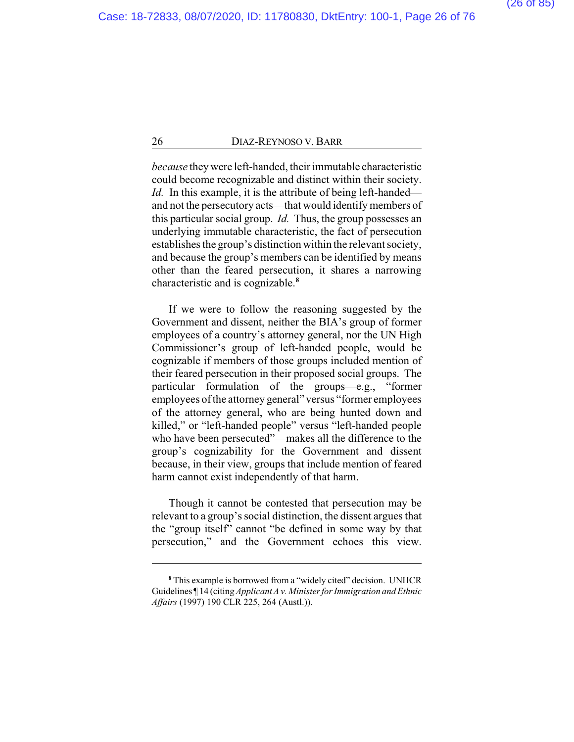*because* they were left-handed, their immutable characteristic could become recognizable and distinct within their society. *Id.* In this example, it is the attribute of being left-handed and not the persecutory acts—that would identify members of this particular social group. *Id.* Thus, the group possesses an underlying immutable characteristic, the fact of persecution establishes the group's distinction within the relevant society, and because the group's members can be identified by means other than the feared persecution, it shares a narrowing characteristic and is cognizable.**<sup>8</sup>**

If we were to follow the reasoning suggested by the Government and dissent, neither the BIA's group of former employees of a country's attorney general, nor the UN High Commissioner's group of left-handed people, would be cognizable if members of those groups included mention of their feared persecution in their proposed social groups. The particular formulation of the groups—e.g., "former employees of the attorney general" versus "former employees of the attorney general, who are being hunted down and killed," or "left-handed people" versus "left-handed people who have been persecuted"—makes all the difference to the group's cognizability for the Government and dissent because, in their view, groups that include mention of feared harm cannot exist independently of that harm.

Though it cannot be contested that persecution may be relevant to a group's social distinction, the dissent argues that the "group itself" cannot "be defined in some way by that persecution," and the Government echoes this view.

**<sup>8</sup>** This example is borrowed from a "widely cited" decision. UNHCR Guidelines ¶ 14 (citing *Applicant A v. Minister for Immigration and Ethnic Affairs* (1997) 190 CLR 225, 264 (Austl.)).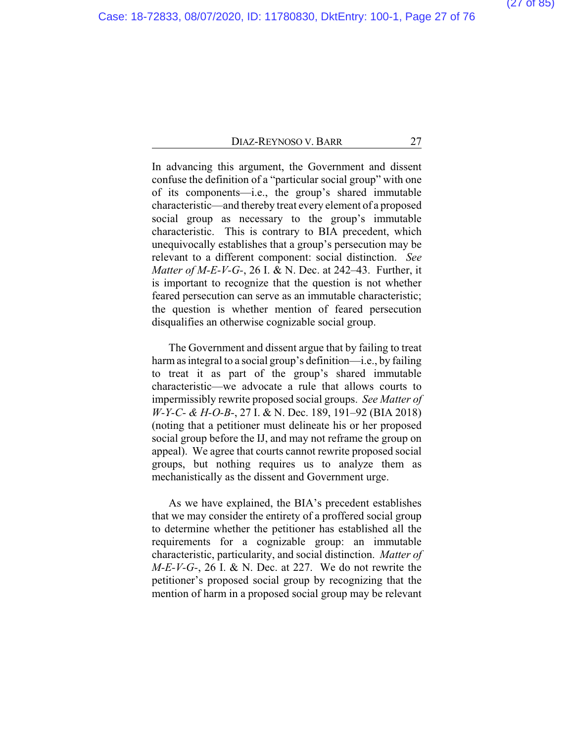In advancing this argument, the Government and dissent confuse the definition of a "particular social group" with one of its components—i.e., the group's shared immutable characteristic—and thereby treat every element of a proposed social group as necessary to the group's immutable characteristic. This is contrary to BIA precedent, which unequivocally establishes that a group's persecution may be relevant to a different component: social distinction. *See Matter of M-E-V-G-*, 26 I. & N. Dec. at 242–43. Further, it is important to recognize that the question is not whether feared persecution can serve as an immutable characteristic; the question is whether mention of feared persecution disqualifies an otherwise cognizable social group.

The Government and dissent argue that by failing to treat harmas integral to a social group's definition—i.e., by failing to treat it as part of the group's shared immutable characteristic—we advocate a rule that allows courts to impermissibly rewrite proposed social groups. *See Matter of W-Y-C- & H-O-B-*, 27 I. & N. Dec. 189, 191–92 (BIA 2018) (noting that a petitioner must delineate his or her proposed social group before the IJ, and may not reframe the group on appeal). We agree that courts cannot rewrite proposed social groups, but nothing requires us to analyze them as mechanistically as the dissent and Government urge.

As we have explained, the BIA's precedent establishes that we may consider the entirety of a proffered social group to determine whether the petitioner has established all the requirements for a cognizable group: an immutable characteristic, particularity, and social distinction. *Matter of M-E-V-G-*, 26 I. & N. Dec. at 227. We do not rewrite the petitioner's proposed social group by recognizing that the mention of harm in a proposed social group may be relevant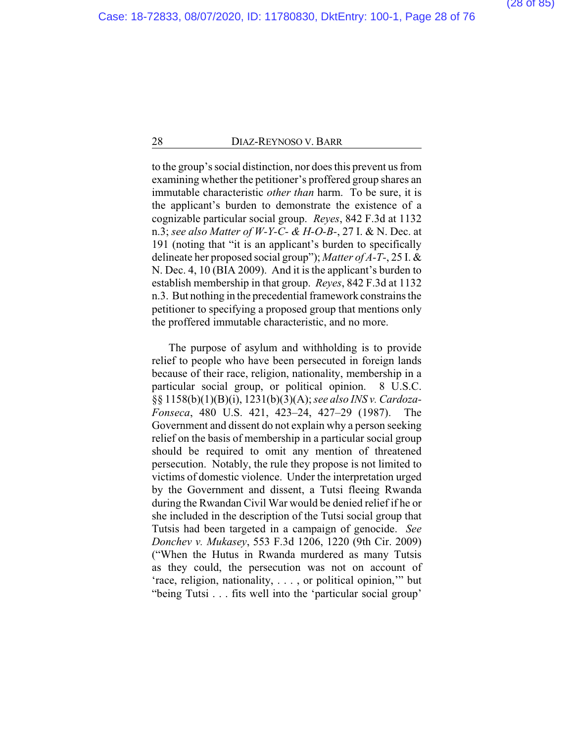to the group's social distinction, nor does this prevent us from examining whether the petitioner's proffered group shares an immutable characteristic *other than* harm. To be sure, it is the applicant's burden to demonstrate the existence of a cognizable particular social group. *Reyes*, 842 F.3d at 1132 n.3; *see also Matter of W-Y-C- & H-O-B-*, 27 I. & N. Dec. at 191 (noting that "it is an applicant's burden to specifically delineate her proposed social group"); *Matter of A-T-*, 25 I. & N. Dec. 4, 10 (BIA 2009). And it is the applicant's burden to establish membership in that group. *Reyes*, 842 F.3d at 1132 n.3. But nothing in the precedential framework constrains the petitioner to specifying a proposed group that mentions only the proffered immutable characteristic, and no more.

The purpose of asylum and withholding is to provide relief to people who have been persecuted in foreign lands because of their race, religion, nationality, membership in a particular social group, or political opinion. 8 U.S.C. §§ 1158(b)(1)(B)(i), 1231(b)(3)(A);*see also INS v. Cardoza-Fonseca*, 480 U.S. 421, 423–24, 427–29 (1987). The Government and dissent do not explain why a person seeking relief on the basis of membership in a particular social group should be required to omit any mention of threatened persecution. Notably, the rule they propose is not limited to victims of domestic violence. Under the interpretation urged by the Government and dissent, a Tutsi fleeing Rwanda during the Rwandan Civil War would be denied relief if he or she included in the description of the Tutsi social group that Tutsis had been targeted in a campaign of genocide. *See Donchev v. Mukasey*, 553 F.3d 1206, 1220 (9th Cir. 2009) ("When the Hutus in Rwanda murdered as many Tutsis as they could, the persecution was not on account of 'race, religion, nationality, . . . , or political opinion,'" but "being Tutsi . . . fits well into the 'particular social group'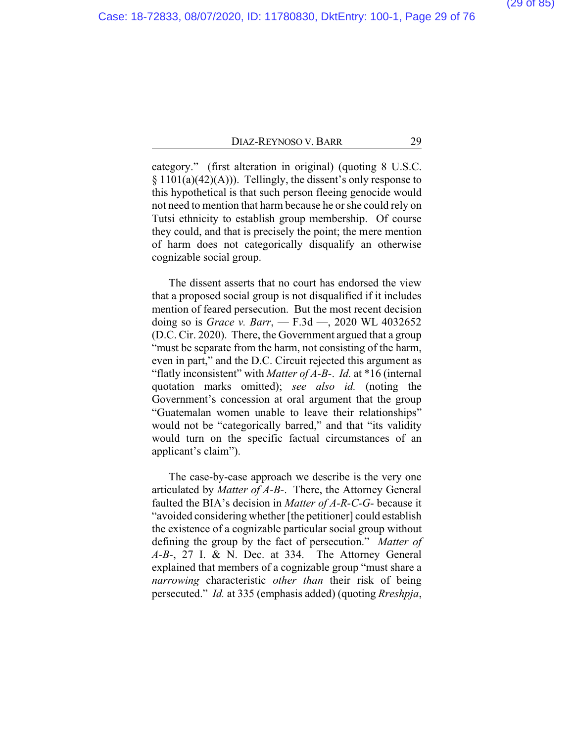category." (first alteration in original) (quoting 8 U.S.C.  $\S 1101(a)(42)(A))$ . Tellingly, the dissent's only response to this hypothetical is that such person fleeing genocide would not need to mention that harm because he or she could rely on Tutsi ethnicity to establish group membership. Of course they could, and that is precisely the point; the mere mention of harm does not categorically disqualify an otherwise cognizable social group.

The dissent asserts that no court has endorsed the view that a proposed social group is not disqualified if it includes mention of feared persecution. But the most recent decision doing so is *Grace v. Barr*, — F.3d —, 2020 WL 4032652 (D.C. Cir. 2020). There, the Government argued that a group "must be separate from the harm, not consisting of the harm, even in part," and the D.C. Circuit rejected this argument as "flatly inconsistent" with *Matter of A-B-*. *Id.* at \*16 (internal quotation marks omitted); *see also id.* (noting the Government's concession at oral argument that the group "Guatemalan women unable to leave their relationships" would not be "categorically barred," and that "its validity would turn on the specific factual circumstances of an applicant's claim").

The case-by-case approach we describe is the very one articulated by *Matter of A-B-*. There, the Attorney General faulted the BIA's decision in *Matter of A-R-C-G-* because it "avoided considering whether [the petitioner] could establish the existence of a cognizable particular social group without defining the group by the fact of persecution." *Matter of A-B-*, 27 I. & N. Dec. at 334. The Attorney General explained that members of a cognizable group "must share a *narrowing* characteristic *other than* their risk of being persecuted." *Id.* at 335 (emphasis added) (quoting *Rreshpja*,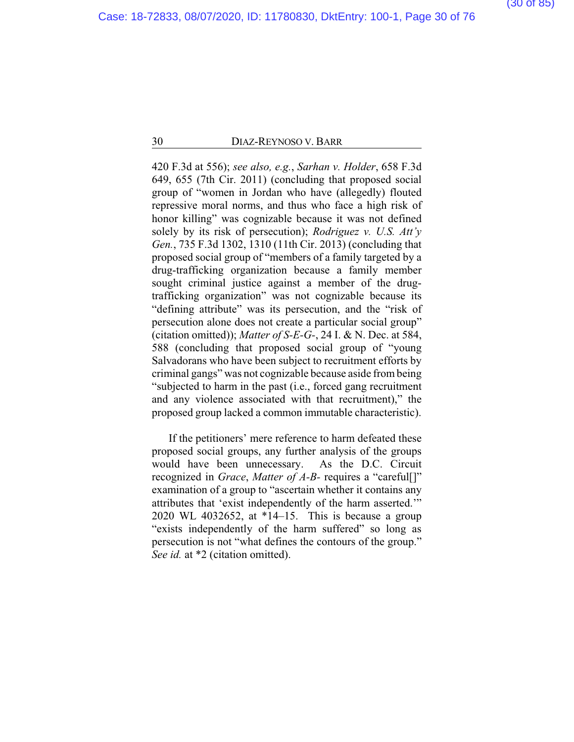420 F.3d at 556); *see also, e.g.*, *Sarhan v. Holder*, 658 F.3d 649, 655 (7th Cir. 2011) (concluding that proposed social group of "women in Jordan who have (allegedly) flouted repressive moral norms, and thus who face a high risk of honor killing" was cognizable because it was not defined solely by its risk of persecution); *Rodriguez v. U.S. Att'y Gen.*, 735 F.3d 1302, 1310 (11th Cir. 2013) (concluding that proposed social group of "members of a family targeted by a drug-trafficking organization because a family member sought criminal justice against a member of the drugtrafficking organization" was not cognizable because its "defining attribute" was its persecution, and the "risk of persecution alone does not create a particular social group" (citation omitted)); *Matter of S-E-G-*, 24 I. & N. Dec. at 584, 588 (concluding that proposed social group of "young Salvadorans who have been subject to recruitment efforts by criminal gangs" was not cognizable because aside from being "subjected to harm in the past (i.e., forced gang recruitment and any violence associated with that recruitment)," the proposed group lacked a common immutable characteristic).

If the petitioners' mere reference to harm defeated these proposed social groups, any further analysis of the groups would have been unnecessary. As the D.C. Circuit recognized in *Grace*, *Matter of A-B-* requires a "careful[]" examination of a group to "ascertain whether it contains any attributes that 'exist independently of the harm asserted.'" 2020 WL 4032652, at \*14–15. This is because a group "exists independently of the harm suffered" so long as persecution is not "what defines the contours of the group." *See id.* at \*2 (citation omitted).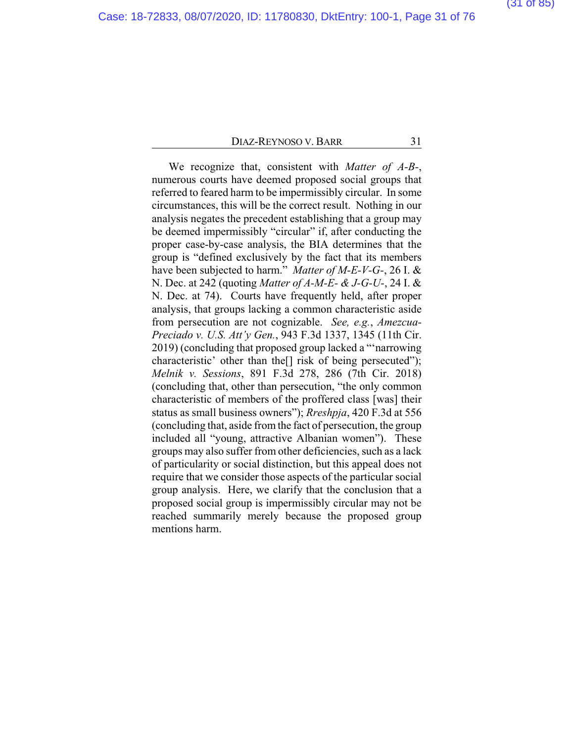We recognize that, consistent with *Matter of A-B-*, numerous courts have deemed proposed social groups that referred to feared harm to be impermissibly circular. In some circumstances, this will be the correct result. Nothing in our analysis negates the precedent establishing that a group may be deemed impermissibly "circular" if, after conducting the proper case-by-case analysis, the BIA determines that the group is "defined exclusively by the fact that its members have been subjected to harm." *Matter of M-E-V-G-*, 26 I. & N. Dec. at 242 (quoting *Matter of A-M-E- & J-G-U-*, 24 I. & N. Dec. at 74). Courts have frequently held, after proper analysis, that groups lacking a common characteristic aside from persecution are not cognizable. *See, e.g.*, *Amezcua-Preciado v. U.S. Att'y Gen.*, 943 F.3d 1337, 1345 (11th Cir. 2019) (concluding that proposed group lacked a "'narrowing characteristic' other than the[] risk of being persecuted"); *Melnik v. Sessions*, 891 F.3d 278, 286 (7th Cir. 2018) (concluding that, other than persecution, "the only common characteristic of members of the proffered class [was] their status as small business owners"); *Rreshpja*, 420 F.3d at 556 (concluding that, aside fromthe fact of persecution, the group included all "young, attractive Albanian women"). These groups may also suffer from other deficiencies, such as a lack of particularity or social distinction, but this appeal does not require that we consider those aspects of the particular social group analysis. Here, we clarify that the conclusion that a proposed social group is impermissibly circular may not be reached summarily merely because the proposed group mentions harm.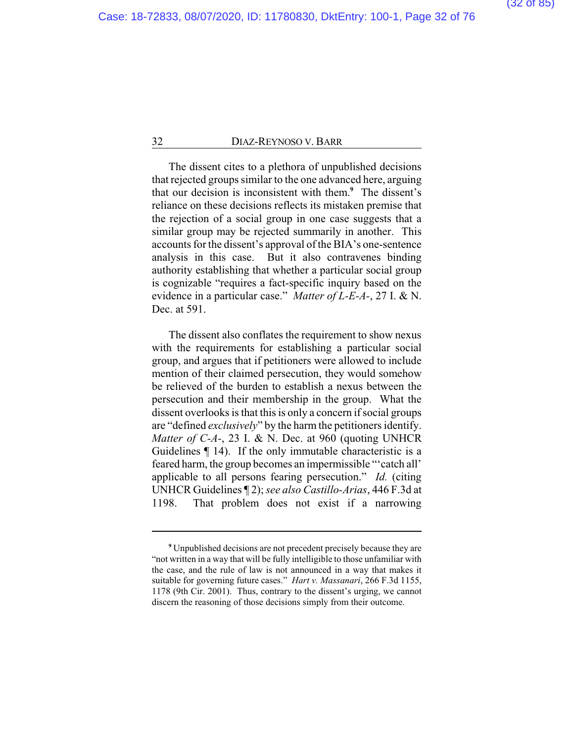The dissent cites to a plethora of unpublished decisions that rejected groups similar to the one advanced here, arguing that our decision is inconsistent with them. **<sup>9</sup>** The dissent's reliance on these decisions reflects its mistaken premise that the rejection of a social group in one case suggests that a similar group may be rejected summarily in another. This accounts for the dissent's approval of the BIA's one-sentence analysis in this case. But it also contravenes binding authority establishing that whether a particular social group is cognizable "requires a fact-specific inquiry based on the evidence in a particular case." *Matter of L-E-A-*, 27 I. & N. Dec. at 591.

The dissent also conflates the requirement to show nexus with the requirements for establishing a particular social group, and argues that if petitioners were allowed to include mention of their claimed persecution, they would somehow be relieved of the burden to establish a nexus between the persecution and their membership in the group. What the dissent overlooks is that this is only a concern if social groups are "defined *exclusively*" by the harm the petitioners identify. *Matter of C-A-*, 23 I. & N. Dec. at 960 (quoting UNHCR Guidelines ¶ 14). If the only immutable characteristic is a feared harm, the group becomes an impermissible "'catch all' applicable to all persons fearing persecution." *Id.* (citing UNHCR Guidelines ¶ 2); *see also Castillo-Arias*, 446 F.3d at 1198. That problem does not exist if a narrowing

**<sup>9</sup>** Unpublished decisions are not precedent precisely because they are "not written in a way that will be fully intelligible to those unfamiliar with the case, and the rule of law is not announced in a way that makes it suitable for governing future cases." *Hart v. Massanari*, 266 F.3d 1155, 1178 (9th Cir. 2001). Thus, contrary to the dissent's urging, we cannot discern the reasoning of those decisions simply from their outcome.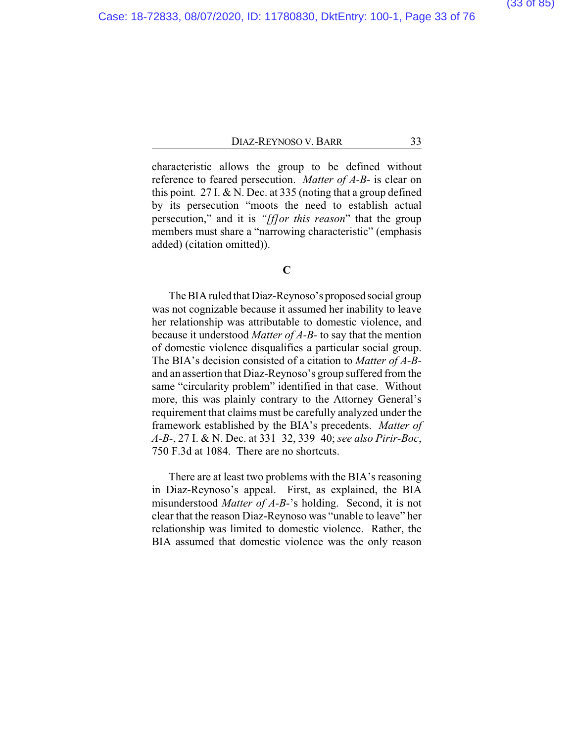characteristic allows the group to be defined without reference to feared persecution. *Matter of A-B-* is clear on this point*.* 27 I. & N. Dec. at 335 (noting that a group defined by its persecution "moots the need to establish actual persecution," and it is *"[f]or this reason*" that the group members must share a "narrowing characteristic" (emphasis added) (citation omitted)).

# **C**

The BIA ruled that Diaz-Reynoso's proposed social group was not cognizable because it assumed her inability to leave her relationship was attributable to domestic violence, and because it understood *Matter of A-B-* to say that the mention of domestic violence disqualifies a particular social group. The BIA's decision consisted of a citation to *Matter of A-B*and an assertion that Diaz-Reynoso's group suffered from the same "circularity problem" identified in that case. Without more, this was plainly contrary to the Attorney General's requirement that claims must be carefully analyzed under the framework established by the BIA's precedents. *Matter of A-B-*, 27 I. & N. Dec. at 331–32, 339–40; *see also Pirir-Boc*, 750 F.3d at 1084. There are no shortcuts.

There are at least two problems with the BIA's reasoning in Diaz-Reynoso's appeal. First, as explained, the BIA misunderstood *Matter of A-B-*'s holding. Second, it is not clear that the reason Diaz-Reynoso was "unable to leave" her relationship was limited to domestic violence. Rather, the BIA assumed that domestic violence was the only reason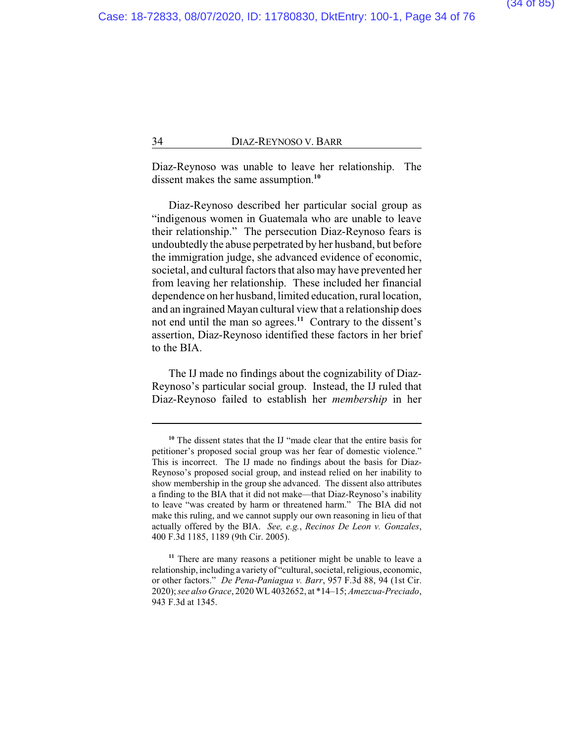Diaz-Reynoso was unable to leave her relationship. The dissent makes the same assumption.**<sup>10</sup>**

Diaz-Reynoso described her particular social group as "indigenous women in Guatemala who are unable to leave their relationship." The persecution Diaz-Reynoso fears is undoubtedly the abuse perpetrated by her husband, but before the immigration judge, she advanced evidence of economic, societal, and cultural factors that also may have prevented her from leaving her relationship. These included her financial dependence on her husband, limited education, rural location, and an ingrained Mayan cultural view that a relationship does not end until the man so agrees.**<sup>11</sup>** Contrary to the dissent's assertion, Diaz-Reynoso identified these factors in her brief to the BIA.

The IJ made no findings about the cognizability of Diaz-Reynoso's particular social group. Instead, the IJ ruled that Diaz-Reynoso failed to establish her *membership* in her

**<sup>10</sup>** The dissent states that the IJ "made clear that the entire basis for petitioner's proposed social group was her fear of domestic violence." This is incorrect. The IJ made no findings about the basis for Diaz-Reynoso's proposed social group, and instead relied on her inability to show membership in the group she advanced. The dissent also attributes a finding to the BIA that it did not make—that Diaz-Reynoso's inability to leave "was created by harm or threatened harm." The BIA did not make this ruling, and we cannot supply our own reasoning in lieu of that actually offered by the BIA. *See, e.g.*, *Recinos De Leon v. Gonzales*, 400 F.3d 1185, 1189 (9th Cir. 2005).

**<sup>11</sup>** There are many reasons a petitioner might be unable to leave a relationship, including a variety of "cultural, societal, religious, economic, or other factors." *De Pena-Paniagua v. Barr*, 957 F.3d 88, 94 (1st Cir. 2020); *see also Grace*, 2020 WL 4032652, at \*14–15; *Amezcua-Preciado*, 943 F.3d at 1345.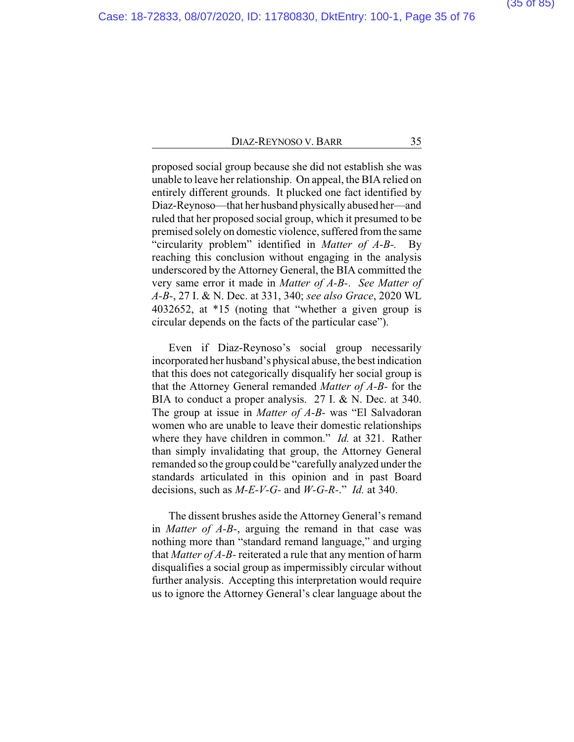proposed social group because she did not establish she was unable to leave her relationship. On appeal, the BIA relied on entirely different grounds. It plucked one fact identified by Diaz-Reynoso—that her husband physically abused her—and ruled that her proposed social group, which it presumed to be premised solely on domestic violence, suffered fromthe same "circularity problem" identified in *Matter of A-B-.* By reaching this conclusion without engaging in the analysis underscored by the Attorney General, the BIA committed the very same error it made in *Matter of A-B-*. *See Matter of A-B-*, 27 I. & N. Dec. at 331, 340; *see also Grace*, 2020 WL 4032652, at \*15 (noting that "whether a given group is circular depends on the facts of the particular case").

Even if Diaz-Reynoso's social group necessarily incorporated her husband's physical abuse, the best indication that this does not categorically disqualify her social group is that the Attorney General remanded *Matter of A-B-* for the BIA to conduct a proper analysis. 27 I. & N. Dec. at 340. The group at issue in *Matter of A-B-* was "El Salvadoran women who are unable to leave their domestic relationships where they have children in common." *Id.* at 321. Rather than simply invalidating that group, the Attorney General remanded so the group could be "carefully analyzed under the standards articulated in this opinion and in past Board decisions, such as *M-E-V-G-* and *W-G-R-*." *Id.* at 340.

The dissent brushes aside the Attorney General's remand in *Matter of A-B-*, arguing the remand in that case was nothing more than "standard remand language," and urging that *Matter of A-B-* reiterated a rule that any mention of harm disqualifies a social group as impermissibly circular without further analysis. Accepting this interpretation would require us to ignore the Attorney General's clear language about the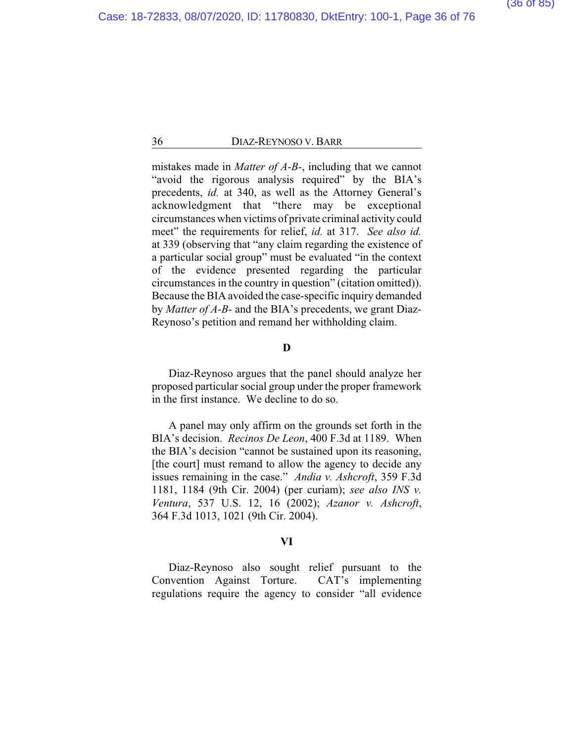mistakes made in *Matter of A-B-*, including that we cannot "avoid the rigorous analysis required" by the BIA's precedents, *id.* at 340, as well as the Attorney General's acknowledgment that "there may be exceptional circumstances when victims of private criminal activity could meet" the requirements for relief, *id.* at 317. *See also id.* at 339 (observing that "any claim regarding the existence of a particular social group" must be evaluated "in the context of the evidence presented regarding the particular circumstances in the country in question" (citation omitted)). Because the BIA avoided the case-specific inquiry demanded by *Matter of A-B-* and the BIA's precedents, we grant Diaz-Reynoso's petition and remand her withholding claim.

# **D**

Diaz-Reynoso argues that the panel should analyze her proposed particular social group under the proper framework in the first instance. We decline to do so.

A panel may only affirm on the grounds set forth in the BIA's decision. *Recinos De Leon*, 400 F.3d at 1189. When the BIA's decision "cannot be sustained upon its reasoning, [the court] must remand to allow the agency to decide any issues remaining in the case." *Andia v. Ashcroft*, 359 F.3d 1181, 1184 (9th Cir. 2004) (per curiam); *see also INS v. Ventura*, 537 U.S. 12, 16 (2002); *Azanor v. Ashcroft*, 364 F.3d 1013, 1021 (9th Cir. 2004).

# **VI**

Diaz-Reynoso also sought relief pursuant to the Convention Against Torture. CAT's implementing regulations require the agency to consider "all evidence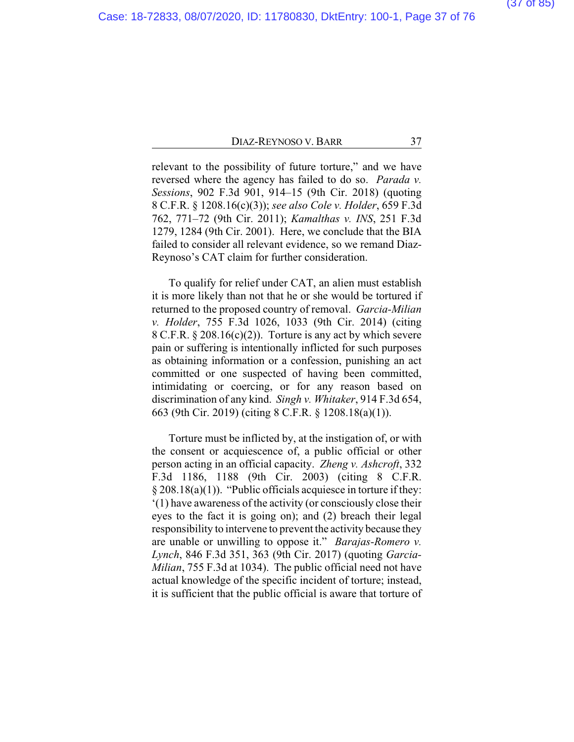relevant to the possibility of future torture," and we have reversed where the agency has failed to do so. *Parada v. Sessions*, 902 F.3d 901, 914–15 (9th Cir. 2018) (quoting 8 C.F.R. § 1208.16(c)(3)); *see also Cole v. Holder*, 659 F.3d 762, 771–72 (9th Cir. 2011); *Kamalthas v. INS*, 251 F.3d 1279, 1284 (9th Cir. 2001). Here, we conclude that the BIA failed to consider all relevant evidence, so we remand Diaz-Reynoso's CAT claim for further consideration.

To qualify for relief under CAT, an alien must establish it is more likely than not that he or she would be tortured if returned to the proposed country of removal. *Garcia-Milian v. Holder*, 755 F.3d 1026, 1033 (9th Cir. 2014) (citing 8 C.F.R.  $\S 208.16(c)(2)$ . Torture is any act by which severe pain or suffering is intentionally inflicted for such purposes as obtaining information or a confession, punishing an act committed or one suspected of having been committed, intimidating or coercing, or for any reason based on discrimination of any kind. *Singh v. Whitaker*, 914 F.3d 654, 663 (9th Cir. 2019) (citing 8 C.F.R. § 1208.18(a)(1)).

Torture must be inflicted by, at the instigation of, or with the consent or acquiescence of, a public official or other person acting in an official capacity. *Zheng v. Ashcroft*, 332 F.3d 1186, 1188 (9th Cir. 2003) (citing 8 C.F.R.  $\S 208.18(a)(1)$ . "Public officials acquiesce in torture if they: '(1) have awareness of the activity (or consciously close their eyes to the fact it is going on); and (2) breach their legal responsibility to intervene to prevent the activity because they are unable or unwilling to oppose it." *Barajas-Romero v. Lynch*, 846 F.3d 351, 363 (9th Cir. 2017) (quoting *Garcia-Milian*, 755 F.3d at 1034). The public official need not have actual knowledge of the specific incident of torture; instead, it is sufficient that the public official is aware that torture of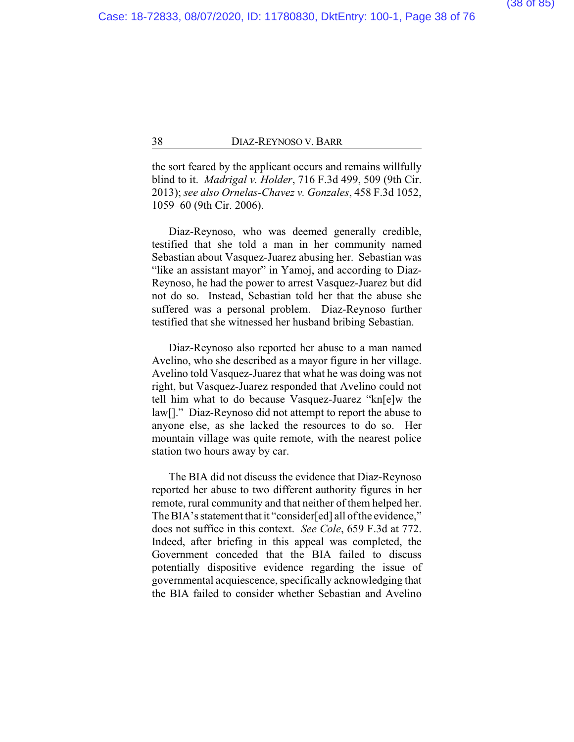the sort feared by the applicant occurs and remains willfully blind to it. *Madrigal v. Holder*, 716 F.3d 499, 509 (9th Cir. 2013); *see also Ornelas-Chavez v. Gonzales*, 458 F.3d 1052, 1059–60 (9th Cir. 2006).

Diaz-Reynoso, who was deemed generally credible, testified that she told a man in her community named Sebastian about Vasquez-Juarez abusing her. Sebastian was "like an assistant mayor" in Yamoj, and according to Diaz-Reynoso, he had the power to arrest Vasquez-Juarez but did not do so. Instead, Sebastian told her that the abuse she suffered was a personal problem. Diaz-Reynoso further testified that she witnessed her husband bribing Sebastian.

Diaz-Reynoso also reported her abuse to a man named Avelino, who she described as a mayor figure in her village. Avelino told Vasquez-Juarez that what he was doing was not right, but Vasquez-Juarez responded that Avelino could not tell him what to do because Vasquez-Juarez "kn[e]w the law[]." Diaz-Reynoso did not attempt to report the abuse to anyone else, as she lacked the resources to do so. Her mountain village was quite remote, with the nearest police station two hours away by car.

The BIA did not discuss the evidence that Diaz-Reynoso reported her abuse to two different authority figures in her remote, rural community and that neither of them helped her. The BIA's statement that it "consider[ed] all of the evidence," does not suffice in this context. *See Cole*, 659 F.3d at 772. Indeed, after briefing in this appeal was completed, the Government conceded that the BIA failed to discuss potentially dispositive evidence regarding the issue of governmental acquiescence, specifically acknowledging that the BIA failed to consider whether Sebastian and Avelino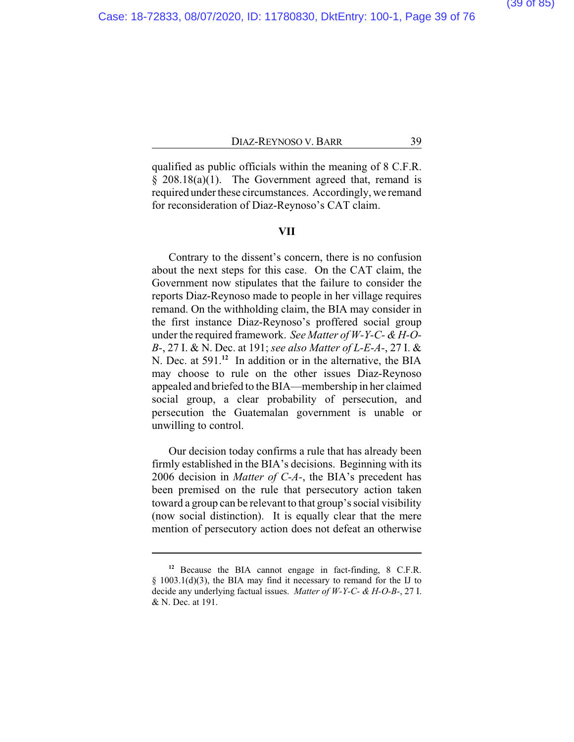qualified as public officials within the meaning of 8 C.F.R.  $§$  208.18(a)(1). The Government agreed that, remand is required under these circumstances. Accordingly, we remand for reconsideration of Diaz-Reynoso's CAT claim.

# **VII**

Contrary to the dissent's concern, there is no confusion about the next steps for this case. On the CAT claim, the Government now stipulates that the failure to consider the reports Diaz-Reynoso made to people in her village requires remand. On the withholding claim, the BIA may consider in the first instance Diaz-Reynoso's proffered social group under the required framework. *See Matter of W-Y-C- & H-O-B-*, 27 I. & N. Dec. at 191; *see also Matter of L-E-A-*, 27 I. & N. Dec. at 591.**<sup>12</sup>** In addition or in the alternative, the BIA may choose to rule on the other issues Diaz-Reynoso appealed and briefed to the BIA—membership in her claimed social group, a clear probability of persecution, and persecution the Guatemalan government is unable or unwilling to control.

Our decision today confirms a rule that has already been firmly established in the BIA's decisions. Beginning with its 2006 decision in *Matter of C-A-*, the BIA's precedent has been premised on the rule that persecutory action taken toward a group can be relevant to that group's social visibility (now social distinction). It is equally clear that the mere mention of persecutory action does not defeat an otherwise

**<sup>12</sup>** Because the BIA cannot engage in fact-finding, 8 C.F.R.  $\S$  1003.1(d)(3), the BIA may find it necessary to remand for the IJ to decide any underlying factual issues. *Matter of W-Y-C- & H-O-B-*, 27 I. & N. Dec. at 191.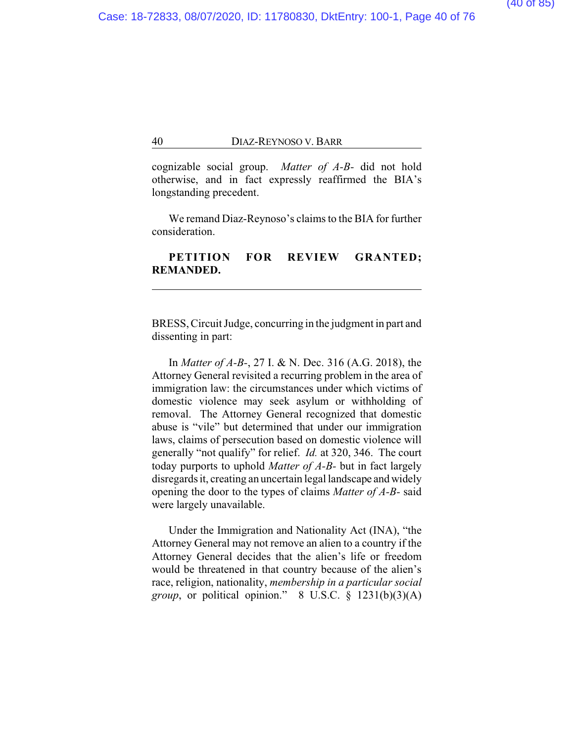cognizable social group. *Matter of A-B-* did not hold otherwise, and in fact expressly reaffirmed the BIA's longstanding precedent.

We remand Diaz-Reynoso's claims to the BIA for further consideration.

# **PETITION FOR REVIEW GRANTED; REMANDED.**

BRESS, Circuit Judge, concurring in the judgment in part and dissenting in part:

In *Matter of A-B-*, 27 I. & N. Dec. 316 (A.G. 2018), the Attorney General revisited a recurring problem in the area of immigration law: the circumstances under which victims of domestic violence may seek asylum or withholding of removal. The Attorney General recognized that domestic abuse is "vile" but determined that under our immigration laws, claims of persecution based on domestic violence will generally "not qualify" for relief. *Id.* at 320, 346. The court today purports to uphold *Matter of A-B-* but in fact largely disregards it, creating an uncertain legal landscape and widely opening the door to the types of claims *Matter of A-B-* said were largely unavailable.

Under the Immigration and Nationality Act (INA), "the Attorney General may not remove an alien to a country if the Attorney General decides that the alien's life or freedom would be threatened in that country because of the alien's race, religion, nationality, *membership in a particular social group*, or political opinion." 8 U.S.C. § 1231(b)(3)(A)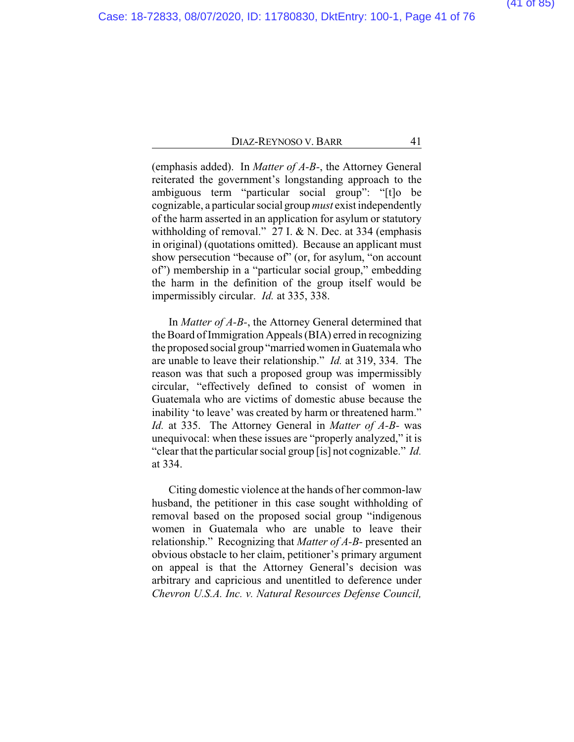(emphasis added). In *Matter of A-B-*, the Attorney General reiterated the government's longstanding approach to the ambiguous term "particular social group": "[t]o be cognizable, a particular social group*must* exist independently of the harm asserted in an application for asylum or statutory withholding of removal." 27 I. & N. Dec. at 334 (emphasis in original) (quotations omitted). Because an applicant must show persecution "because of" (or, for asylum, "on account of") membership in a "particular social group," embedding the harm in the definition of the group itself would be impermissibly circular. *Id.* at 335, 338.

In *Matter of A-B-*, the Attorney General determined that the Board of Immigration Appeals (BIA) erred in recognizing the proposed social group "married women in Guatemala who are unable to leave their relationship." *Id.* at 319, 334. The reason was that such a proposed group was impermissibly circular, "effectively defined to consist of women in Guatemala who are victims of domestic abuse because the inability 'to leave' was created by harm or threatened harm." *Id.* at 335. The Attorney General in *Matter of A-B-* was unequivocal: when these issues are "properly analyzed," it is "clear that the particular social group [is] not cognizable." *Id.* at 334.

Citing domestic violence at the hands of her common-law husband, the petitioner in this case sought withholding of removal based on the proposed social group "indigenous women in Guatemala who are unable to leave their relationship." Recognizing that *Matter of A-B-* presented an obvious obstacle to her claim, petitioner's primary argument on appeal is that the Attorney General's decision was arbitrary and capricious and unentitled to deference under *Chevron U.S.A. Inc. v. Natural Resources Defense Council,*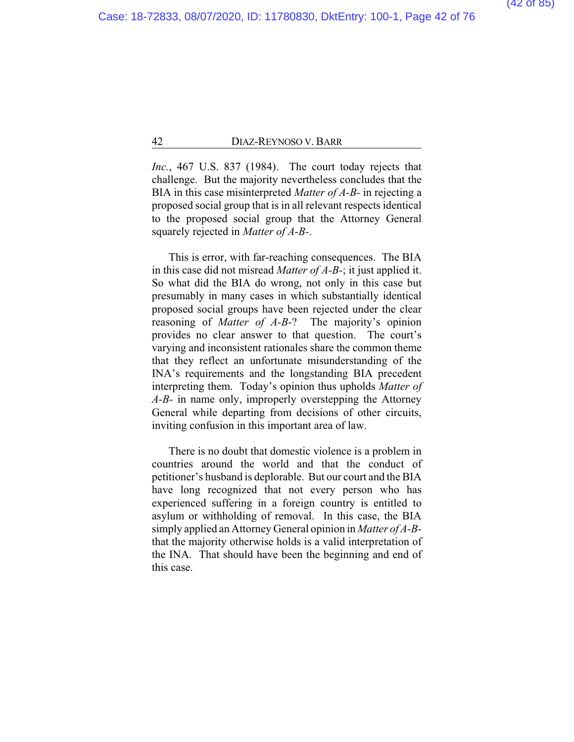*Inc.*, 467 U.S. 837 (1984). The court today rejects that challenge. But the majority nevertheless concludes that the BIA in this case misinterpreted *Matter of A-B-* in rejecting a proposed social group that is in all relevant respects identical to the proposed social group that the Attorney General squarely rejected in *Matter of A-B-*.

This is error, with far-reaching consequences. The BIA in this case did not misread *Matter of A-B-*; it just applied it. So what did the BIA do wrong, not only in this case but presumably in many cases in which substantially identical proposed social groups have been rejected under the clear reasoning of *Matter of A-B-*? The majority's opinion provides no clear answer to that question. The court's varying and inconsistent rationales share the common theme that they reflect an unfortunate misunderstanding of the INA's requirements and the longstanding BIA precedent interpreting them. Today's opinion thus upholds *Matter of A-B-* in name only, improperly overstepping the Attorney General while departing from decisions of other circuits, inviting confusion in this important area of law.

There is no doubt that domestic violence is a problem in countries around the world and that the conduct of petitioner's husband is deplorable. But our court and the BIA have long recognized that not every person who has experienced suffering in a foreign country is entitled to asylum or withholding of removal. In this case, the BIA simply applied an Attorney General opinion in *Matter of A-B*that the majority otherwise holds is a valid interpretation of the INA. That should have been the beginning and end of this case.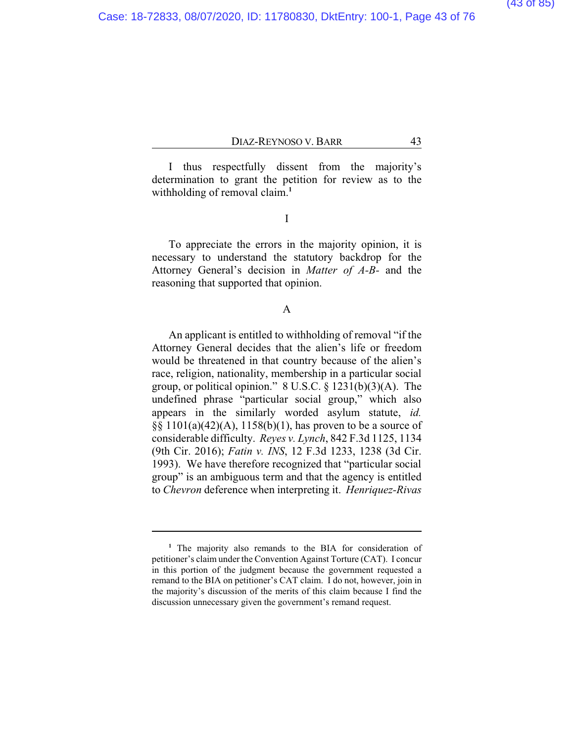I thus respectfully dissent from the majority's determination to grant the petition for review as to the withholding of removal claim. **1**

I

To appreciate the errors in the majority opinion, it is necessary to understand the statutory backdrop for the Attorney General's decision in *Matter of A-B-* and the reasoning that supported that opinion.

# A

An applicant is entitled to withholding of removal "if the Attorney General decides that the alien's life or freedom would be threatened in that country because of the alien's race, religion, nationality, membership in a particular social group, or political opinion." 8 U.S.C. § 1231(b)(3)(A). The undefined phrase "particular social group," which also appears in the similarly worded asylum statute, *id.* §§ 1101(a)(42)(A), 1158(b)(1), has proven to be a source of considerable difficulty. *Reyes v. Lynch*, 842 F.3d 1125, 1134 (9th Cir. 2016); *Fatin v. INS*, 12 F.3d 1233, 1238 (3d Cir. 1993). We have therefore recognized that "particular social group" is an ambiguous term and that the agency is entitled to *Chevron* deference when interpreting it. *Henriquez-Rivas*

**<sup>1</sup>** The majority also remands to the BIA for consideration of petitioner's claim under the Convention Against Torture (CAT). I concur in this portion of the judgment because the government requested a remand to the BIA on petitioner's CAT claim. I do not, however, join in the majority's discussion of the merits of this claim because I find the discussion unnecessary given the government's remand request.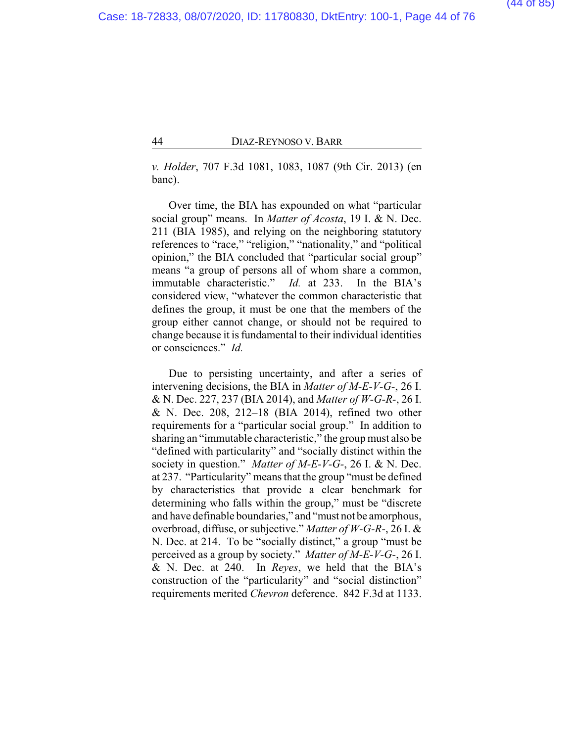*v. Holder*, 707 F.3d 1081, 1083, 1087 (9th Cir. 2013) (en banc).

Over time, the BIA has expounded on what "particular social group" means. In *Matter of Acosta*, 19 I. & N. Dec. 211 (BIA 1985), and relying on the neighboring statutory references to "race," "religion," "nationality," and "political opinion," the BIA concluded that "particular social group" means "a group of persons all of whom share a common, immutable characteristic." *Id.* at 233. In the BIA's considered view, "whatever the common characteristic that defines the group, it must be one that the members of the group either cannot change, or should not be required to change because it is fundamental to their individual identities or consciences." *Id.*

Due to persisting uncertainty, and after a series of intervening decisions, the BIA in *Matter of M-E-V-G-*, 26 I. & N. Dec. 227, 237 (BIA 2014), and *Matter of W-G-R-*, 26 I. & N. Dec. 208, 212–18 (BIA 2014), refined two other requirements for a "particular social group." In addition to sharing an "immutable characteristic," the group must also be "defined with particularity" and "socially distinct within the society in question." *Matter of M-E-V-G-*, 26 I. & N. Dec. at 237. "Particularity" means that the group "must be defined by characteristics that provide a clear benchmark for determining who falls within the group," must be "discrete and have definable boundaries," and "must not be amorphous, overbroad, diffuse, or subjective." *Matter of W-G-R-*, 26 I. & N. Dec. at 214. To be "socially distinct," a group "must be perceived as a group by society." *Matter of M-E-V-G-*, 26 I. & N. Dec. at 240. In *Reyes*, we held that the BIA's construction of the "particularity" and "social distinction" requirements merited *Chevron* deference. 842 F.3d at 1133.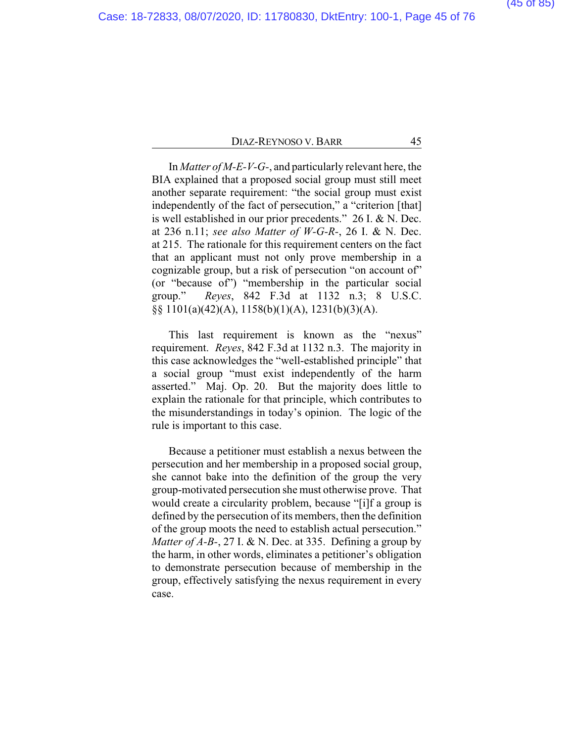In *Matter of M-E-V-G-*, and particularly relevant here, the BIA explained that a proposed social group must still meet another separate requirement: "the social group must exist independently of the fact of persecution," a "criterion [that] is well established in our prior precedents." 26 I. & N. Dec. at 236 n.11; *see also Matter of W-G-R-*, 26 I. & N. Dec. at 215. The rationale for this requirement centers on the fact that an applicant must not only prove membership in a cognizable group, but a risk of persecution "on account of" (or "because of") "membership in the particular social group." *Reyes*, 842 F.3d at 1132 n.3; 8 U.S.C. §§ 1101(a)(42)(A), 1158(b)(1)(A), 1231(b)(3)(A).

This last requirement is known as the "nexus" requirement. *Reyes*, 842 F.3d at 1132 n.3. The majority in this case acknowledges the "well-established principle" that a social group "must exist independently of the harm asserted." Maj. Op. 20. But the majority does little to explain the rationale for that principle, which contributes to the misunderstandings in today's opinion. The logic of the rule is important to this case.

Because a petitioner must establish a nexus between the persecution and her membership in a proposed social group, she cannot bake into the definition of the group the very group-motivated persecution she must otherwise prove. That would create a circularity problem, because "[i]f a group is defined by the persecution of its members, then the definition of the group moots the need to establish actual persecution." *Matter of A-B-*, 27 I. & N. Dec. at 335. Defining a group by the harm, in other words, eliminates a petitioner's obligation to demonstrate persecution because of membership in the group, effectively satisfying the nexus requirement in every case.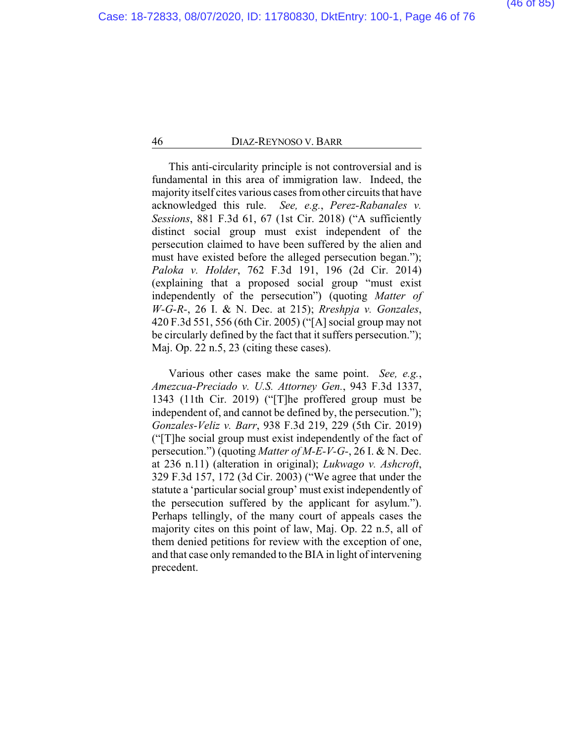This anti-circularity principle is not controversial and is fundamental in this area of immigration law. Indeed, the majority itself cites various cases fromother circuits that have acknowledged this rule. *See, e.g.*, *Perez-Rabanales v. Sessions*, 881 F.3d 61, 67 (1st Cir. 2018) ("A sufficiently distinct social group must exist independent of the persecution claimed to have been suffered by the alien and must have existed before the alleged persecution began."); *Paloka v. Holder*, 762 F.3d 191, 196 (2d Cir. 2014) (explaining that a proposed social group "must exist independently of the persecution") (quoting *Matter of W-G-R-*, 26 I. & N. Dec. at 215); *Rreshpja v. Gonzales*, 420 F.3d 551, 556 (6th Cir. 2005) ("[A] social group may not be circularly defined by the fact that it suffers persecution."); Maj. Op. 22 n.5, 23 (citing these cases).

Various other cases make the same point. *See, e.g.*, *Amezcua-Preciado v. U.S. Attorney Gen.*, 943 F.3d 1337, 1343 (11th Cir. 2019) ("[T]he proffered group must be independent of, and cannot be defined by, the persecution."); *Gonzales-Veliz v. Barr*, 938 F.3d 219, 229 (5th Cir. 2019) ("[T]he social group must exist independently of the fact of persecution.") (quoting *Matter of M-E-V-G-*, 26 I. & N. Dec. at 236 n.11) (alteration in original); *Lukwago v. Ashcroft*, 329 F.3d 157, 172 (3d Cir. 2003) ("We agree that under the statute a 'particular social group' must exist independently of the persecution suffered by the applicant for asylum."). Perhaps tellingly, of the many court of appeals cases the majority cites on this point of law, Maj. Op. 22 n.5, all of them denied petitions for review with the exception of one, and that case only remanded to the BIA in light of intervening precedent.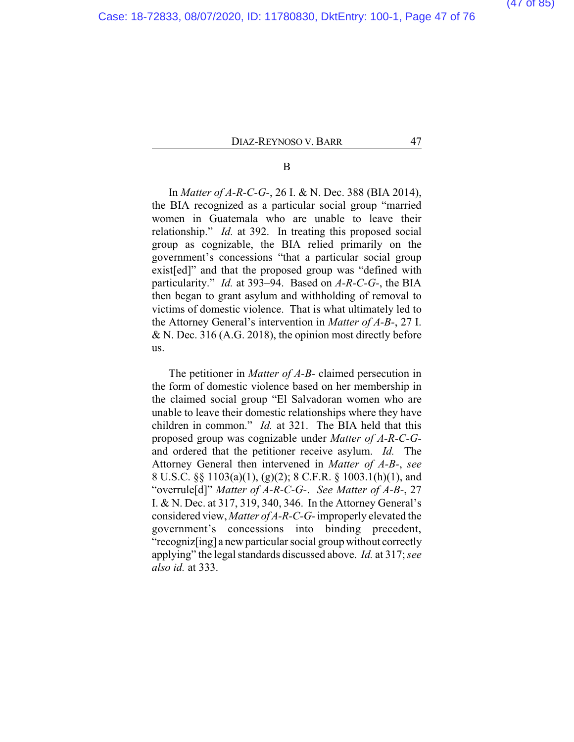# B

In *Matter of A-R-C-G-*, 26 I. & N. Dec. 388 (BIA 2014), the BIA recognized as a particular social group "married women in Guatemala who are unable to leave their relationship." *Id.* at 392. In treating this proposed social group as cognizable, the BIA relied primarily on the government's concessions "that a particular social group exist[ed]" and that the proposed group was "defined with particularity." *Id.* at 393–94. Based on *A-R-C-G-*, the BIA then began to grant asylum and withholding of removal to victims of domestic violence. That is what ultimately led to the Attorney General's intervention in *Matter of A-B-*, 27 I. & N. Dec. 316 (A.G. 2018), the opinion most directly before us.

The petitioner in *Matter of A-B-* claimed persecution in the form of domestic violence based on her membership in the claimed social group "El Salvadoran women who are unable to leave their domestic relationships where they have children in common." *Id.* at 321. The BIA held that this proposed group was cognizable under *Matter of A-R-C-G*and ordered that the petitioner receive asylum. *Id.* The Attorney General then intervened in *Matter of A-B-*, *see* 8 U.S.C. §§ 1103(a)(1), (g)(2); 8 C.F.R. § 1003.1(h)(1), and "overrule[d]" *Matter of A-R-C-G-*. *See Matter of A-B-*, 27 I. & N. Dec. at 317, 319, 340, 346. In the Attorney General's considered view, *Matter of A-R-C-G-*improperly elevated the government's concessions into binding precedent, "recogniz[ing] a newparticular social group without correctly applying" the legal standards discussed above. *Id.* at 317; *see also id.* at 333.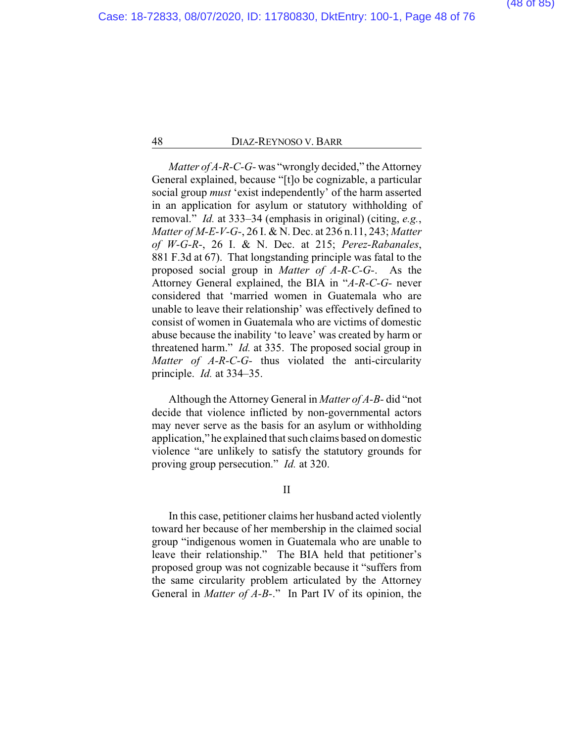*Matter of A-R-C-G-* was "wrongly decided," the Attorney General explained, because "[t]o be cognizable, a particular social group *must* 'exist independently' of the harm asserted in an application for asylum or statutory withholding of removal." *Id.* at 333–34 (emphasis in original) (citing, *e.g.*, *Matter of M-E-V-G-*, 26 I. & N. Dec. at 236 n.11, 243; *Matter of W-G-R-*, 26 I. & N. Dec. at 215; *Perez-Rabanales*, 881 F.3d at 67). That longstanding principle was fatal to the proposed social group in *Matter of A-R-C-G-*. As the Attorney General explained, the BIA in "*A-R-C-G-* never considered that 'married women in Guatemala who are unable to leave their relationship' was effectively defined to consist of women in Guatemala who are victims of domestic abuse because the inability 'to leave' was created by harm or threatened harm." *Id.* at 335. The proposed social group in *Matter of A-R-C-G-* thus violated the anti-circularity principle. *Id.* at 334–35.

Although the Attorney General in *Matter of A-B-* did "not decide that violence inflicted by non-governmental actors may never serve as the basis for an asylum or withholding application," he explained that such claims based on domestic violence "are unlikely to satisfy the statutory grounds for proving group persecution." *Id.* at 320.

# II

In this case, petitioner claims her husband acted violently toward her because of her membership in the claimed social group "indigenous women in Guatemala who are unable to leave their relationship." The BIA held that petitioner's proposed group was not cognizable because it "suffers from the same circularity problem articulated by the Attorney General in *Matter of A-B-*." In Part IV of its opinion, the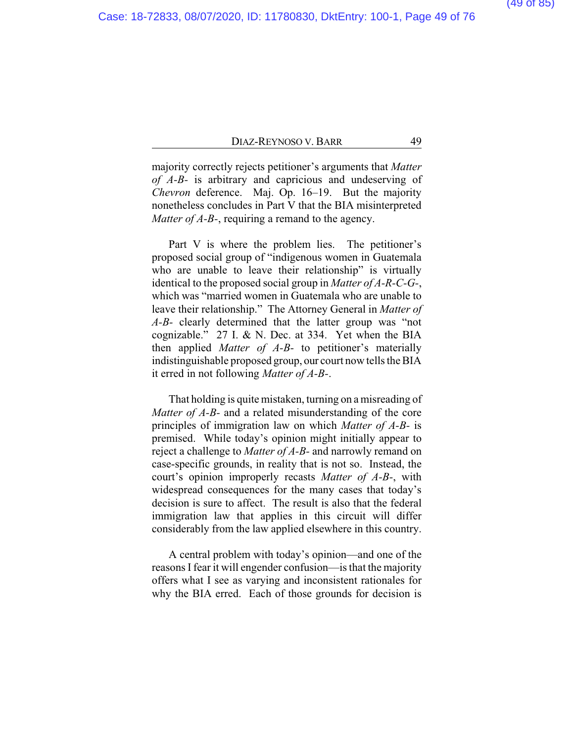majority correctly rejects petitioner's arguments that *Matter of A-B-* is arbitrary and capricious and undeserving of *Chevron* deference. Maj. Op. 16–19. But the majority nonetheless concludes in Part V that the BIA misinterpreted *Matter of A-B-*, requiring a remand to the agency.

Part V is where the problem lies. The petitioner's proposed social group of "indigenous women in Guatemala who are unable to leave their relationship" is virtually identical to the proposed social group in *Matter of A-R-C-G-*, which was "married women in Guatemala who are unable to leave their relationship." The Attorney General in *Matter of A-B-* clearly determined that the latter group was "not cognizable." 27 I. & N. Dec. at 334. Yet when the BIA then applied *Matter of A-B-* to petitioner's materially indistinguishable proposed group, our court now tells the BIA it erred in not following *Matter of A-B-*.

That holding is quite mistaken, turning on a misreading of *Matter of A-B-* and a related misunderstanding of the core principles of immigration law on which *Matter of A-B-* is premised. While today's opinion might initially appear to reject a challenge to *Matter of A-B-* and narrowly remand on case-specific grounds, in reality that is not so. Instead, the court's opinion improperly recasts *Matter of A-B-*, with widespread consequences for the many cases that today's decision is sure to affect. The result is also that the federal immigration law that applies in this circuit will differ considerably from the law applied elsewhere in this country.

A central problem with today's opinion—and one of the reasons I fear it will engender confusion—is that the majority offers what I see as varying and inconsistent rationales for why the BIA erred. Each of those grounds for decision is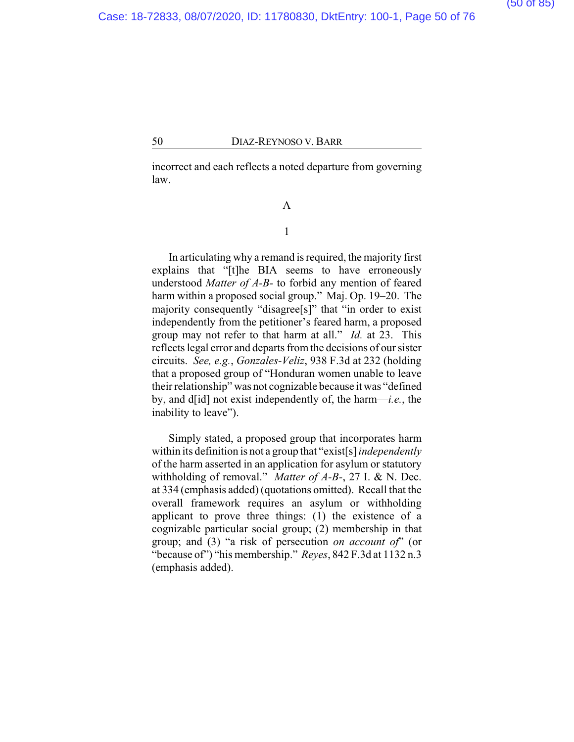incorrect and each reflects a noted departure from governing law.

A

# 1

In articulating why a remand is required, the majority first explains that "[t]he BIA seems to have erroneously understood *Matter of A-B-* to forbid any mention of feared harm within a proposed social group." Maj. Op. 19–20. The majority consequently "disagree[s]" that "in order to exist independently from the petitioner's feared harm, a proposed group may not refer to that harm at all." *Id.* at 23. This reflects legal error and departs from the decisions of our sister circuits. *See, e.g.*, *Gonzales-Veliz*, 938 F.3d at 232 (holding that a proposed group of "Honduran women unable to leave their relationship" was not cognizable because it was "defined by, and d[id] not exist independently of, the harm—*i.e.*, the inability to leave").

Simply stated, a proposed group that incorporates harm within its definition is not a group that "exist[s] *independently* of the harm asserted in an application for asylum or statutory withholding of removal." *Matter of A-B-*, 27 I. & N. Dec. at 334 (emphasis added) (quotations omitted). Recall that the overall framework requires an asylum or withholding applicant to prove three things: (1) the existence of a cognizable particular social group; (2) membership in that group; and (3) "a risk of persecution *on account of*" (or "because of") "his membership." *Reyes*, 842 F.3d at 1132 n.3 (emphasis added).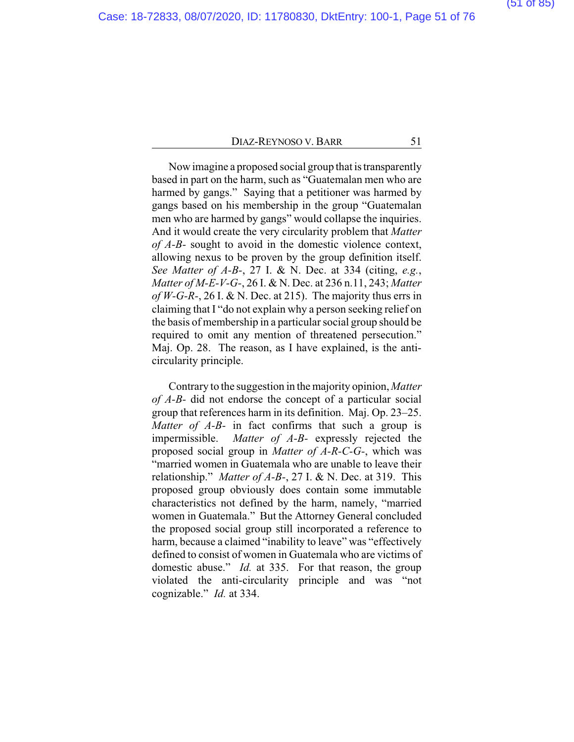Now imagine a proposed social group that is transparently based in part on the harm, such as "Guatemalan men who are harmed by gangs." Saying that a petitioner was harmed by gangs based on his membership in the group "Guatemalan men who are harmed by gangs" would collapse the inquiries. And it would create the very circularity problem that *Matter of A-B-* sought to avoid in the domestic violence context, allowing nexus to be proven by the group definition itself. *See Matter of A-B-*, 27 I. & N. Dec. at 334 (citing, *e.g.*, *Matter of M-E-V-G-*, 26 I. & N. Dec. at 236 n.11, 243; *Matter of W-G-R-*, 26 I. & N. Dec. at 215). The majority thus errs in claiming that I "do not explain why a person seeking relief on the basis of membership in a particular social group should be required to omit any mention of threatened persecution." Maj. Op. 28. The reason, as I have explained, is the anticircularity principle.

Contrary to the suggestion in the majority opinion, *Matter of A-B-* did not endorse the concept of a particular social group that references harm in its definition. Maj. Op. 23–25. *Matter of A-B-* in fact confirms that such a group is impermissible. *Matter of A-B-* expressly rejected the proposed social group in *Matter of A-R-C-G-*, which was "married women in Guatemala who are unable to leave their relationship." *Matter of A-B-*, 27 I. & N. Dec. at 319. This proposed group obviously does contain some immutable characteristics not defined by the harm, namely, "married women in Guatemala." But the Attorney General concluded the proposed social group still incorporated a reference to harm, because a claimed "inability to leave" was "effectively defined to consist of women in Guatemala who are victims of domestic abuse." *Id.* at 335. For that reason, the group violated the anti-circularity principle and was "not cognizable." *Id.* at 334.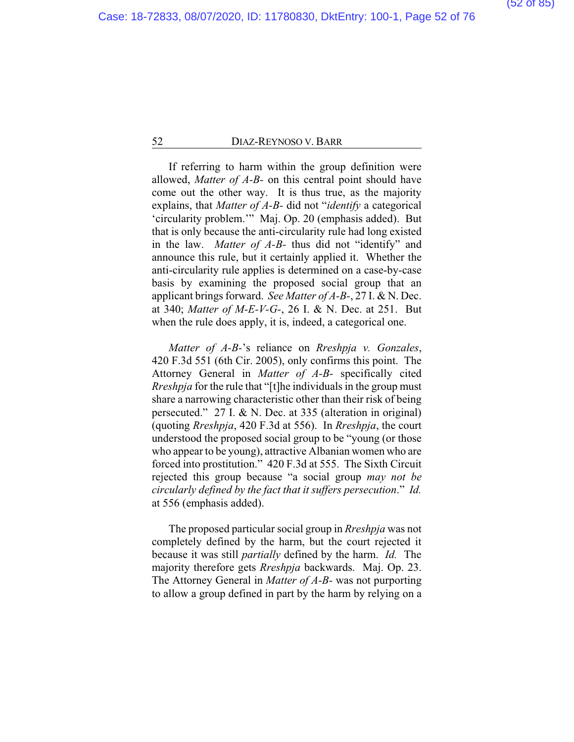If referring to harm within the group definition were allowed, *Matter of A-B-* on this central point should have come out the other way. It is thus true, as the majority explains, that *Matter of A-B-* did not "*identify* a categorical 'circularity problem.'" Maj. Op. 20 (emphasis added). But that is only because the anti-circularity rule had long existed in the law. *Matter of A-B-* thus did not "identify" and announce this rule, but it certainly applied it. Whether the anti-circularity rule applies is determined on a case-by-case basis by examining the proposed social group that an applicant brings forward. *See Matter of A-B-*, 27 I. & N. Dec. at 340; *Matter of M-E-V-G-*, 26 I. & N. Dec. at 251. But when the rule does apply, it is, indeed, a categorical one.

*Matter of A-B-*'s reliance on *Rreshpja v. Gonzales*, 420 F.3d 551 (6th Cir. 2005), only confirms this point. The Attorney General in *Matter of A-B-* specifically cited *Rreshpja* for the rule that "[t]he individuals in the group must share a narrowing characteristic other than their risk of being persecuted." 27 I. & N. Dec. at 335 (alteration in original) (quoting *Rreshpja*, 420 F.3d at 556). In *Rreshpja*, the court understood the proposed social group to be "young (or those who appear to be young), attractive Albanian women who are forced into prostitution." 420 F.3d at 555. The Sixth Circuit rejected this group because "a social group *may not be circularly defined by the fact that it suffers persecution*." *Id.* at 556 (emphasis added).

The proposed particular social group in *Rreshpja* was not completely defined by the harm, but the court rejected it because it was still *partially* defined by the harm. *Id.* The majority therefore gets *Rreshpja* backwards. Maj. Op. 23. The Attorney General in *Matter of A-B-* was not purporting to allow a group defined in part by the harm by relying on a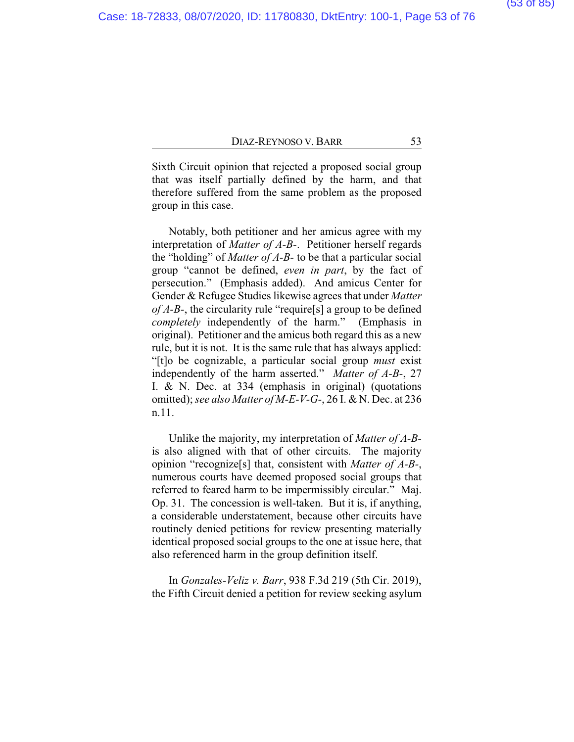Sixth Circuit opinion that rejected a proposed social group that was itself partially defined by the harm, and that therefore suffered from the same problem as the proposed group in this case.

Notably, both petitioner and her amicus agree with my interpretation of *Matter of A-B-*. Petitioner herself regards the "holding" of *Matter of A-B-* to be that a particular social group "cannot be defined, *even in part*, by the fact of persecution." (Emphasis added). And amicus Center for Gender & Refugee Studies likewise agrees that under *Matter of A-B-*, the circularity rule "require[s] a group to be defined *completely* independently of the harm." (Emphasis in original). Petitioner and the amicus both regard this as a new rule, but it is not. It is the same rule that has always applied: "[t]o be cognizable, a particular social group *must* exist independently of the harm asserted." *Matter of A-B-*, 27 I. & N. Dec. at 334 (emphasis in original) (quotations omitted); *see also Matter of M-E-V-G-*, 26 I. & N. Dec. at 236 n.11.

Unlike the majority, my interpretation of *Matter of A-B*is also aligned with that of other circuits. The majority opinion "recognize[s] that, consistent with *Matter of A-B-*, numerous courts have deemed proposed social groups that referred to feared harm to be impermissibly circular." Maj. Op. 31. The concession is well-taken. But it is, if anything, a considerable understatement, because other circuits have routinely denied petitions for review presenting materially identical proposed social groups to the one at issue here, that also referenced harm in the group definition itself.

In *Gonzales-Veliz v. Barr*, 938 F.3d 219 (5th Cir. 2019), the Fifth Circuit denied a petition for review seeking asylum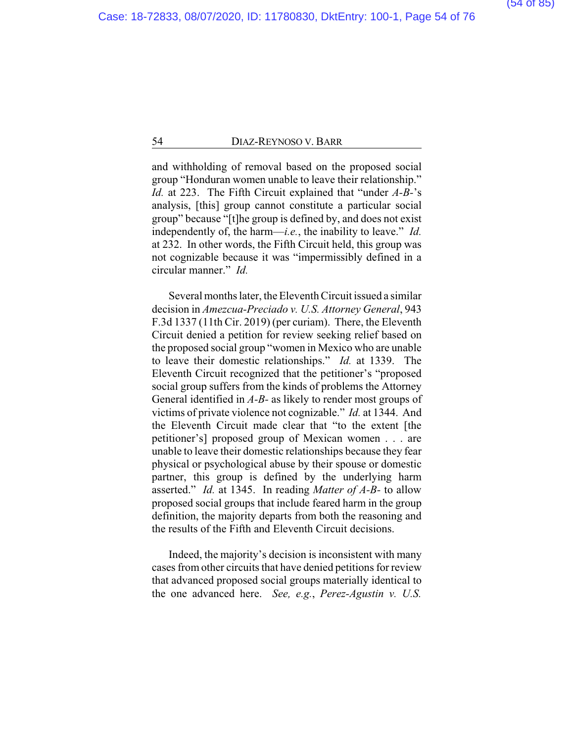and withholding of removal based on the proposed social group "Honduran women unable to leave their relationship." *Id.* at 223. The Fifth Circuit explained that "under *A-B-*'s analysis, [this] group cannot constitute a particular social group" because "[t]he group is defined by, and does not exist independently of, the harm—*i.e.*, the inability to leave." *Id.* at 232. In other words, the Fifth Circuit held, this group was not cognizable because it was "impermissibly defined in a circular manner." *Id.*

Several months later, the Eleventh Circuit issued a similar decision in *Amezcua-Preciado v. U.S. Attorney General*, 943 F.3d 1337 (11th Cir. 2019) (per curiam). There, the Eleventh Circuit denied a petition for review seeking relief based on the proposed social group "women in Mexico who are unable to leave their domestic relationships." *Id.* at 1339. The Eleventh Circuit recognized that the petitioner's "proposed social group suffers from the kinds of problems the Attorney General identified in *A-B-* as likely to render most groups of victims of private violence not cognizable." *Id.* at 1344. And the Eleventh Circuit made clear that "to the extent [the petitioner's] proposed group of Mexican women . . . are unable to leave their domestic relationships because they fear physical or psychological abuse by their spouse or domestic partner, this group is defined by the underlying harm asserted." *Id.* at 1345. In reading *Matter of A-B-* to allow proposed social groups that include feared harm in the group definition, the majority departs from both the reasoning and the results of the Fifth and Eleventh Circuit decisions.

Indeed, the majority's decision is inconsistent with many cases from other circuits that have denied petitions for review that advanced proposed social groups materially identical to the one advanced here. *See, e.g.*, *Perez-Agustin v. U.S.*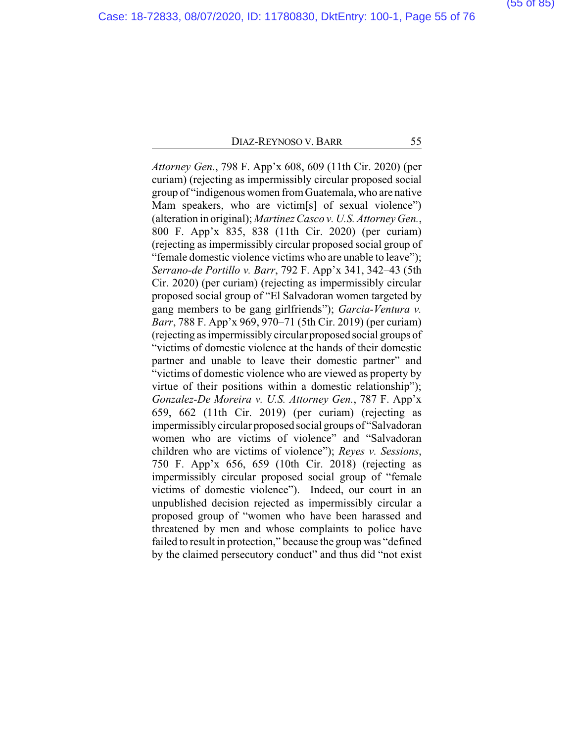*Attorney Gen.*, 798 F. App'x 608, 609 (11th Cir. 2020) (per curiam) (rejecting as impermissibly circular proposed social group of "indigenous women fromGuatemala, who are native Mam speakers, who are victim[s] of sexual violence") (alteration in original); *Martinez Casco v. U.S. Attorney Gen.*, 800 F. App'x 835, 838 (11th Cir. 2020) (per curiam) (rejecting as impermissibly circular proposed social group of "female domestic violence victims who are unable to leave"); *Serrano-de Portillo v. Barr*, 792 F. App'x 341, 342–43 (5th Cir. 2020) (per curiam) (rejecting as impermissibly circular proposed social group of "El Salvadoran women targeted by gang members to be gang girlfriends"); *Garcia-Ventura v. Barr*, 788 F. App'x 969, 970–71 (5th Cir. 2019) (per curiam) (rejecting as impermissibly circular proposed social groups of "victims of domestic violence at the hands of their domestic partner and unable to leave their domestic partner" and "victims of domestic violence who are viewed as property by virtue of their positions within a domestic relationship"); *Gonzalez-De Moreira v. U.S. Attorney Gen.*, 787 F. App'x 659, 662 (11th Cir. 2019) (per curiam) (rejecting as impermissibly circular proposed social groups of "Salvadoran women who are victims of violence" and "Salvadoran children who are victims of violence"); *Reyes v. Sessions*, 750 F. App'x 656, 659 (10th Cir. 2018) (rejecting as impermissibly circular proposed social group of "female victims of domestic violence"). Indeed, our court in an unpublished decision rejected as impermissibly circular a proposed group of "women who have been harassed and threatened by men and whose complaints to police have failed to result in protection," because the group was "defined by the claimed persecutory conduct" and thus did "not exist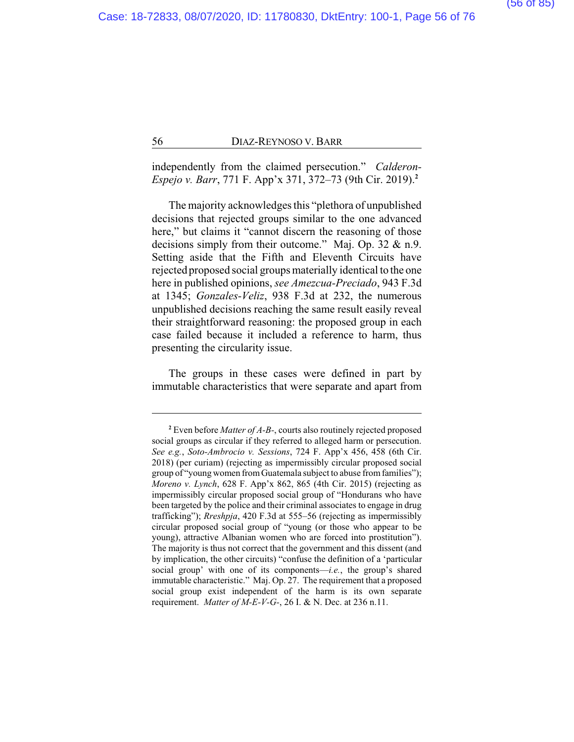independently from the claimed persecution." *Calderon-Espejo v. Barr*, 771 F. App'x 371, 372–73 (9th Cir. 2019).**<sup>2</sup>**

The majority acknowledges this "plethora of unpublished decisions that rejected groups similar to the one advanced here," but claims it "cannot discern the reasoning of those decisions simply from their outcome." Maj. Op. 32 & n.9. Setting aside that the Fifth and Eleventh Circuits have rejected proposed social groups materially identical to the one here in published opinions, *see Amezcua-Preciado*, 943 F.3d at 1345; *Gonzales-Veliz*, 938 F.3d at 232, the numerous unpublished decisions reaching the same result easily reveal their straightforward reasoning: the proposed group in each case failed because it included a reference to harm, thus presenting the circularity issue.

The groups in these cases were defined in part by immutable characteristics that were separate and apart from

**<sup>2</sup>** Even before *Matter of A-B-*, courts also routinely rejected proposed social groups as circular if they referred to alleged harm or persecution. *See e.g.*, *Soto-Ambrocio v. Sessions*, 724 F. App'x 456, 458 (6th Cir. 2018) (per curiam) (rejecting as impermissibly circular proposed social group of "young women fromGuatemala subject to abuse fromfamilies"); *Moreno v. Lynch*, 628 F. App'x 862, 865 (4th Cir. 2015) (rejecting as impermissibly circular proposed social group of "Hondurans who have been targeted by the police and their criminal associates to engage in drug trafficking"); *Rreshpja*, 420 F.3d at 555–56 (rejecting as impermissibly circular proposed social group of "young (or those who appear to be young), attractive Albanian women who are forced into prostitution"). The majority is thus not correct that the government and this dissent (and by implication, the other circuits) "confuse the definition of a 'particular social group' with one of its components—*i.e.*, the group's shared immutable characteristic." Maj. Op. 27. The requirement that a proposed social group exist independent of the harm is its own separate requirement. *Matter of M-E-V-G-*, 26 I. & N. Dec. at 236 n.11.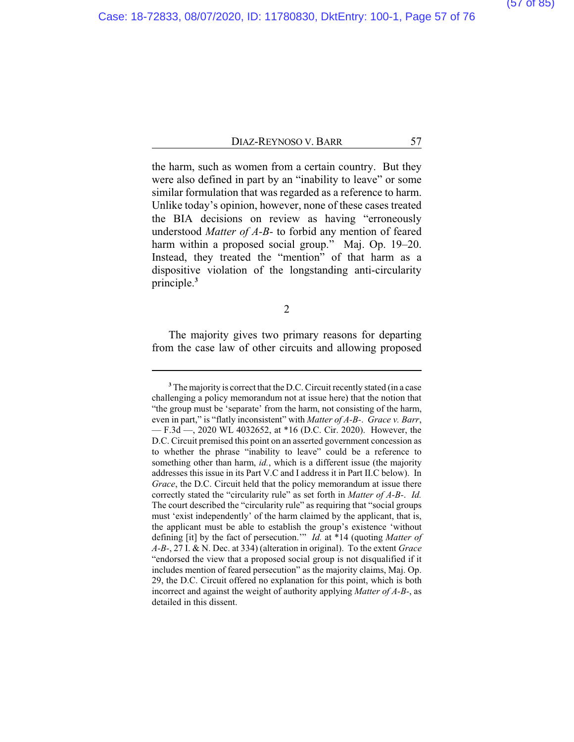the harm, such as women from a certain country. But they were also defined in part by an "inability to leave" or some similar formulation that was regarded as a reference to harm. Unlike today's opinion, however, none of these cases treated the BIA decisions on review as having "erroneously understood *Matter of A-B-* to forbid any mention of feared harm within a proposed social group." Maj. Op. 19–20. Instead, they treated the "mention" of that harm as a dispositive violation of the longstanding anti-circularity principle.**<sup>3</sup>**

2

The majority gives two primary reasons for departing from the case law of other circuits and allowing proposed

**<sup>3</sup>** The majority is correct that the D.C. Circuit recently stated (in a case challenging a policy memorandum not at issue here) that the notion that "the group must be 'separate' from the harm, not consisting of the harm, even in part," is "flatly inconsistent" with *Matter of A-B-*. *Grace v. Barr*, — F.3d —, 2020 WL 4032652, at \*16 (D.C. Cir. 2020). However, the D.C. Circuit premised this point on an asserted government concession as to whether the phrase "inability to leave" could be a reference to something other than harm, *id.*, which is a different issue (the majority addresses this issue in its Part V.C and I address it in Part II.C below). In *Grace*, the D.C. Circuit held that the policy memorandum at issue there correctly stated the "circularity rule" as set forth in *Matter of A-B-*. *Id.* The court described the "circularity rule" as requiring that "social groups must 'exist independently' of the harm claimed by the applicant, that is, the applicant must be able to establish the group's existence 'without defining [it] by the fact of persecution.'" *Id.* at \*14 (quoting *Matter of A-B-*, 27 I. & N. Dec. at 334) (alteration in original). To the extent *Grace* "endorsed the view that a proposed social group is not disqualified if it includes mention of feared persecution" as the majority claims, Maj. Op. 29, the D.C. Circuit offered no explanation for this point, which is both incorrect and against the weight of authority applying *Matter of A-B-*, as detailed in this dissent.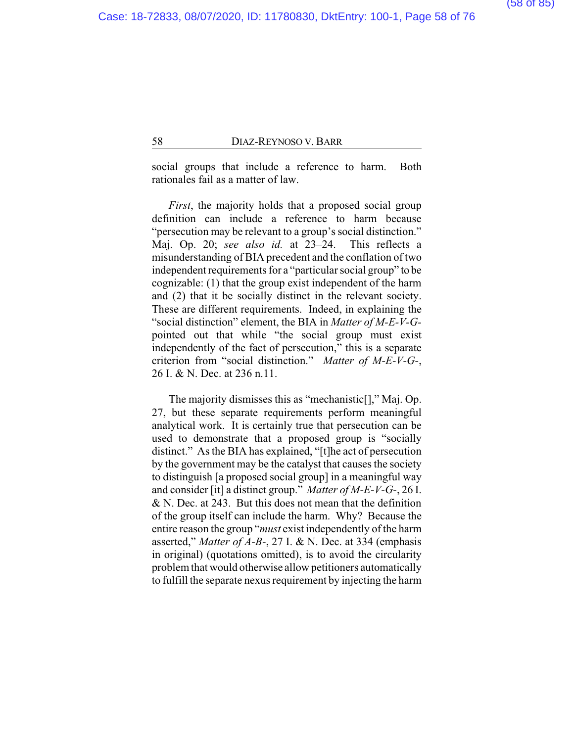social groups that include a reference to harm. Both rationales fail as a matter of law.

*First*, the majority holds that a proposed social group definition can include a reference to harm because "persecution may be relevant to a group's social distinction." Maj. Op. 20; *see also id.* at 23–24. This reflects a misunderstanding of BIA precedent and the conflation of two independent requirements for a "particular social group" to be cognizable: (1) that the group exist independent of the harm and (2) that it be socially distinct in the relevant society. These are different requirements. Indeed, in explaining the "social distinction" element, the BIA in *Matter of M-E-V-G*pointed out that while "the social group must exist independently of the fact of persecution," this is a separate criterion from "social distinction." *Matter of M-E-V-G-*, 26 I. & N. Dec. at 236 n.11.

The majority dismisses this as "mechanistic[]," Maj. Op. 27, but these separate requirements perform meaningful analytical work. It is certainly true that persecution can be used to demonstrate that a proposed group is "socially distinct." As the BIA has explained, "[t]he act of persecution by the government may be the catalyst that causes the society to distinguish [a proposed social group] in a meaningful way and consider [it] a distinct group." *Matter of M-E-V-G-*, 26 I. & N. Dec. at 243. But this does not mean that the definition of the group itself can include the harm. Why? Because the entire reason the group "*must* exist independently of the harm asserted," *Matter of A-B-*, 27 I. & N. Dec. at 334 (emphasis in original) (quotations omitted), is to avoid the circularity problem that would otherwise allow petitioners automatically to fulfill the separate nexus requirement by injecting the harm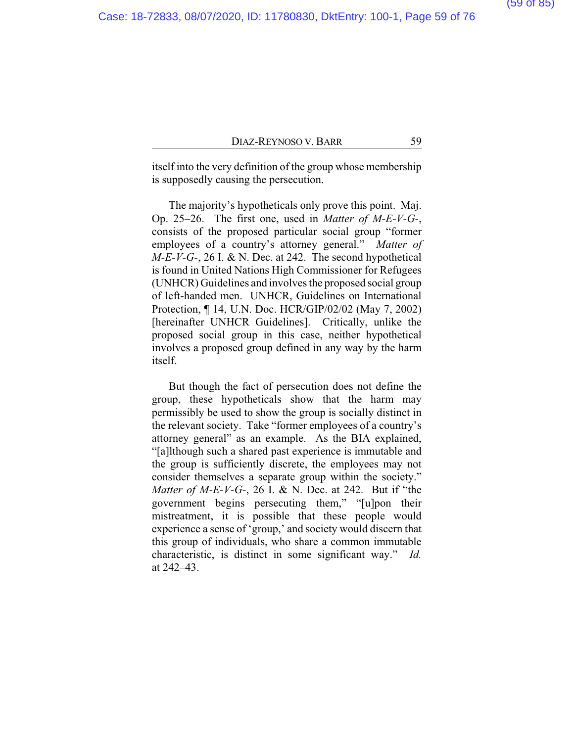itself into the very definition of the group whose membership is supposedly causing the persecution.

The majority's hypotheticals only prove this point. Maj. Op. 25–26. The first one, used in *Matter of M-E-V-G-*, consists of the proposed particular social group "former employees of a country's attorney general." *Matter of M-E-V-G-*, 26 I. & N. Dec. at 242. The second hypothetical is found in United Nations High Commissioner for Refugees (UNHCR) Guidelines and involves the proposed social group of left-handed men. UNHCR, Guidelines on International Protection, ¶ 14, U.N. Doc. HCR/GIP/02/02 (May 7, 2002) [hereinafter UNHCR Guidelines]. Critically, unlike the proposed social group in this case, neither hypothetical involves a proposed group defined in any way by the harm itself.

But though the fact of persecution does not define the group, these hypotheticals show that the harm may permissibly be used to show the group is socially distinct in the relevant society. Take "former employees of a country's attorney general" as an example. As the BIA explained, "[a]lthough such a shared past experience is immutable and the group is sufficiently discrete, the employees may not consider themselves a separate group within the society." *Matter of M-E-V-G-*, 26 I. & N. Dec. at 242. But if "the government begins persecuting them," "[u]pon their mistreatment, it is possible that these people would experience a sense of 'group,' and society would discern that this group of individuals, who share a common immutable characteristic, is distinct in some significant way." *Id.* at 242–43.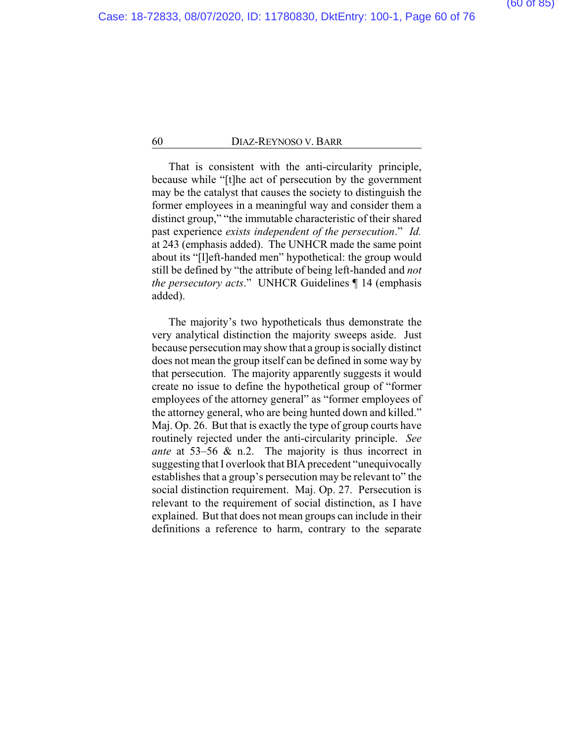That is consistent with the anti-circularity principle, because while "[t]he act of persecution by the government may be the catalyst that causes the society to distinguish the former employees in a meaningful way and consider them a distinct group," "the immutable characteristic of their shared past experience *exists independent of the persecution*." *Id.* at 243 (emphasis added). The UNHCR made the same point about its "[l]eft-handed men" hypothetical: the group would still be defined by "the attribute of being left-handed and *not the persecutory acts*." UNHCR Guidelines ¶ 14 (emphasis added).

The majority's two hypotheticals thus demonstrate the very analytical distinction the majority sweeps aside. Just because persecution may show that a group is socially distinct does not mean the group itself can be defined in some way by that persecution. The majority apparently suggests it would create no issue to define the hypothetical group of "former employees of the attorney general" as "former employees of the attorney general, who are being hunted down and killed." Maj. Op. 26. But that is exactly the type of group courts have routinely rejected under the anti-circularity principle. *See ante* at 53–56 & n.2. The majority is thus incorrect in suggesting that I overlook that BIA precedent "unequivocally establishes that a group's persecution may be relevant to" the social distinction requirement. Maj. Op. 27. Persecution is relevant to the requirement of social distinction, as I have explained. But that does not mean groups can include in their definitions a reference to harm, contrary to the separate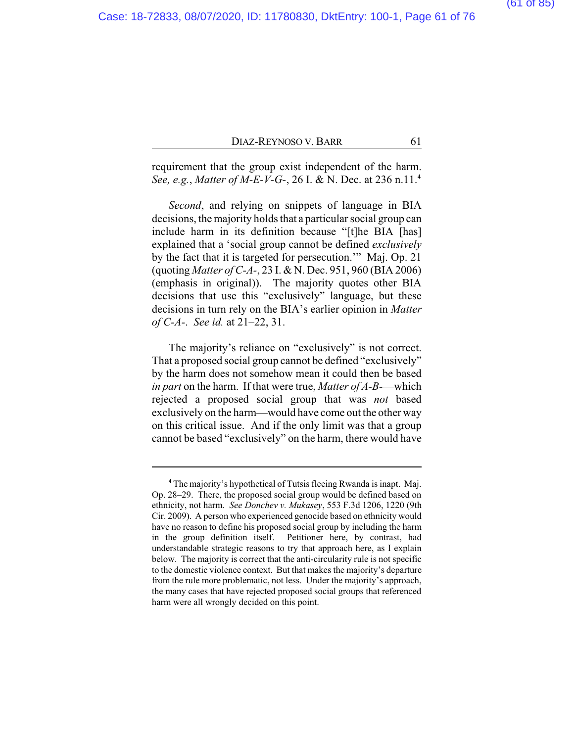requirement that the group exist independent of the harm. *See, e.g.*, *Matter of M-E-V-G-*, 26 I. & N. Dec. at 236 n.11.**<sup>4</sup>**

*Second*, and relying on snippets of language in BIA decisions, the majority holds that a particular social group can include harm in its definition because "[t]he BIA [has] explained that a 'social group cannot be defined *exclusively* by the fact that it is targeted for persecution.'" Maj. Op. 21 (quoting *Matter of C-A-*, 23 I. & N. Dec. 951, 960 (BIA 2006) (emphasis in original)). The majority quotes other BIA decisions that use this "exclusively" language, but these decisions in turn rely on the BIA's earlier opinion in *Matter of C-A-*. *See id.* at 21–22, 31.

The majority's reliance on "exclusively" is not correct. That a proposed social group cannot be defined "exclusively" by the harm does not somehow mean it could then be based *in part* on the harm. If that were true, *Matter of A-B-*—which rejected a proposed social group that was *not* based exclusively on the harm—would have come out the other way on this critical issue. And if the only limit was that a group cannot be based "exclusively" on the harm, there would have

**<sup>4</sup>** The majority's hypothetical of Tutsis fleeing Rwanda is inapt. Maj. Op. 28–29. There, the proposed social group would be defined based on ethnicity, not harm. *See Donchev v. Mukasey*, 553 F.3d 1206, 1220 (9th Cir. 2009). A person who experienced genocide based on ethnicity would have no reason to define his proposed social group by including the harm in the group definition itself. Petitioner here, by contrast, had understandable strategic reasons to try that approach here, as I explain below. The majority is correct that the anti-circularity rule is not specific to the domestic violence context. But that makes the majority's departure from the rule more problematic, not less. Under the majority's approach, the many cases that have rejected proposed social groups that referenced harm were all wrongly decided on this point.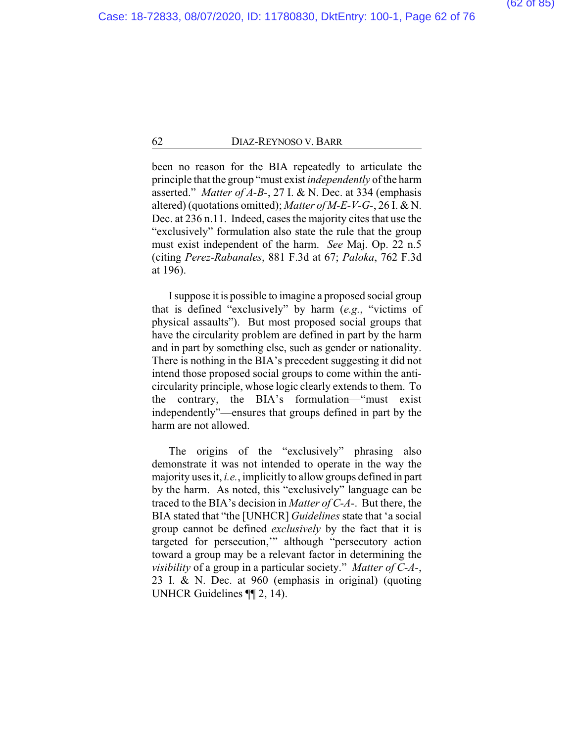been no reason for the BIA repeatedly to articulate the principle that the group "must exist *independently* of the harm asserted." *Matter of A-B-*, 27 I. & N. Dec. at 334 (emphasis altered) (quotations omitted); *Matter of M-E-V-G-*, 26 I. & N. Dec. at 236 n.11. Indeed, cases the majority cites that use the "exclusively" formulation also state the rule that the group must exist independent of the harm. *See* Maj. Op. 22 n.5 (citing *Perez-Rabanales*, 881 F.3d at 67; *Paloka*, 762 F.3d at 196).

I suppose it is possible to imagine a proposed social group that is defined "exclusively" by harm (*e.g.*, "victims of physical assaults"). But most proposed social groups that have the circularity problem are defined in part by the harm and in part by something else, such as gender or nationality. There is nothing in the BIA's precedent suggesting it did not intend those proposed social groups to come within the anticircularity principle, whose logic clearly extends to them. To the contrary, the BIA's formulation—"must exist independently"—ensures that groups defined in part by the harm are not allowed.

The origins of the "exclusively" phrasing also demonstrate it was not intended to operate in the way the majority uses it, *i.e.*, implicitly to allow groups defined in part by the harm. As noted, this "exclusively" language can be traced to the BIA's decision in *Matter of C-A-*. But there, the BIA stated that "the [UNHCR] *Guidelines* state that 'a social group cannot be defined *exclusively* by the fact that it is targeted for persecution,'" although "persecutory action toward a group may be a relevant factor in determining the *visibility* of a group in a particular society." *Matter of C-A-*, 23 I. & N. Dec. at 960 (emphasis in original) (quoting UNHCR Guidelines ¶¶ 2, 14).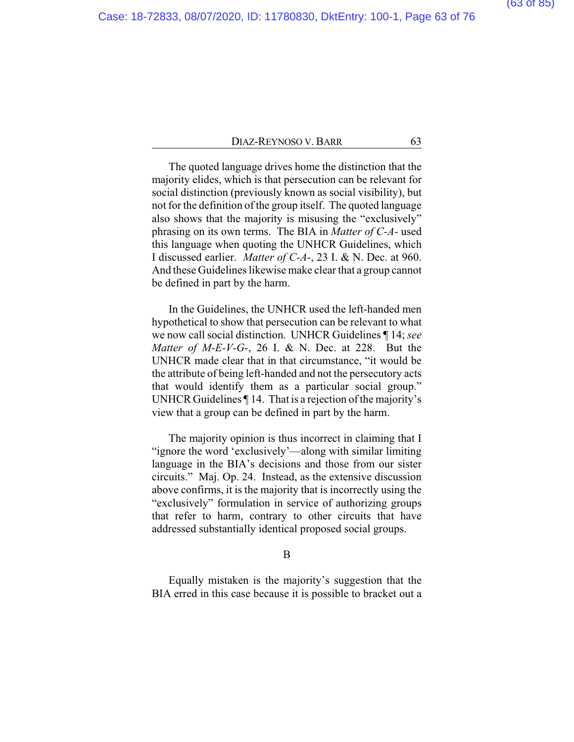The quoted language drives home the distinction that the majority elides, which is that persecution can be relevant for social distinction (previously known as social visibility), but not for the definition of the group itself. The quoted language also shows that the majority is misusing the "exclusively" phrasing on its own terms. The BIA in *Matter of C-A-* used this language when quoting the UNHCR Guidelines, which I discussed earlier. *Matter of C-A-*, 23 I. & N. Dec. at 960. And these Guidelines likewise make clear that a group cannot be defined in part by the harm.

In the Guidelines, the UNHCR used the left-handed men hypothetical to show that persecution can be relevant to what we now call social distinction. UNHCR Guidelines ¶ 14; *see Matter of M-E-V-G-*, 26 I. & N. Dec. at 228. But the UNHCR made clear that in that circumstance, "it would be the attribute of being left-handed and not the persecutory acts that would identify them as a particular social group." UNHCR Guidelines ¶ 14. That is a rejection of the majority's view that a group can be defined in part by the harm.

The majority opinion is thus incorrect in claiming that I "ignore the word 'exclusively'—along with similar limiting language in the BIA's decisions and those from our sister circuits." Maj. Op. 24. Instead, as the extensive discussion above confirms, it is the majority that is incorrectly using the "exclusively" formulation in service of authorizing groups that refer to harm, contrary to other circuits that have addressed substantially identical proposed social groups.

# B

Equally mistaken is the majority's suggestion that the BIA erred in this case because it is possible to bracket out a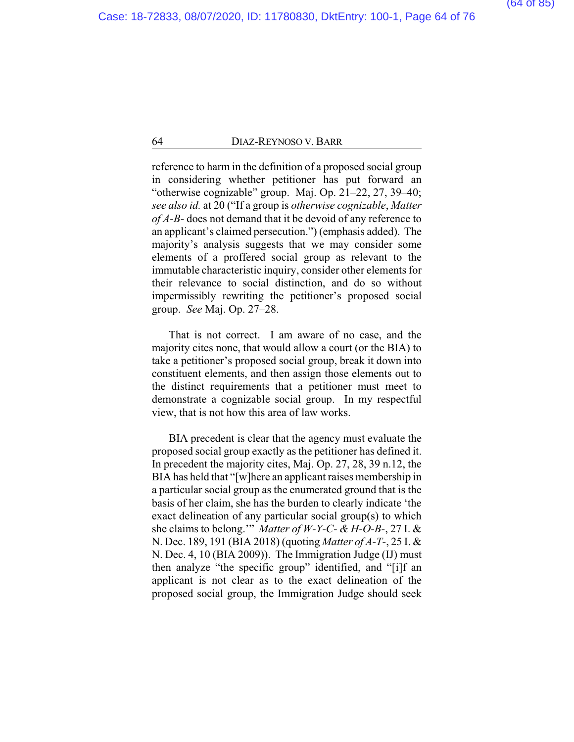reference to harm in the definition of a proposed social group in considering whether petitioner has put forward an "otherwise cognizable" group. Maj. Op. 21–22, 27, 39–40; *see also id.* at 20 ("If a group is *otherwise cognizable*, *Matter of A-B-* does not demand that it be devoid of any reference to an applicant's claimed persecution.") (emphasis added). The majority's analysis suggests that we may consider some elements of a proffered social group as relevant to the immutable characteristic inquiry, consider other elements for their relevance to social distinction, and do so without impermissibly rewriting the petitioner's proposed social group. *See* Maj. Op. 27–28.

That is not correct. I am aware of no case, and the majority cites none, that would allow a court (or the BIA) to take a petitioner's proposed social group, break it down into constituent elements, and then assign those elements out to the distinct requirements that a petitioner must meet to demonstrate a cognizable social group. In my respectful view, that is not how this area of law works.

BIA precedent is clear that the agency must evaluate the proposed social group exactly as the petitioner has defined it. In precedent the majority cites, Maj. Op. 27, 28, 39 n.12, the BIA has held that "[w]here an applicant raises membership in a particular social group as the enumerated ground that is the basis of her claim, she has the burden to clearly indicate 'the exact delineation of any particular social group(s) to which she claims to belong.'" *Matter of W-Y-C- & H-O-B-*, 27 I. & N. Dec. 189, 191 (BIA 2018) (quoting *Matter of A-T-*, 25 I. & N. Dec. 4, 10 (BIA 2009)). The Immigration Judge (IJ) must then analyze "the specific group" identified, and "[i]f an applicant is not clear as to the exact delineation of the proposed social group, the Immigration Judge should seek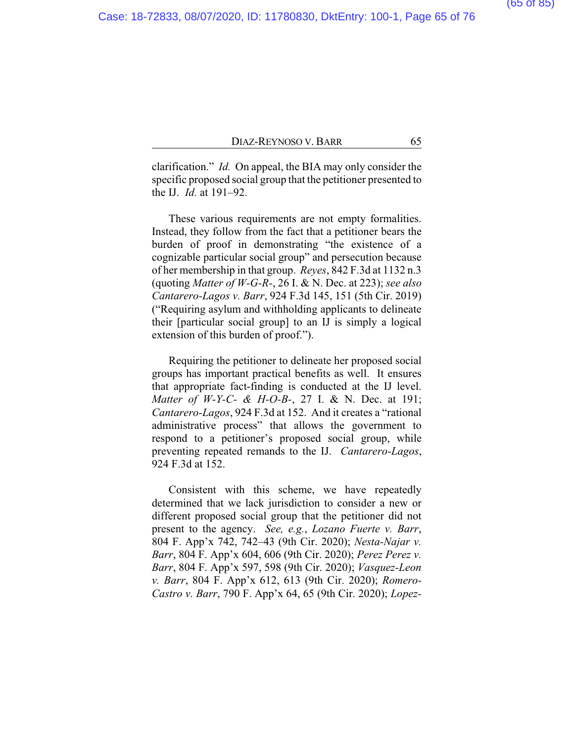clarification." *Id.* On appeal, the BIA may only consider the specific proposed social group that the petitioner presented to the IJ. *Id.* at 191–92.

These various requirements are not empty formalities. Instead, they follow from the fact that a petitioner bears the burden of proof in demonstrating "the existence of a cognizable particular social group" and persecution because of her membership in that group. *Reyes*, 842 F.3d at 1132 n.3 (quoting *Matter of W-G-R-*, 26 I. & N. Dec. at 223); *see also Cantarero-Lagos v. Barr*, 924 F.3d 145, 151 (5th Cir. 2019) ("Requiring asylum and withholding applicants to delineate their [particular social group] to an IJ is simply a logical extension of this burden of proof.").

Requiring the petitioner to delineate her proposed social groups has important practical benefits as well. It ensures that appropriate fact-finding is conducted at the IJ level. *Matter of W-Y-C- & H-O-B-*, 27 I. & N. Dec. at 191; *Cantarero-Lagos*, 924 F.3d at 152. And it creates a "rational administrative process" that allows the government to respond to a petitioner's proposed social group, while preventing repeated remands to the IJ. *Cantarero-Lagos*, 924 F.3d at 152.

Consistent with this scheme, we have repeatedly determined that we lack jurisdiction to consider a new or different proposed social group that the petitioner did not present to the agency. *See, e.g.*, *Lozano Fuerte v. Barr*, 804 F. App'x 742, 742–43 (9th Cir. 2020); *Nesta-Najar v. Barr*, 804 F. App'x 604, 606 (9th Cir. 2020); *Perez Perez v. Barr*, 804 F. App'x 597, 598 (9th Cir. 2020); *Vasquez-Leon v. Barr*, 804 F. App'x 612, 613 (9th Cir. 2020); *Romero-Castro v. Barr*, 790 F. App'x 64, 65 (9th Cir. 2020); *Lopez-*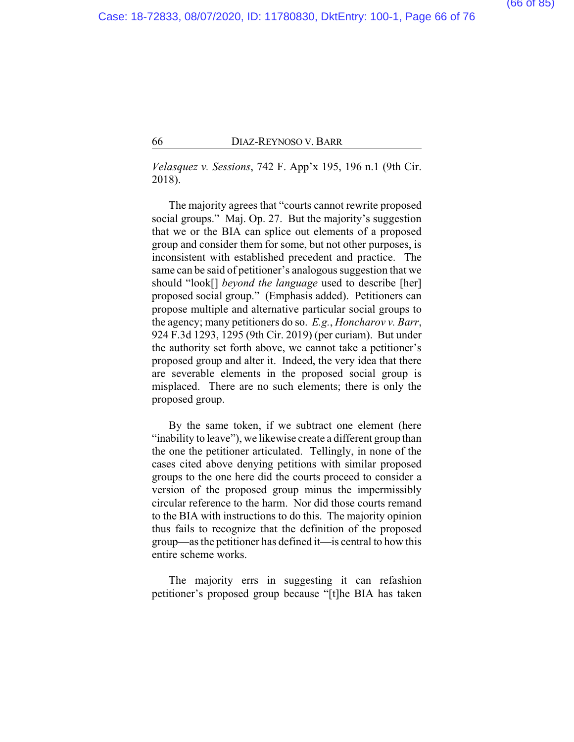*Velasquez v. Sessions*, 742 F. App'x 195, 196 n.1 (9th Cir. 2018).

The majority agrees that "courts cannot rewrite proposed social groups." Maj. Op. 27. But the majority's suggestion that we or the BIA can splice out elements of a proposed group and consider them for some, but not other purposes, is inconsistent with established precedent and practice. The same can be said of petitioner's analogous suggestion that we should "look[] *beyond the language* used to describe [her] proposed social group." (Emphasis added). Petitioners can propose multiple and alternative particular social groups to the agency; many petitioners do so. *E.g.*, *Honcharov v. Barr*, 924 F.3d 1293, 1295 (9th Cir. 2019) (per curiam). But under the authority set forth above, we cannot take a petitioner's proposed group and alter it. Indeed, the very idea that there are severable elements in the proposed social group is misplaced. There are no such elements; there is only the proposed group.

By the same token, if we subtract one element (here "inability to leave"), we likewise create a different group than the one the petitioner articulated. Tellingly, in none of the cases cited above denying petitions with similar proposed groups to the one here did the courts proceed to consider a version of the proposed group minus the impermissibly circular reference to the harm. Nor did those courts remand to the BIA with instructions to do this. The majority opinion thus fails to recognize that the definition of the proposed group—as the petitioner has defined it—is central to how this entire scheme works.

The majority errs in suggesting it can refashion petitioner's proposed group because "[t]he BIA has taken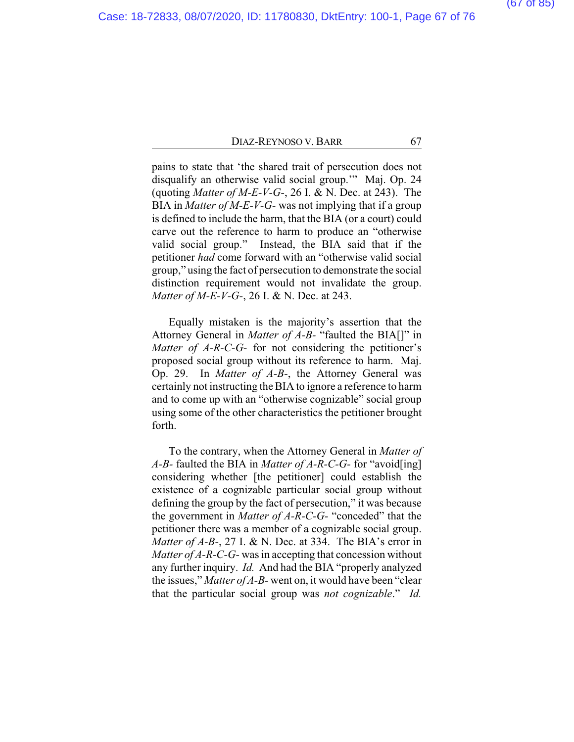pains to state that 'the shared trait of persecution does not disqualify an otherwise valid social group.'" Maj. Op. 24 (quoting *Matter of M-E-V-G-*, 26 I. & N. Dec. at 243). The BIA in *Matter of M-E-V-G-* was not implying that if a group is defined to include the harm, that the BIA (or a court) could carve out the reference to harm to produce an "otherwise valid social group." Instead, the BIA said that if the petitioner *had* come forward with an "otherwise valid social group," using the fact of persecution to demonstrate the social distinction requirement would not invalidate the group. *Matter of M-E-V-G-*, 26 I. & N. Dec. at 243.

Equally mistaken is the majority's assertion that the Attorney General in *Matter of A-B-* "faulted the BIA[]" in *Matter of A-R-C-G-* for not considering the petitioner's proposed social group without its reference to harm. Maj. Op. 29. In *Matter of A-B-*, the Attorney General was certainly not instructing the BIA to ignore a reference to harm and to come up with an "otherwise cognizable" social group using some of the other characteristics the petitioner brought forth.

To the contrary, when the Attorney General in *Matter of A-B-* faulted the BIA in *Matter of A-R-C-G-* for "avoid[ing] considering whether [the petitioner] could establish the existence of a cognizable particular social group without defining the group by the fact of persecution," it was because the government in *Matter of A-R-C-G-* "conceded" that the petitioner there was a member of a cognizable social group. *Matter of A-B-*, 27 I. & N. Dec. at 334. The BIA's error in *Matter of A-R-C-G-* was in accepting that concession without any further inquiry. *Id.* And had the BIA "properly analyzed the issues," *Matter of A-B-* went on, it would have been "clear that the particular social group was *not cognizable*." *Id.*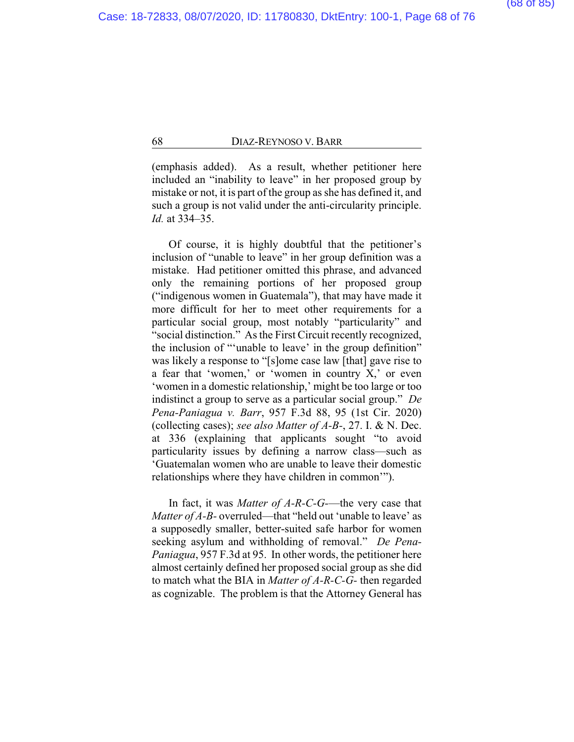(emphasis added). As a result, whether petitioner here included an "inability to leave" in her proposed group by mistake or not, it is part of the group as she has defined it, and such a group is not valid under the anti-circularity principle. *Id.* at 334–35.

Of course, it is highly doubtful that the petitioner's inclusion of "unable to leave" in her group definition was a mistake. Had petitioner omitted this phrase, and advanced only the remaining portions of her proposed group ("indigenous women in Guatemala"), that may have made it more difficult for her to meet other requirements for a particular social group, most notably "particularity" and "social distinction." As the First Circuit recently recognized, the inclusion of "'unable to leave' in the group definition" was likely a response to "[s]ome case law [that] gave rise to a fear that 'women,' or 'women in country X,' or even 'women in a domestic relationship,' might be too large or too indistinct a group to serve as a particular social group." *De Pena-Paniagua v. Barr*, 957 F.3d 88, 95 (1st Cir. 2020) (collecting cases); *see also Matter of A-B-*, 27. I. & N. Dec. at 336 (explaining that applicants sought "to avoid particularity issues by defining a narrow class—such as 'Guatemalan women who are unable to leave their domestic relationships where they have children in common'").

In fact, it was *Matter of A-R-C-G-*—the very case that *Matter of A-B-* overruled—that "held out 'unable to leave' as a supposedly smaller, better-suited safe harbor for women seeking asylum and withholding of removal." *De Pena-Paniagua*, 957 F.3d at 95. In other words, the petitioner here almost certainly defined her proposed social group as she did to match what the BIA in *Matter of A-R-C-G-* then regarded as cognizable. The problem is that the Attorney General has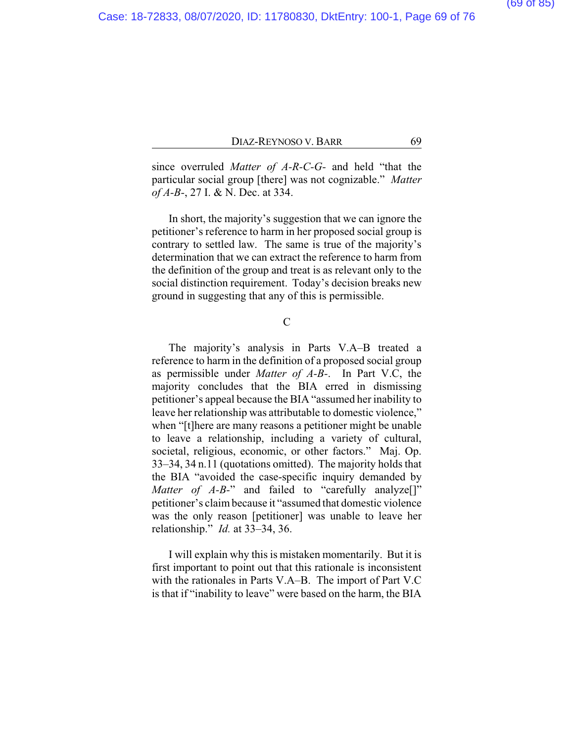since overruled *Matter of A-R-C-G-* and held "that the particular social group [there] was not cognizable." *Matter of A-B-*, 27 I. & N. Dec. at 334.

In short, the majority's suggestion that we can ignore the petitioner's reference to harm in her proposed social group is contrary to settled law. The same is true of the majority's determination that we can extract the reference to harm from the definition of the group and treat is as relevant only to the social distinction requirement. Today's decision breaks new ground in suggesting that any of this is permissible.

 $\overline{C}$ 

The majority's analysis in Parts V.A–B treated a reference to harm in the definition of a proposed social group as permissible under *Matter of A-B-*. In Part V.C, the majority concludes that the BIA erred in dismissing petitioner's appeal because the BIA "assumed her inability to leave her relationship was attributable to domestic violence," when "[t]here are many reasons a petitioner might be unable to leave a relationship, including a variety of cultural, societal, religious, economic, or other factors." Maj. Op. 33–34, 34 n.11 (quotations omitted). The majority holds that the BIA "avoided the case-specific inquiry demanded by *Matter of A-B-*" and failed to "carefully analyze<sup>[]"</sup> petitioner's claimbecause it "assumed that domestic violence was the only reason [petitioner] was unable to leave her relationship." *Id.* at 33–34, 36.

I will explain why this is mistaken momentarily. But it is first important to point out that this rationale is inconsistent with the rationales in Parts V.A–B. The import of Part V.C is that if "inability to leave" were based on the harm, the BIA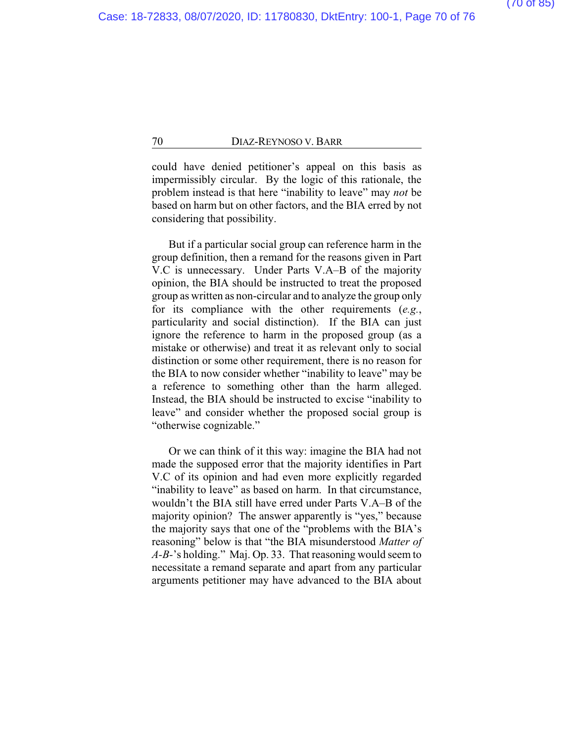could have denied petitioner's appeal on this basis as impermissibly circular. By the logic of this rationale, the problem instead is that here "inability to leave" may *not* be based on harm but on other factors, and the BIA erred by not considering that possibility.

But if a particular social group can reference harm in the group definition, then a remand for the reasons given in Part V.C is unnecessary. Under Parts V.A–B of the majority opinion, the BIA should be instructed to treat the proposed group as written as non-circular and to analyze the group only for its compliance with the other requirements (*e.g.*, particularity and social distinction). If the BIA can just ignore the reference to harm in the proposed group (as a mistake or otherwise) and treat it as relevant only to social distinction or some other requirement, there is no reason for the BIA to now consider whether "inability to leave" may be a reference to something other than the harm alleged. Instead, the BIA should be instructed to excise "inability to leave" and consider whether the proposed social group is "otherwise cognizable."

Or we can think of it this way: imagine the BIA had not made the supposed error that the majority identifies in Part V.C of its opinion and had even more explicitly regarded "inability to leave" as based on harm. In that circumstance, wouldn't the BIA still have erred under Parts V.A–B of the majority opinion? The answer apparently is "yes," because the majority says that one of the "problems with the BIA's reasoning" below is that "the BIA misunderstood *Matter of A-B-*'s holding." Maj. Op. 33. That reasoning would seem to necessitate a remand separate and apart from any particular arguments petitioner may have advanced to the BIA about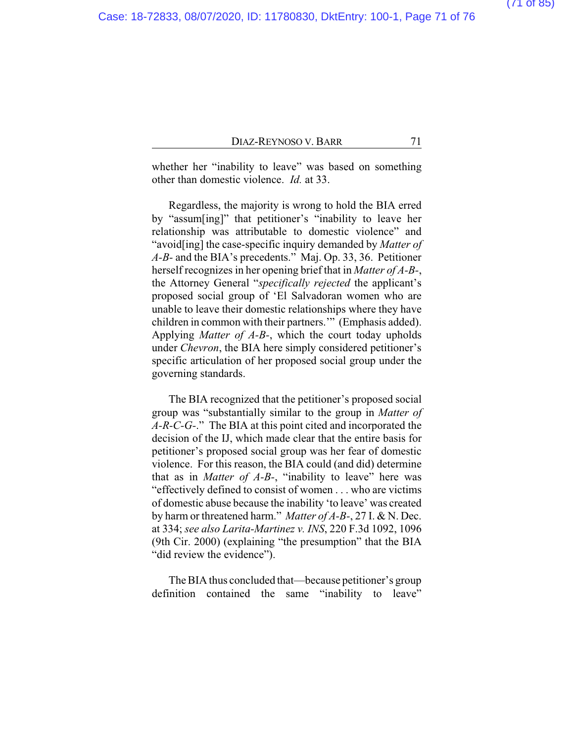whether her "inability to leave" was based on something other than domestic violence. *Id.* at 33.

Regardless, the majority is wrong to hold the BIA erred by "assum[ing]" that petitioner's "inability to leave her relationship was attributable to domestic violence" and "avoid[ing] the case-specific inquiry demanded by *Matter of A-B-* and the BIA's precedents." Maj. Op. 33, 36. Petitioner herself recognizes in her opening brief that in *Matter of A-B-*, the Attorney General "*specifically rejected* the applicant's proposed social group of 'El Salvadoran women who are unable to leave their domestic relationships where they have children in common with their partners.'" (Emphasis added). Applying *Matter of A-B-*, which the court today upholds under *Chevron*, the BIA here simply considered petitioner's specific articulation of her proposed social group under the governing standards.

The BIA recognized that the petitioner's proposed social group was "substantially similar to the group in *Matter of A-R-C-G-*." The BIA at this point cited and incorporated the decision of the IJ, which made clear that the entire basis for petitioner's proposed social group was her fear of domestic violence. For this reason, the BIA could (and did) determine that as in *Matter of A-B-*, "inability to leave" here was "effectively defined to consist of women . . . who are victims of domestic abuse because the inability 'to leave' was created by harm or threatened harm." *Matter of A-B-*, 27 I. & N. Dec. at 334; *see also Larita-Martinez v. INS*, 220 F.3d 1092, 1096 (9th Cir. 2000) (explaining "the presumption" that the BIA "did review the evidence").

The BIA thus concluded that—because petitioner's group definition contained the same "inability to leave"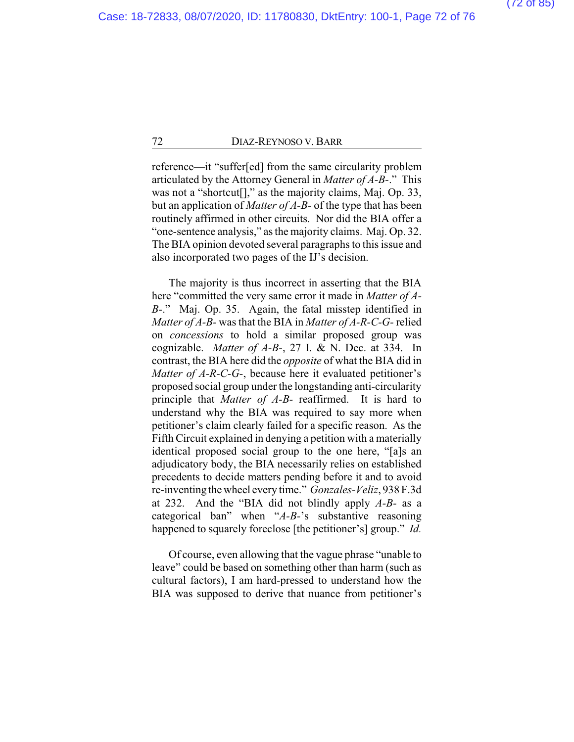reference—it "suffer[ed] from the same circularity problem articulated by the Attorney General in *Matter of A-B-*." This was not a "shortcut<sup>[]</sup>," as the majority claims, Maj. Op. 33, but an application of *Matter of A-B-* of the type that has been routinely affirmed in other circuits. Nor did the BIA offer a "one-sentence analysis," as the majority claims. Maj. Op. 32. The BIA opinion devoted several paragraphs to this issue and also incorporated two pages of the IJ's decision.

The majority is thus incorrect in asserting that the BIA here "committed the very same error it made in *Matter of A-B-*." Maj. Op. 35. Again, the fatal misstep identified in *Matter of A-B-* was that the BIA in *Matter of A-R-C-G-* relied on *concessions* to hold a similar proposed group was cognizable. *Matter of A-B-*, 27 I. & N. Dec. at 334. In contrast, the BIA here did the *opposite* of what the BIA did in *Matter of A-R-C-G-*, because here it evaluated petitioner's proposed social group under the longstanding anti-circularity principle that *Matter of A-B-* reaffirmed. It is hard to understand why the BIA was required to say more when petitioner's claim clearly failed for a specific reason. As the Fifth Circuit explained in denying a petition with a materially identical proposed social group to the one here, "[a]s an adjudicatory body, the BIA necessarily relies on established precedents to decide matters pending before it and to avoid re-inventing the wheel every time." *Gonzales-Veliz*, 938 F.3d at 232. And the "BIA did not blindly apply *A-B-* as a categorical ban" when "*A-B-*'s substantive reasoning happened to squarely foreclose [the petitioner's] group." *Id.*

Of course, even allowing that the vague phrase "unable to leave" could be based on something other than harm (such as cultural factors), I am hard-pressed to understand how the BIA was supposed to derive that nuance from petitioner's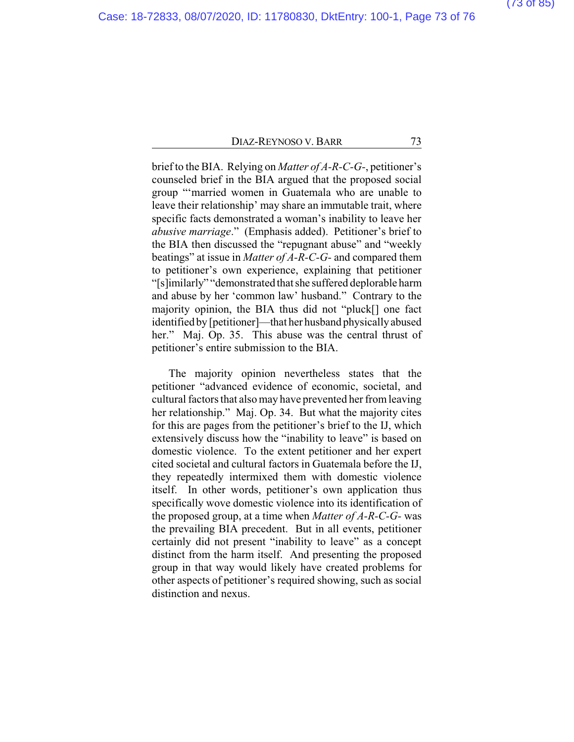brief to the BIA. Relying on *Matter of A-R-C-G-*, petitioner's counseled brief in the BIA argued that the proposed social group "'married women in Guatemala who are unable to leave their relationship' may share an immutable trait, where specific facts demonstrated a woman's inability to leave her *abusive marriage*." (Emphasis added). Petitioner's brief to the BIA then discussed the "repugnant abuse" and "weekly beatings" at issue in *Matter of A-R-C-G-* and compared them to petitioner's own experience, explaining that petitioner "[s]imilarly" "demonstratedthat she suffered deplorable harm and abuse by her 'common law' husband." Contrary to the majority opinion, the BIA thus did not "pluck[] one fact identified by [petitioner]—that her husband physicallyabused her." Maj. Op. 35. This abuse was the central thrust of petitioner's entire submission to the BIA.

The majority opinion nevertheless states that the petitioner "advanced evidence of economic, societal, and cultural factors that also may have prevented her fromleaving her relationship." Maj. Op. 34. But what the majority cites for this are pages from the petitioner's brief to the IJ, which extensively discuss how the "inability to leave" is based on domestic violence. To the extent petitioner and her expert cited societal and cultural factors in Guatemala before the IJ, they repeatedly intermixed them with domestic violence itself. In other words, petitioner's own application thus specifically wove domestic violence into its identification of the proposed group, at a time when *Matter of A-R-C-G-* was the prevailing BIA precedent. But in all events, petitioner certainly did not present "inability to leave" as a concept distinct from the harm itself. And presenting the proposed group in that way would likely have created problems for other aspects of petitioner's required showing, such as social distinction and nexus.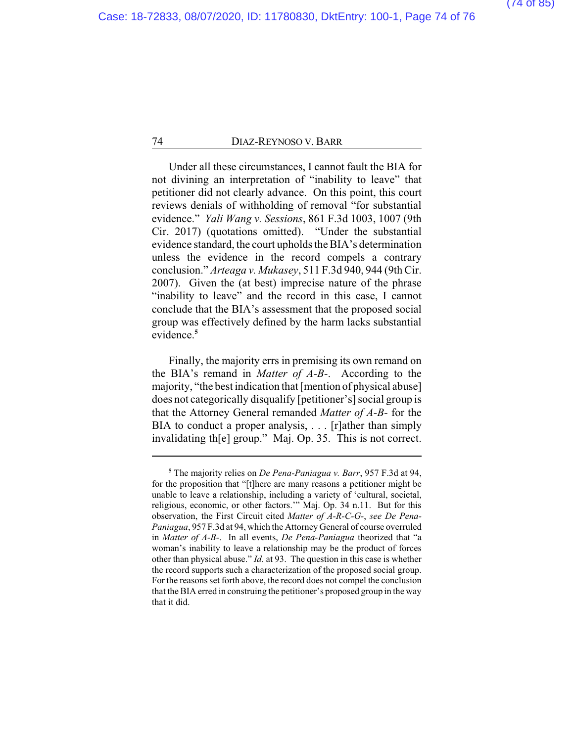Under all these circumstances, I cannot fault the BIA for not divining an interpretation of "inability to leave" that petitioner did not clearly advance. On this point, this court reviews denials of withholding of removal "for substantial evidence." *Yali Wang v. Sessions*, 861 F.3d 1003, 1007 (9th Cir. 2017) (quotations omitted). "Under the substantial evidence standard, the court upholds the BIA's determination unless the evidence in the record compels a contrary conclusion." *Arteaga v. Mukasey*, 511 F.3d 940, 944 (9th Cir. 2007). Given the (at best) imprecise nature of the phrase "inability to leave" and the record in this case, I cannot conclude that the BIA's assessment that the proposed social group was effectively defined by the harm lacks substantial evidence.**<sup>5</sup>**

Finally, the majority errs in premising its own remand on the BIA's remand in *Matter of A-B-*. According to the majority, "the best indication that [mention of physical abuse] does not categorically disqualify [petitioner's] social group is that the Attorney General remanded *Matter of A-B-* for the BIA to conduct a proper analysis, . . . [r]ather than simply invalidating th[e] group." Maj. Op. 35. This is not correct.

**<sup>5</sup>** The majority relies on *De Pena-Paniagua v. Barr*, 957 F.3d at 94, for the proposition that "[t]here are many reasons a petitioner might be unable to leave a relationship, including a variety of 'cultural, societal, religious, economic, or other factors.'" Maj. Op. 34 n.11. But for this observation, the First Circuit cited *Matter of A-R-C-G-*, *see De Pena-Paniagua*, 957 F.3d at 94, which the Attorney General of course overruled in *Matter of A-B-*. In all events, *De Pena-Paniagua* theorized that "a woman's inability to leave a relationship may be the product of forces other than physical abuse." *Id.* at 93. The question in this case is whether the record supports such a characterization of the proposed social group. For the reasons set forth above, the record does not compel the conclusion that the BIA erred in construing the petitioner's proposed group in the way that it did.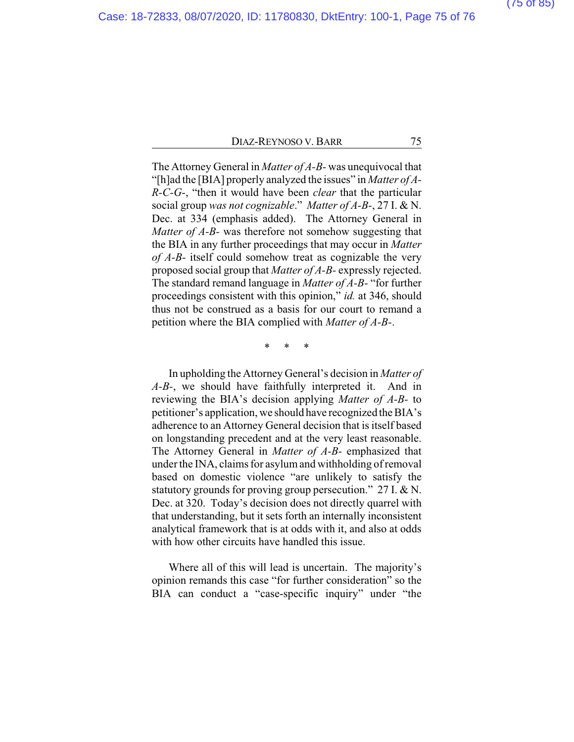The Attorney General in *Matter of A-B-* was unequivocal that "[h]ad the [BIA] properly analyzed the issues" in *Matter of A-R-C-G-*, "then it would have been *clear* that the particular social group *was not cognizable*." *Matter of A-B-*, 27 I. & N. Dec. at 334 (emphasis added). The Attorney General in *Matter of A-B-* was therefore not somehow suggesting that the BIA in any further proceedings that may occur in *Matter of A-B-* itself could somehow treat as cognizable the very proposed social group that *Matter of A-B-* expressly rejected. The standard remand language in *Matter of A-B-* "for further proceedings consistent with this opinion," *id.* at 346, should thus not be construed as a basis for our court to remand a petition where the BIA complied with *Matter of A-B-*.

\* \* \*

In upholding the Attorney General's decision in *Matter of A-B-*, we should have faithfully interpreted it. And in reviewing the BIA's decision applying *Matter of A-B-* to petitioner's application, we should have recognized the BIA's adherence to an Attorney General decision that is itself based on longstanding precedent and at the very least reasonable. The Attorney General in *Matter of A-B-* emphasized that under the INA, claims for asylumand withholding of removal based on domestic violence "are unlikely to satisfy the statutory grounds for proving group persecution." 27 I. & N. Dec. at 320. Today's decision does not directly quarrel with that understanding, but it sets forth an internally inconsistent analytical framework that is at odds with it, and also at odds with how other circuits have handled this issue.

Where all of this will lead is uncertain. The majority's opinion remands this case "for further consideration" so the BIA can conduct a "case-specific inquiry" under "the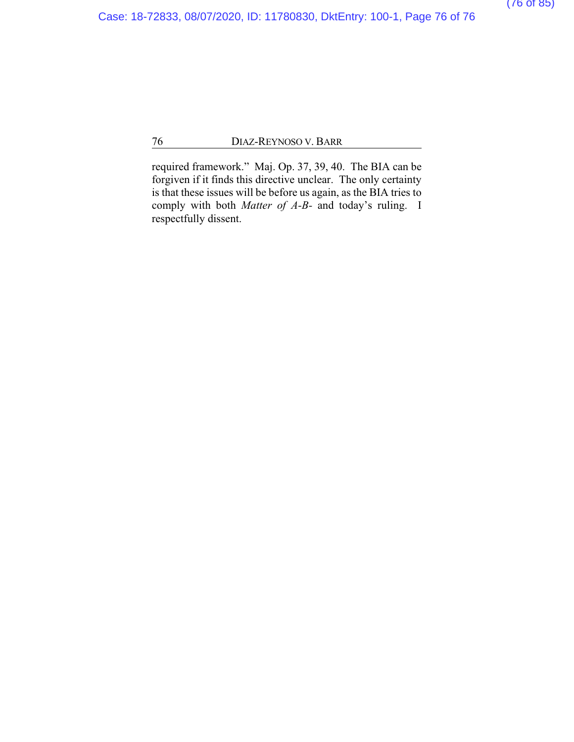required framework." Maj. Op. 37, 39, 40. The BIA can be forgiven if it finds this directive unclear. The only certainty is that these issues will be before us again, as the BIA tries to comply with both *Matter of A-B-* and today's ruling. I respectfully dissent.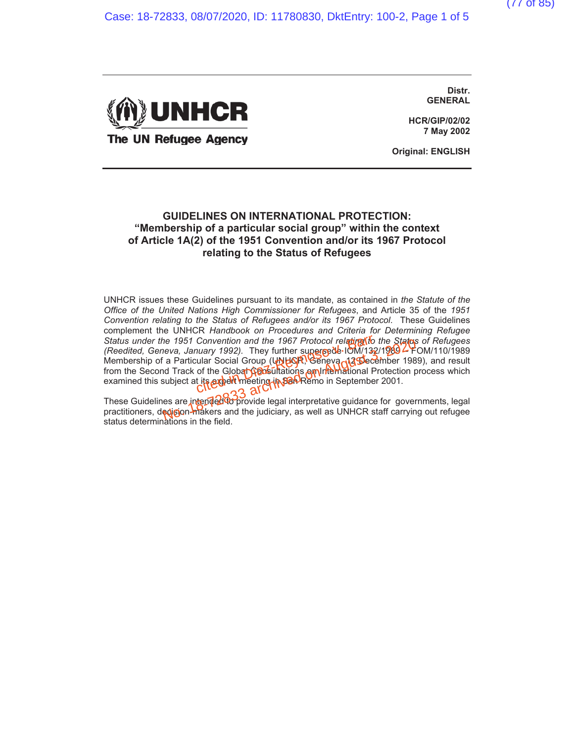

Case: 18-72833, 08/07/2020, ID: 11780830, DktEntry: 100-2, Page 1 of 5



**Distr. GENERAL**

**HCR/GIP/02/02 7 May 2002**

**Original: ENGLISH**

### **GUIDELINES ON INTERNATIONAL PROTECTION: "Membership of a particular social group" within the context of Article 1A(2) of the 1951 Convention and/or its 1967 Protocol relating to the Status of Refugees**

UNHCR issues these Guidelines pursuant to its mandate, as contained in *the Statute of the Office of the United Nations High Commissioner for Refugees*, and Article 35 of the *1951 Convention relating to the Status of Refugees and/or its 1967 Protocol*. These Guidelines complement the UNHCR *Handbook on Procedures and Criteria for Determining Refugee*  Status under the 1951 Convention and the 1967 Protocol relating to the Status of Refugees *(Reedited, Geneva, January 1992).* They further supersede IOM/132/1989 – FOM/110/1989 Membership of a Particular Social Group (UNHCR) Geneva, 12 December 1989), and result from the Second Track of the Global Gonsultations am International Protection process which examined this subject at its expert meeting in September 2001. Convention and the 1967 Protocol relating to<br>
nuary 1992). They further supersede IOM/132<br>
ular Social Group (UNUGR) Seneva 135 ece<br>
of the Globar Consultations am International Pi<br>
Lits experimenting in Senema in Septembe ne 1951 Convention and the 1967 Protocol relating to the States<br>neva, January 1992). They further supersede IOM/132/1989  $\angle$  F<br>i a Particular Social Group (UNUGR) Geneva (13 December 198<br>nd Track of the Globar Gonal Ritat

These Guidelines are intended to provide legal interpretative guidance for governments, legal practitioners, declision-makers and the judiciary, as well as UNHCR staff carrying out refugee status determinations in the field.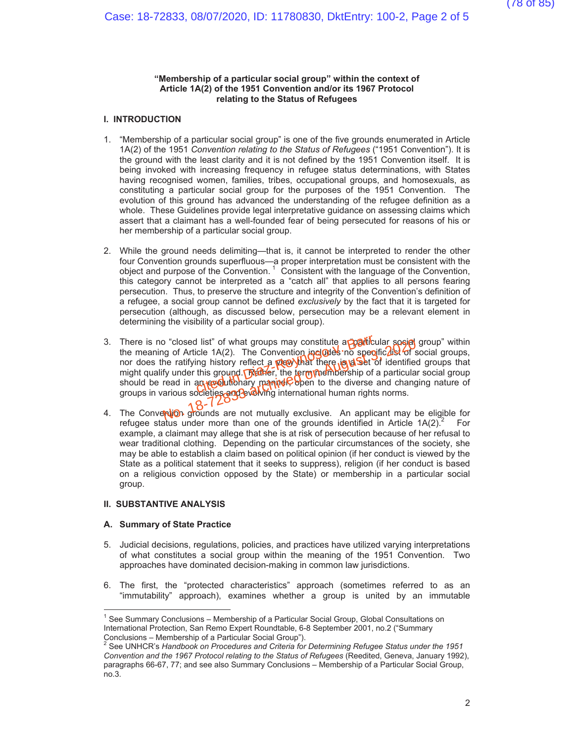#### **"Membership of a particular social group" within the context of Article 1A(2) of the 1951 Convention and/or its 1967 Protocol relating to the Status of Refugees**

### **I. INTRODUCTION**

- 1. "Membership of a particular social group" is one of the five grounds enumerated in Article 1A(2) of the 1951 *Convention relating to the Status of Refugees* ("1951 Convention"). It is the ground with the least clarity and it is not defined by the 1951 Convention itself. It is being invoked with increasing frequency in refugee status determinations, with States having recognised women, families, tribes, occupational groups, and homosexuals, as constituting a particular social group for the purposes of the 1951 Convention. The evolution of this ground has advanced the understanding of the refugee definition as a whole. These Guidelines provide legal interpretative guidance on assessing claims which assert that a claimant has a well-founded fear of being persecuted for reasons of his or her membership of a particular social group.
- 2. While the ground needs delimiting—that is, it cannot be interpreted to render the other four Convention grounds superfluous—a proper interpretation must be consistent with the object and purpose of the Convention.<sup>1</sup> Consistent with the language of the Convention, this category cannot be interpreted as a "catch all" that applies to all persons fearing persecution. Thus, to preserve the structure and integrity of the Convention's definition of a refugee, a social group cannot be defined *exclusively* by the fact that it is targeted for persecution (although, as discussed below, persecution may be a relevant element in determining the visibility of a particular social group).
- 3. There is no "closed list" of what groups may constitute a particular social group" within the meaning of Article 1A(2). The Convention includes no specific list of social groups, nor does the ratifying history reflect a **view that there is a set of** identified groups that might qualify under this ground.  $R_{\text{R}}$  the term membership of a particular social group should be read in an explotionary manner, open to the diverse and changing nature of groups in various societies and evolving international human rights norms. ciosed list" of what groups may constitute a **position** specifically to the ratifying history reflect a **year** what there **is gregifically** of she ratifying history reflect a **year** what there **is gregifically** of specific
- 4. The Convention grounds are not mutually exclusive. An applicant may be eligible for refugee status under more than one of the grounds identified in Article  $1A(2)^2$  For example, a claimant may allege that she is at risk of persecution because of her refusal to wear traditional clothing. Depending on the particular circumstances of the society, she may be able to establish a claim based on political opinion (if her conduct is viewed by the State as a political statement that it seeks to suppress), religion (if her conduct is based on a religious conviction opposed by the State) or membership in a particular social group.

#### **II. SUBSTANTIVE ANALYSIS**

### **A. Summary of State Practice**

- 5. Judicial decisions, regulations, policies, and practices have utilized varying interpretations of what constitutes a social group within the meaning of the 1951 Convention. Two approaches have dominated decision-making in common law jurisdictions.
- 6. The first, the "protected characteristics" approach (sometimes referred to as an "immutability" approach), examines whether a group is united by an immutable

 $\overline{a}$ <sup>1</sup> See Summary Conclusions – Membership of a Particular Social Group, Global Consultations on International Protection, San Remo Expert Roundtable, 6-8 September 2001, no.2 ("Summary Conclusions – Membership of a Particular Social Group").

<sup>2</sup> See UNHCR's *Handbook on Procedures and Criteria for Determining Refugee Status under the 1951 Convention and the 1967 Protocol relating to the Status of Refugees* (Reedited, Geneva, January 1992), paragraphs 66-67, 77; and see also Summary Conclusions – Membership of a Particular Social Group, no.3.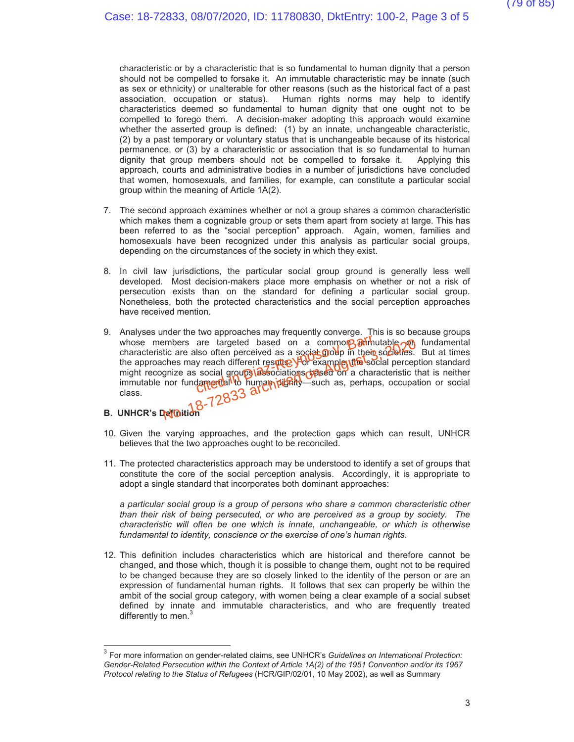characteristic or by a characteristic that is so fundamental to human dignity that a person should not be compelled to forsake it. An immutable characteristic may be innate (such as sex or ethnicity) or unalterable for other reasons (such as the historical fact of a past association, occupation or status). Human rights norms may help to identify characteristics deemed so fundamental to human dignity that one ought not to be compelled to forego them. A decision-maker adopting this approach would examine whether the asserted group is defined: (1) by an innate, unchangeable characteristic, (2) by a past temporary or voluntary status that is unchangeable because of its historical permanence, or (3) by a characteristic or association that is so fundamental to human dignity that group members should not be compelled to forsake it. Applying this approach, courts and administrative bodies in a number of jurisdictions have concluded that women, homosexuals, and families, for example, can constitute a particular social group within the meaning of Article 1A(2).

- 7. The second approach examines whether or not a group shares a common characteristic which makes them a cognizable group or sets them apart from society at large. This has been referred to as the "social perception" approach. Again, women, families and homosexuals have been recognized under this analysis as particular social groups, depending on the circumstances of the society in which they exist.
- 8. In civil law jurisdictions, the particular social group ground is generally less well developed. Most decision-makers place more emphasis on whether or not a risk of persecution exists than on the standard for defining a particular social group. Nonetheless, both the protected characteristics and the social perception approaches have received mention.
- 9. Analyses under the two approaches may frequently converge. This is so because groups whose members are targeted based on a common  $\mathbb{R}$  immutable  $\sim$  fundamental characteristic are also often perceived as a society group in their societies. But at times the approaches may reach different results. For example the social perception standard might recognize as social groups  $\frac{2}{3}$  associations based on a characteristic that is neither whose members are targeted based on a common anti-<br>characteristic are also often perceived as a social group in their societies. But at times<br>the approaches may reach different results  $\frac{1}{2}$  are example the social perc class.
- **B. UNHCR's Definition**

 $\overline{a}$ 

- 10. Given the varying approaches, and the protection gaps which can result, UNHCR believes that the two approaches ought to be reconciled.
- 11. The protected characteristics approach may be understood to identify a set of groups that constitute the core of the social perception analysis. Accordingly, it is appropriate to adopt a single standard that incorporates both dominant approaches:

*a particular social group is a group of persons who share a common characteristic other than their risk of being persecuted, or who are perceived as a group by society. The characteristic will often be one which is innate, unchangeable, or which is otherwise fundamental to identity, conscience or the exercise of one's human rights.* 

12. This definition includes characteristics which are historical and therefore cannot be changed, and those which, though it is possible to change them, ought not to be required to be changed because they are so closely linked to the identity of the person or are an expression of fundamental human rights. It follows that sex can properly be within the ambit of the social group category, with women being a clear example of a social subset defined by innate and immutable characteristics, and who are frequently treated differently to men. $3$ 

<sup>3</sup> For more information on gender-related claims, see UNHCR's *Guidelines on International Protection: Gender-Related Persecution within the Context of Article 1A(2) of the 1951 Convention and/or its 1967 Protocol relating to the Status of Refugees* (HCR/GIP/02/01, 10 May 2002), as well as Summary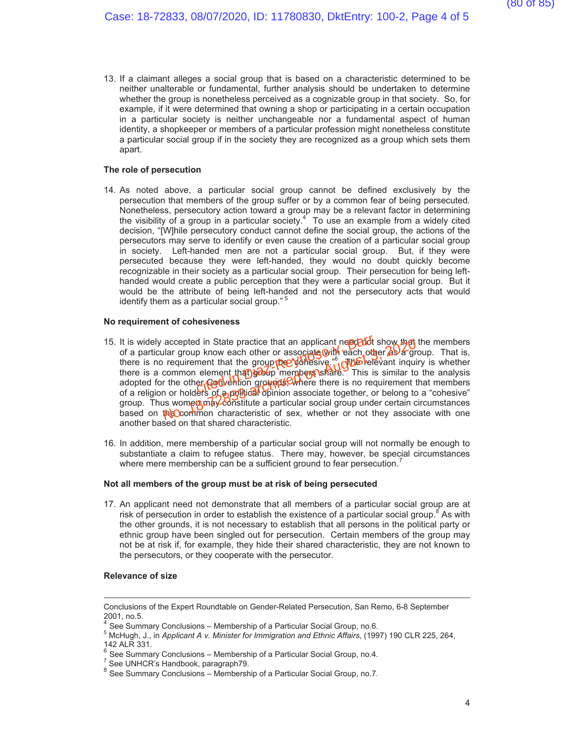13. If a claimant alleges a social group that is based on a characteristic determined to be neither unalterable or fundamental, further analysis should be undertaken to determine whether the group is nonetheless perceived as a cognizable group in that society. So, for example, if it were determined that owning a shop or participating in a certain occupation in a particular society is neither unchangeable nor a fundamental aspect of human identity, a shopkeeper or members of a particular profession might nonetheless constitute a particular social group if in the society they are recognized as a group which sets them apart.

#### **The role of persecution**

14. As noted above, a particular social group cannot be defined exclusively by the persecution that members of the group suffer or by a common fear of being persecuted. Nonetheless, persecutory action toward a group may be a relevant factor in determining the visibility of a group in a particular society.<sup>4</sup> To use an example from a widely cited decision, "[W]hile persecutory conduct cannot define the social group, the actions of the persecutors may serve to identify or even cause the creation of a particular social group in society. Left-handed men are not a particular social group. But, if they were persecuted because they were left-handed, they would no doubt quickly become recognizable in their society as a particular social group. Their persecution for being lefthanded would create a public perception that they were a particular social group. But it would be the attribute of being left-handed and not the persecutory acts that would identify them as a particular social group." 5

#### **No requirement of cohesiveness**

- 15. It is widely accepted in State practice that an applicant need his show that the members of a particular group know each other or associate with each other  $\Delta s$  group. That is, there is no requirement that the group per yonesive."
in The relevant inquiry is whether there is a common element th**at goo**up members share. This is similar to the analysis adopted for the other  $C_{\text{QQ}}$  ention grounds. Even there is no requirement that members of a religion or holders of a political opinion associate together, or belong to a "cohesive" group. Thus women may constitute a particular social group under certain circumstances based on  $\mathbf{R}$  common characteristic of sex, whether or not they associate with one another based on that shared characteristic. accepted in State practice that an applicant negotion show that<br>ular group know each other or associate with each other as a grequirement that the group precisive. This is similar to<br>common element that you members share.
- 16. In addition, mere membership of a particular social group will not normally be enough to substantiate a claim to refugee status. There may, however, be special circumstances where mere membership can be a sufficient ground to fear persecution.<sup>7</sup>

#### **Not all members of the group must be at risk of being persecuted**

17. An applicant need not demonstrate that all members of a particular social group are at risk of persecution in order to establish the existence of a particular social group.<sup>8</sup> As with the other grounds, it is not necessary to establish that all persons in the political party or ethnic group have been singled out for persecution. Certain members of the group may not be at risk if, for example, they hide their shared characteristic, they are not known to the persecutors, or they cooperate with the persecutor.

#### **Relevance of size**

l

Conclusions of the Expert Roundtable on Gender-Related Persecution, San Remo, 6-8 September 2001, no.5.

<sup>4</sup> See Summary Conclusions – Membership of a Particular Social Group, no.6. <sup>5</sup>

<sup>&</sup>lt;sup>5</sup> McHugh, J., in *Applicant A v. Minister for Immigration and Ethnic Affairs*, (1997) 190 CLR 225, 264, 142 ALR 331.

See Summary Conclusions – Membership of a Particular Social Group, no.4.

<sup>&</sup>lt;sup>7</sup> See UNHCR's Handbook, paragraph79.

 $8$  See Summary Conclusions – Membership of a Particular Social Group, no.7.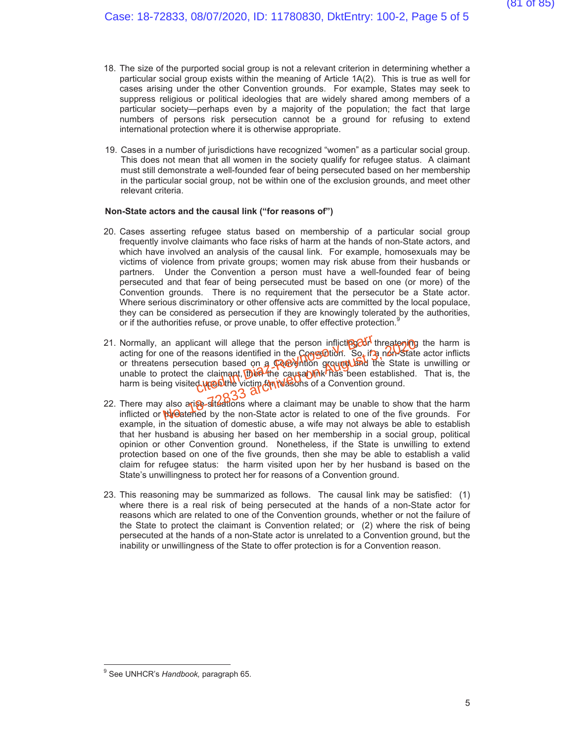- 18. The size of the purported social group is not a relevant criterion in determining whether a particular social group exists within the meaning of Article 1A(2). This is true as well for cases arising under the other Convention grounds. For example, States may seek to suppress religious or political ideologies that are widely shared among members of a particular society—perhaps even by a majority of the population; the fact that large numbers of persons risk persecution cannot be a ground for refusing to extend international protection where it is otherwise appropriate.
- 19. Cases in a number of jurisdictions have recognized "women" as a particular social group. This does not mean that all women in the society qualify for refugee status. A claimant must still demonstrate a well-founded fear of being persecuted based on her membership in the particular social group, not be within one of the exclusion grounds, and meet other relevant criteria.

### **Non-State actors and the causal link ("for reasons of")**

- 20. Cases asserting refugee status based on membership of a particular social group frequently involve claimants who face risks of harm at the hands of non-State actors, and which have involved an analysis of the causal link. For example, homosexuals may be victims of violence from private groups; women may risk abuse from their husbands or partners. Under the Convention a person must have a well-founded fear of being persecuted and that fear of being persecuted must be based on one (or more) of the Convention grounds. There is no requirement that the persecutor be a State actor. Where serious discriminatory or other offensive acts are committed by the local populace, they can be considered as persecution if they are knowingly tolerated by the authorities, or if the authorities refuse, or prove unable, to offer effective protection.<sup>9</sup>
- 21. Normally, an applicant will allege that the person inflicting  $\partial u^{\dagger}$  threatening the harm is acting for one of the reasons identified in the Convention. So, if a non-state actor inflicts or threatens persecution based on a CONVINTION ground and the State is unwilling or unable to protect the claimant libed the causal link has been established. That is, the Normally, an applicant will allege that the person inflicting of The reating for one of the reasons identified in the Convention. So, it is not state or threatens persecution based on a **convention** ground. The state unabl an applicant will allege that the person inflicting and the consequence of the reasons identified in the Consequency of the state is persecution based on a **Consequence** or gound and the State is protect the claimant, **the**
- 22. There may also arise-situations where a claimant may be unable to show that the harm inflicted or  $\mathbf{W}$  eatened by the non-State actor is related to one of the five grounds. For example, in the situation of domestic abuse, a wife may not always be able to establish that her husband is abusing her based on her membership in a social group, political opinion or other Convention ground. Nonetheless, if the State is unwilling to extend protection based on one of the five grounds, then she may be able to establish a valid claim for refugee status: the harm visited upon her by her husband is based on the State's unwillingness to protect her for reasons of a Convention ground.
- 23. This reasoning may be summarized as follows. The causal link may be satisfied: (1) where there is a real risk of being persecuted at the hands of a non-State actor for reasons which are related to one of the Convention grounds, whether or not the failure of the State to protect the claimant is Convention related; or (2) where the risk of being persecuted at the hands of a non-State actor is unrelated to a Convention ground, but the inability or unwillingness of the State to offer protection is for a Convention reason.

 $\overline{a}$ 9 See UNHCR's *Handbook,* paragraph 65.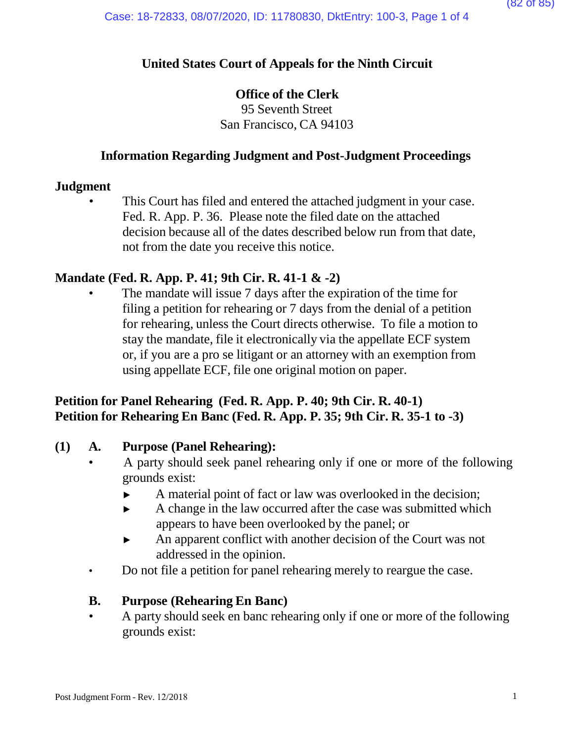## **United States Court of Appeals for the Ninth Circuit**

## **Office of the Clerk**

95 Seventh Street San Francisco, CA 94103

## **Information Regarding Judgment and Post-Judgment Proceedings**

## **Judgment**

This Court has filed and entered the attached judgment in your case. Fed. R. App. P. 36. Please note the filed date on the attached decision because all of the dates described below run from that date, not from the date you receive this notice.

## **Mandate (Fed. R. App. P. 41; 9th Cir. R. 41-1 & -2)**

The mandate will issue 7 days after the expiration of the time for filing a petition for rehearing or 7 days from the denial of a petition for rehearing, unless the Court directs otherwise. To file a motion to stay the mandate, file it electronically via the appellate ECF system or, if you are a pro se litigant or an attorney with an exemption from using appellate ECF, file one original motion on paper.

## **Petition for Panel Rehearing (Fed. R. App. P. 40; 9th Cir. R. 40-1) Petition for Rehearing En Banc (Fed. R. App. P. 35; 9th Cir. R. 35-1 to -3)**

## **(1) A. Purpose (Panel Rehearing):**

- A party should seek panel rehearing only if one or more of the following grounds exist:
	- ► A material point of fact or law was overlooked in the decision;
	- ► A change in the law occurred after the case was submitted which appears to have been overlooked by the panel; or
	- ► An apparent conflict with another decision of the Court was not addressed in the opinion.
- Do not file a petition for panel rehearing merely to reargue the case.

## **B. Purpose (Rehearing En Banc)**

• A party should seek en banc rehearing only if one or more of the following grounds exist: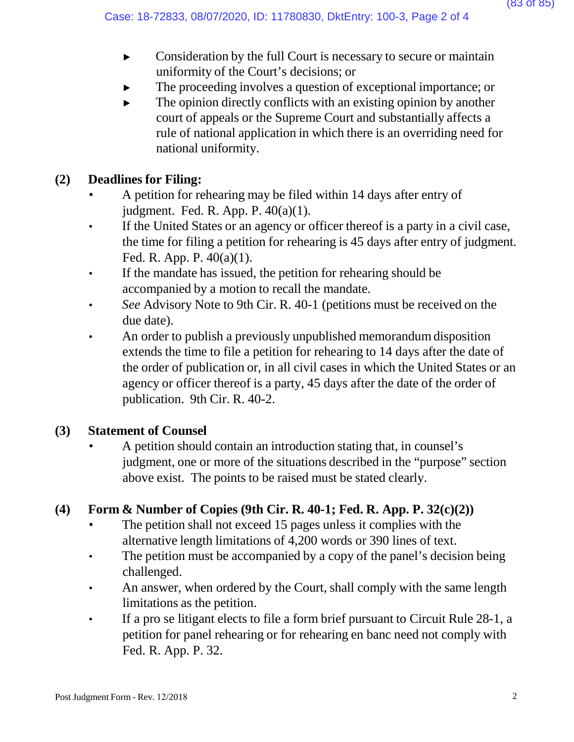- ► Consideration by the full Court is necessary to secure or maintain uniformity of the Court's decisions; or
- The proceeding involves a question of exceptional importance; or
- $\blacktriangleright$  The opinion directly conflicts with an existing opinion by another court of appeals or the Supreme Court and substantially affects a rule of national application in which there is an overriding need for national uniformity.

# **(2) Deadlines for Filing:**

- A petition for rehearing may be filed within 14 days after entry of judgment. Fed. R. App. P. 40(a)(1).
- If the United States or an agency or officer thereof is a party in a civil case, the time for filing a petition for rehearing is 45 days after entry of judgment. Fed. R. App. P. 40(a)(1).
- If the mandate has issued, the petition for rehearing should be accompanied by a motion to recall the mandate.
- *See* Advisory Note to 9th Cir. R. 40-1 (petitions must be received on the due date).
- An order to publish a previously unpublished memorandum disposition extends the time to file a petition for rehearing to 14 days after the date of the order of publication or, in all civil cases in which the United States or an agency or officer thereof is a party, 45 days after the date of the order of publication. 9th Cir. R. 40-2.

# **(3) Statement of Counsel**

• A petition should contain an introduction stating that, in counsel's judgment, one or more of the situations described in the "purpose" section above exist. The points to be raised must be stated clearly.

# **(4) Form & Number of Copies (9th Cir. R. 40-1; Fed. R. App. P. 32(c)(2))**

- The petition shall not exceed 15 pages unless it complies with the alternative length limitations of 4,200 words or 390 lines of text.
- The petition must be accompanied by a copy of the panel's decision being challenged.
- An answer, when ordered by the Court, shall comply with the same length limitations as the petition.
- If a pro se litigant elects to file a form brief pursuant to Circuit Rule 28-1, a petition for panel rehearing or for rehearing en banc need not comply with Fed. R. App. P. 32.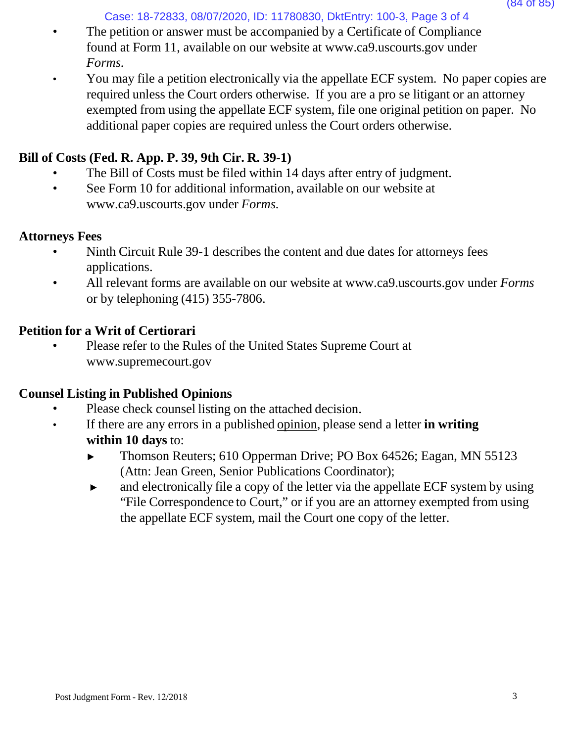Case: 18-72833, 08/07/2020, ID: 11780830, DktEntry: 100-3, Page 3 of 4

- The petition or answer must be accompanied by a Certificate of Compliance found at Form 11, available on our website [at www.ca9.uscourts.gov](http://www.ca9.uscourts.gov/) under *Forms.*
- You may file a petition electronically via the appellate ECF system. No paper copies are required unless the Court orders otherwise. If you are a pro se litigant or an attorney exempted from using the appellate ECF system, file one original petition on paper. No additional paper copies are required unless the Court orders otherwise.

### **Bill of Costs (Fed. R. App. P. 39, 9th Cir. R. 39-1)**

- The Bill of Costs must be filed within 14 days after entry of judgment.
- See Form 10 for addi[t](http://www.ca9.uscourts.gov/)ional information, available on our website at [www.ca9.uscourts.gov](http://www.ca9.uscourts.gov/) under *Forms.*

### **Attorneys Fees**

- Ninth Circuit Rule 39-1 describes the content and due dates for attorneys fees applications.
- All relevant forms are available on our website at [www.ca9.uscourts.gov](http://www.ca9.uscourts.gov/) under *Forms* or by telephoning (415) 355-7806.

### **Petition for a Writ of Certiorari**

• Please refer to the Rules of the United States Supreme Court a[t](http://www.supremecourt.gov/) [www.supremecourt.gov](http://www.supremecourt.gov/)

### **Counsel Listing in Published Opinions**

- Please check counsel listing on the attached decision.
- If there are any errors in a published opinion, please send a letter **in writing within 10 days** to:
	- ► Thomson Reuters; 610 Opperman Drive; PO Box 64526; Eagan, MN 55123 (Attn: Jean Green, Senior Publications Coordinator);
	- ► and electronically file a copy of the letter via the appellate ECF system by using "File Correspondence to Court," or if you are an attorney exempted from using the appellate ECF system, mail the Court one copy of the letter.